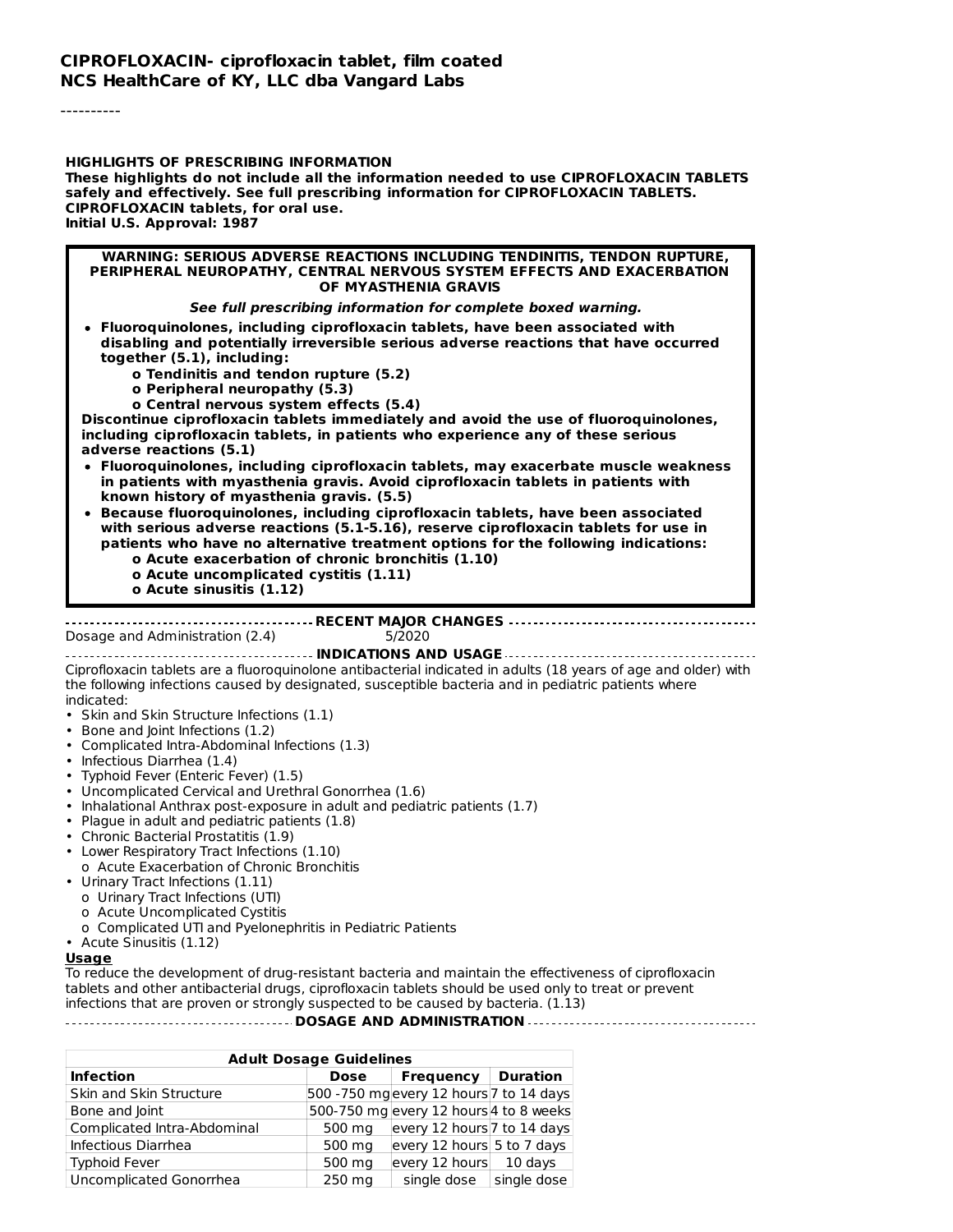----------

#### **HIGHLIGHTS OF PRESCRIBING INFORMATION These highlights do not include all the information needed to use CIPROFLOXACIN TABLETS safely and effectively. See full prescribing information for CIPROFLOXACIN TABLETS. CIPROFLOXACIN tablets, for oral use. Initial U.S. Approval: 1987**

#### **WARNING: SERIOUS ADVERSE REACTIONS INCLUDING TENDINITIS, TENDON RUPTURE, PERIPHERAL NEUROPATHY, CENTRAL NERVOUS SYSTEM EFFECTS AND EXACERBATION OF MYASTHENIA GRAVIS**

#### **See full prescribing information for complete boxed warning.**

- **Fluoroquinolones, including ciprofloxacin tablets, have been associated with disabling and potentially irreversible serious adverse reactions that have occurred together (5.1), including:**
	- **o Tendinitis and tendon rupture (5.2)**
	- **o Peripheral neuropathy (5.3)**
	- **o Central nervous system effects (5.4)**

**Discontinue ciprofloxacin tablets immediately and avoid the use of fluoroquinolones, including ciprofloxacin tablets, in patients who experience any of these serious adverse reactions (5.1)**

**Fluoroquinolones, including ciprofloxacin tablets, may exacerbate muscle weakness in patients with myasthenia gravis. Avoid ciprofloxacin tablets in patients with known history of myasthenia gravis. (5.5)**

**Because fluoroquinolones, including ciprofloxacin tablets, have been associated with serious adverse reactions (5.1-5.16), reserve ciprofloxacin tablets for use in patients who have no alternative treatment options for the following indications:**

- **o Acute exacerbation of chronic bronchitis (1.10)**
- **o Acute uncomplicated cystitis (1.11)**
- **o Acute sinusitis (1.12)**

#### **RECENT MAJOR CHANGES**

Dosage and Administration (2.4) 5/2020

**INDICATIONS AND USAGE** Ciprofloxacin tablets are a fluoroquinolone antibacterial indicated in adults (18 years of age and older) with the following infections caused by designated, susceptible bacteria and in pediatric patients where indicated:

- Skin and Skin Structure Infections (1.1)
- Bone and Joint Infections (1.2)
- Complicated Intra-Abdominal Infections (1.3)
- Infectious Diarrhea (1.4)
- Typhoid Fever (Enteric Fever) (1.5)
- Uncomplicated Cervical and Urethral Gonorrhea (1.6)
- Inhalational Anthrax post-exposure in adult and pediatric patients (1.7)
- Plague in adult and pediatric patients (1.8)
- Chronic Bacterial Prostatitis (1.9)
- Lower Respiratory Tract Infections (1.10) o Acute Exacerbation of Chronic Bronchitis
- 
- Urinary Tract Infections (1.11)
	- o Urinary Tract Infections (UTI)
	- o Acute Uncomplicated Cystitis
	- o Complicated UTI and Pyelonephritis in Pediatric Patients
- Acute Sinusitis (1.12)

#### **Usage**

To reduce the development of drug-resistant bacteria and maintain the effectiveness of ciprofloxacin tablets and other antibacterial drugs, ciprofloxacin tablets should be used only to treat or prevent infections that are proven or strongly suspected to be caused by bacteria. (1.13)

**DOSAGE AND ADMINISTRATION**

| <b>Adult Dosage Guidelines</b> |        |                                        |                 |
|--------------------------------|--------|----------------------------------------|-----------------|
| <b>Infection</b>               | Dose   | <b>Frequency</b>                       | <b>Duration</b> |
| Skin and Skin Structure        |        | 500 -750 mgevery 12 hours 7 to 14 days |                 |
| Bone and Joint                 |        | 500-750 mg every 12 hours 4 to 8 weeks |                 |
| Complicated Intra-Abdominal    | 500 mg | every 12 hours 7 to 14 days            |                 |
| Infectious Diarrhea            | 500 mg | every 12 hours 5 to 7 days             |                 |
| <b>Typhoid Fever</b>           | 500 mg | every 12 hours                         | $10$ days       |
| Uncomplicated Gonorrhea        | 250 mg | single dose                            | single dose     |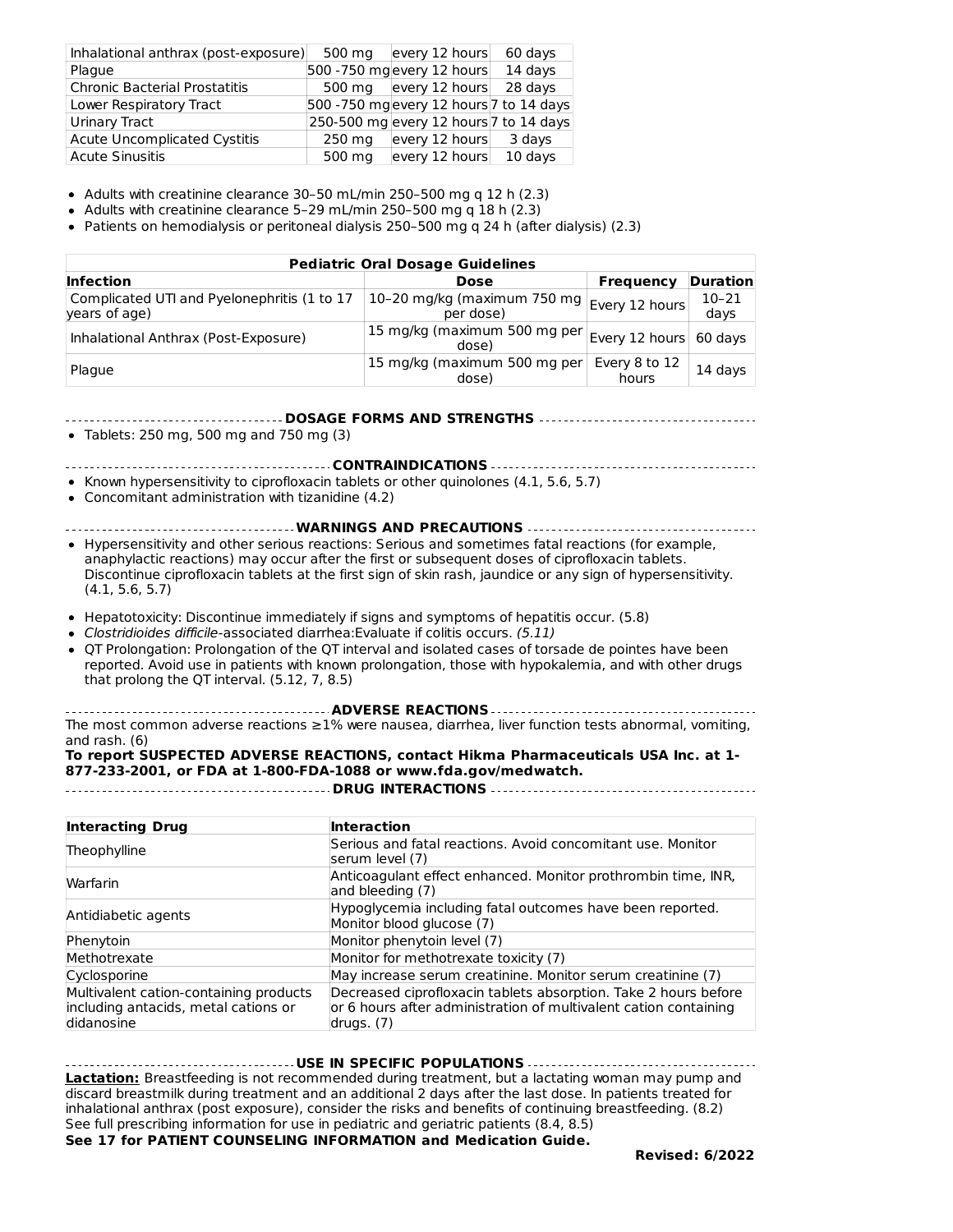| Inhalational anthrax (post-exposure) | 500 mg | every 12 hours                         | 60 days |
|--------------------------------------|--------|----------------------------------------|---------|
| Plaque                               |        | 500 - 750 mg every 12 hours            | 14 days |
| Chronic Bacterial Prostatitis        | 500 ma | every 12 hours                         | 28 days |
| Lower Respiratory Tract              |        | 500 -750 mgevery 12 hours 7 to 14 days |         |
| Urinary Tract                        |        | 250-500 mg every 12 hours 7 to 14 days |         |
| Acute Uncomplicated Cystitis         | 250 mg | every 12 hours                         | 3 days  |
| Acute Sinusitis                      | 500 mg | every 12 hours                         | 10 days |

Adults with creatinine clearance 30–50 mL/min 250–500 mg q 12 h (2.3)

Adults with creatinine clearance 5–29 mL/min 250–500 mg q 18 h  $(2.3)$ 

Patients on hemodialysis or peritoneal dialysis 250–500 mg q 24 h (after dialysis) (2.3)

| <b>Pediatric Oral Dosage Guidelines</b>                      |                                                           |                        |                   |  |
|--------------------------------------------------------------|-----------------------------------------------------------|------------------------|-------------------|--|
| <b>Infection</b>                                             | <b>Dose</b>                                               | Frequency              | <b>Duration</b>   |  |
| Complicated UTI and Pyelonephritis (1 to 17<br>years of age) | 10-20 mg/kg (maximum 750 mg   Every 12 hours<br>per dose) |                        | $10 - 21$<br>days |  |
| Inhalational Anthrax (Post-Exposure)                         | 15 mg/kg (maximum 500 mg per<br>dose)                     | Every 12 hours 60 days |                   |  |
| Plaque                                                       | 15 mg/kg (maximum 500 mg per<br>dose)                     | Every 8 to 12<br>hours | 14 days           |  |

**DOSAGE FORMS AND STRENGTHS**

Tablets: 250 mg, 500 mg and 750 mg (3)

**CONTRAINDICATIONS**

• Known hypersensitivity to ciprofloxacin tablets or other quinolones (4.1, 5.6, 5.7)

Concomitant administration with tizanidine (4.2)

**WARNINGS AND PRECAUTIONS**

- Hypersensitivity and other serious reactions: Serious and sometimes fatal reactions (for example, anaphylactic reactions) may occur after the first or subsequent doses of ciprofloxacin tablets. Discontinue ciprofloxacin tablets at the first sign of skin rash, jaundice or any sign of hypersensitivity. (4.1, 5.6, 5.7)
- Hepatotoxicity: Discontinue immediately if signs and symptoms of hepatitis occur. (5.8)
- Clostridioides difficile-associated diarrhea: Evaluate if colitis occurs. (5.11)
- OT Prolongation: Prolongation of the OT interval and isolated cases of torsade de pointes have been reported. Avoid use in patients with known prolongation, those with hypokalemia, and with other drugs that prolong the QT interval. (5.12, 7, 8.5)

**ADVERSE REACTIONS** The most common adverse reactions ≥1% were nausea, diarrhea, liver function tests abnormal, vomiting, and rash. (6)

#### **To report SUSPECTED ADVERSE REACTIONS, contact Hikma Pharmaceuticals USA Inc. at 1- 877-233-2001, or FDA at 1-800-FDA-1088 or www.fda.gov/medwatch.**

**DRUG INTERACTIONS**

| <b>Interacting Drug</b>                                                                      | <b>Interaction</b>                                                                                                                                  |
|----------------------------------------------------------------------------------------------|-----------------------------------------------------------------------------------------------------------------------------------------------------|
| Theophylline                                                                                 | Serious and fatal reactions. Avoid concomitant use. Monitor<br>serum level (7)                                                                      |
| Warfarin                                                                                     | Anticoagulant effect enhanced. Monitor prothrombin time, INR,<br>and bleeding (7)                                                                   |
| Antidiabetic agents                                                                          | Hypoglycemia including fatal outcomes have been reported.<br>Monitor blood glucose (7)                                                              |
| Phenytoin                                                                                    | Monitor phenytoin level (7)                                                                                                                         |
| Methotrexate                                                                                 | Monitor for methotrexate toxicity (7)                                                                                                               |
| Cyclosporine                                                                                 | May increase serum creatinine. Monitor serum creatinine (7)                                                                                         |
| Multivalent cation-containing products<br>including antacids, metal cations or<br>didanosine | Decreased ciprofloxacin tablets absorption. Take 2 hours before<br>or 6 hours after administration of multivalent cation containing<br>drugs. $(7)$ |

**USE IN SPECIFIC POPULATIONS**

**Lactation:** Breastfeeding is not recommended during treatment, but a lactating woman may pump and discard breastmilk during treatment and an additional 2 days after the last dose. In patients treated for inhalational anthrax (post exposure), consider the risks and benefits of continuing breastfeeding. (8.2) See full prescribing information for use in pediatric and geriatric patients (8.4, 8.5) **See 17 for PATIENT COUNSELING INFORMATION and Medication Guide.**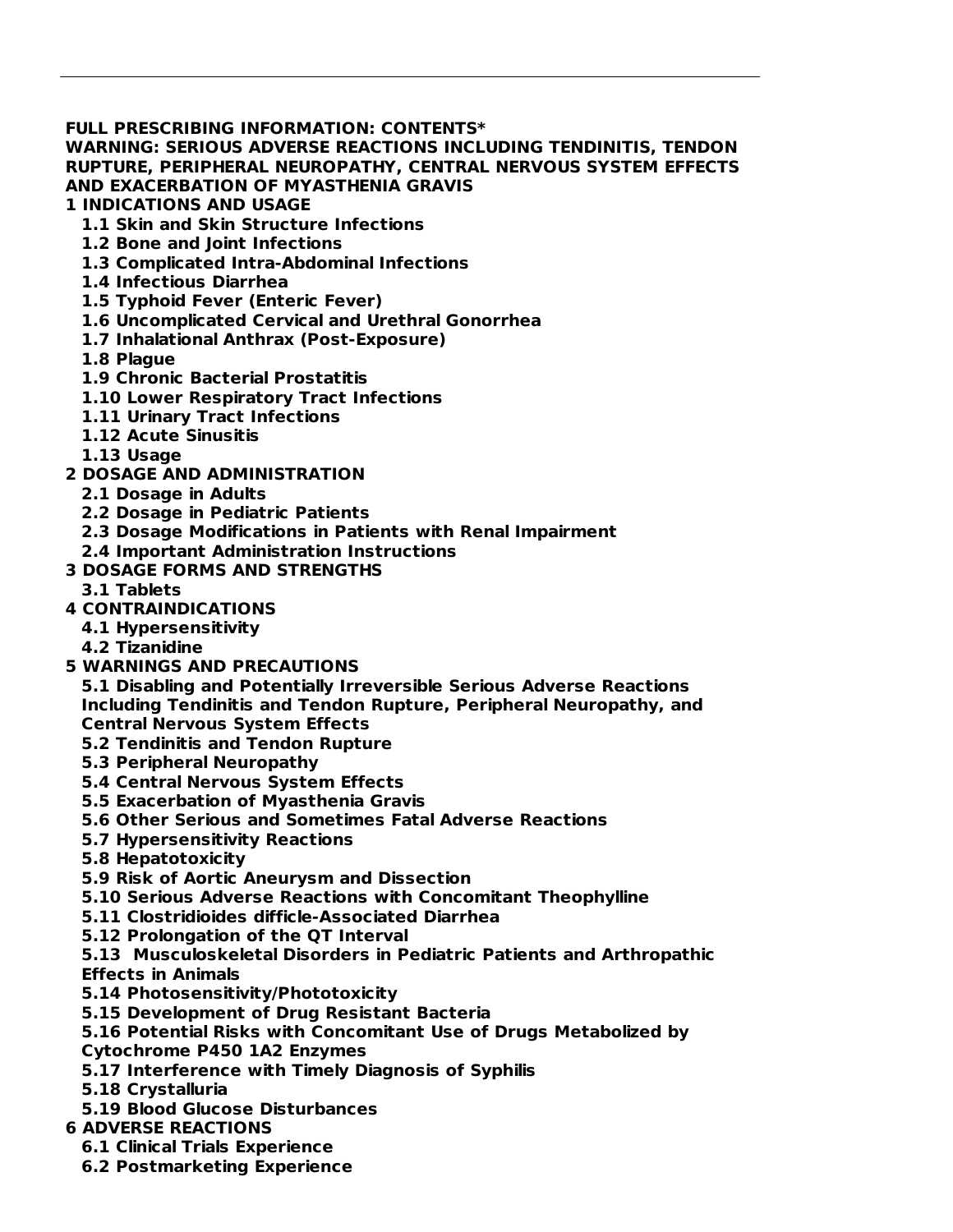#### **FULL PRESCRIBING INFORMATION: CONTENTS\***

**WARNING: SERIOUS ADVERSE REACTIONS INCLUDING TENDINITIS, TENDON RUPTURE, PERIPHERAL NEUROPATHY, CENTRAL NERVOUS SYSTEM EFFECTS AND EXACERBATION OF MYASTHENIA GRAVIS**

#### **1 INDICATIONS AND USAGE**

- **1.1 Skin and Skin Structure Infections**
- **1.2 Bone and Joint Infections**
- **1.3 Complicated Intra-Abdominal Infections**
- **1.4 Infectious Diarrhea**
- **1.5 Typhoid Fever (Enteric Fever)**
- **1.6 Uncomplicated Cervical and Urethral Gonorrhea**
- **1.7 Inhalational Anthrax (Post-Exposure)**
- **1.8 Plague**
- **1.9 Chronic Bacterial Prostatitis**
- **1.10 Lower Respiratory Tract Infections**
- **1.11 Urinary Tract Infections**
- **1.12 Acute Sinusitis**
- **1.13 Usage**
- **2 DOSAGE AND ADMINISTRATION**
	- **2.1 Dosage in Adults**
	- **2.2 Dosage in Pediatric Patients**
	- **2.3 Dosage Modifications in Patients with Renal Impairment**
	- **2.4 Important Administration Instructions**
- **3 DOSAGE FORMS AND STRENGTHS**
- **3.1 Tablets**
- **4 CONTRAINDICATIONS**
	- **4.1 Hypersensitivity**
	- **4.2 Tizanidine**
- **5 WARNINGS AND PRECAUTIONS**
	- **5.1 Disabling and Potentially Irreversible Serious Adverse Reactions Including Tendinitis and Tendon Rupture, Peripheral Neuropathy, and Central Nervous System Effects**
	- **5.2 Tendinitis and Tendon Rupture**
	- **5.3 Peripheral Neuropathy**
	- **5.4 Central Nervous System Effects**
	- **5.5 Exacerbation of Myasthenia Gravis**
	- **5.6 Other Serious and Sometimes Fatal Adverse Reactions**
	- **5.7 Hypersensitivity Reactions**
	- **5.8 Hepatotoxicity**
	- **5.9 Risk of Aortic Aneurysm and Dissection**
	- **5.10 Serious Adverse Reactions with Concomitant Theophylline**
	- **5.11 Clostridioides difficle-Associated Diarrhea**
	- **5.12 Prolongation of the QT Interval**

**5.13 Musculoskeletal Disorders in Pediatric Patients and Arthropathic Effects in Animals**

- **5.14 Photosensitivity/Phototoxicity**
- **5.15 Development of Drug Resistant Bacteria**
- **5.16 Potential Risks with Concomitant Use of Drugs Metabolized by**
- **Cytochrome P450 1A2 Enzymes**
- **5.17 Interference with Timely Diagnosis of Syphilis**
- **5.18 Crystalluria**
- **5.19 Blood Glucose Disturbances**
- **6 ADVERSE REACTIONS**
	- **6.1 Clinical Trials Experience**
	- **6.2 Postmarketing Experience**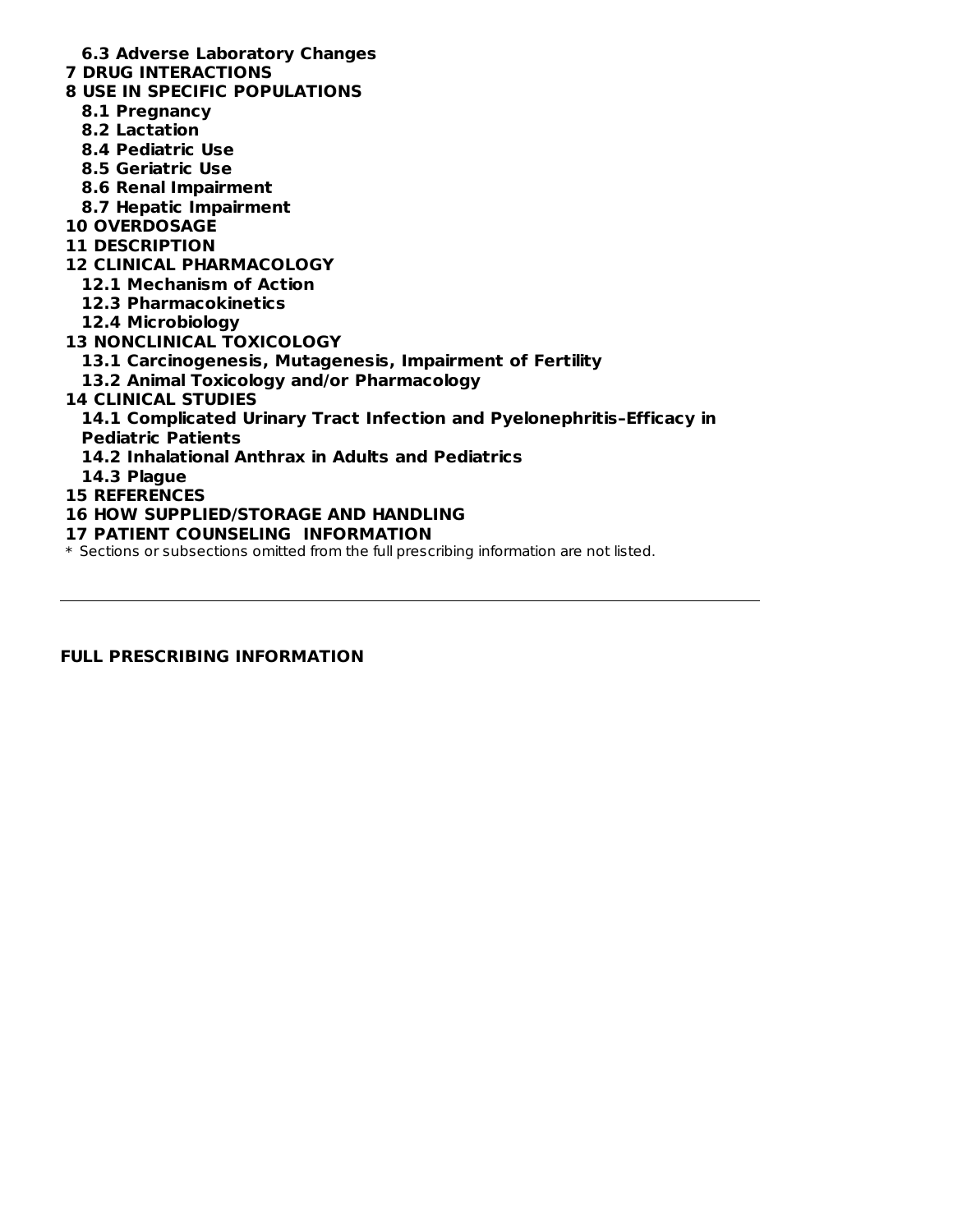#### **6.3 Adverse Laboratory Changes**

- **7 DRUG INTERACTIONS**
- **8 USE IN SPECIFIC POPULATIONS**
	- **8.1 Pregnancy**
	- **8.2 Lactation**
	- **8.4 Pediatric Use**
	- **8.5 Geriatric Use**
	- **8.6 Renal Impairment**
	- **8.7 Hepatic Impairment**
- **10 OVERDOSAGE**
- **11 DESCRIPTION**
- **12 CLINICAL PHARMACOLOGY**
	- **12.1 Mechanism of Action**
	- **12.3 Pharmacokinetics**
	- **12.4 Microbiology**
- **13 NONCLINICAL TOXICOLOGY**
	- **13.1 Carcinogenesis, Mutagenesis, Impairment of Fertility**
	- **13.2 Animal Toxicology and/or Pharmacology**
- **14 CLINICAL STUDIES**
	- **14.1 Complicated Urinary Tract Infection and Pyelonephritis–Efficacy in Pediatric Patients**
	-
	- **14.2 Inhalational Anthrax in Adults and Pediatrics**
	- **14.3 Plague**
- **15 REFERENCES**
- **16 HOW SUPPLIED/STORAGE AND HANDLING**
- **17 PATIENT COUNSELING INFORMATION**

\* Sections or subsections omitted from the full prescribing information are not listed.

**FULL PRESCRIBING INFORMATION**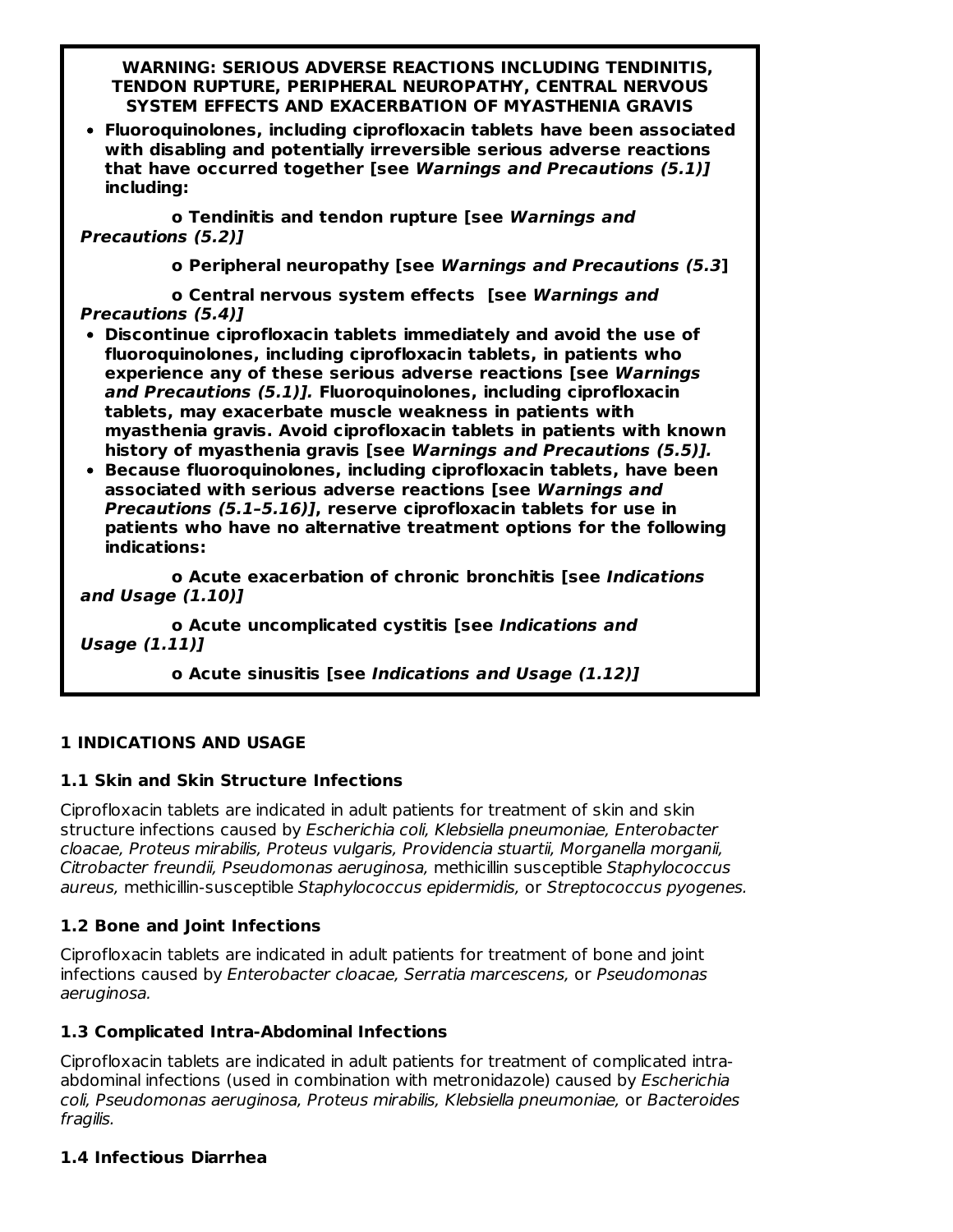**WARNING: SERIOUS ADVERSE REACTIONS INCLUDING TENDINITIS, TENDON RUPTURE, PERIPHERAL NEUROPATHY, CENTRAL NERVOUS SYSTEM EFFECTS AND EXACERBATION OF MYASTHENIA GRAVIS**

**Fluoroquinolones, including ciprofloxacin tablets have been associated with disabling and potentially irreversible serious adverse reactions that have occurred together [see Warnings and Precautions (5.1)] including:**

**o Tendinitis and tendon rupture [see Warnings and Precautions (5.2)]**

**o Peripheral neuropathy [see Warnings and Precautions (5.3]**

**o Central nervous system effects [see Warnings and Precautions (5.4)]**

- **Discontinue ciprofloxacin tablets immediately and avoid the use of fluoroquinolones, including ciprofloxacin tablets, in patients who experience any of these serious adverse reactions [see Warnings and Precautions (5.1)]. Fluoroquinolones, including ciprofloxacin tablets, may exacerbate muscle weakness in patients with myasthenia gravis. Avoid ciprofloxacin tablets in patients with known history of myasthenia gravis [see Warnings and Precautions (5.5)].**
- **Because fluoroquinolones, including ciprofloxacin tablets, have been associated with serious adverse reactions [see Warnings and Precautions (5.1–5.16)], reserve ciprofloxacin tablets for use in patients who have no alternative treatment options for the following indications:**

**o Acute exacerbation of chronic bronchitis [see Indications and Usage (1.10)]**

**o Acute uncomplicated cystitis [see Indications and Usage (1.11)]**

**o Acute sinusitis [see Indications and Usage (1.12)]**

#### **1 INDICATIONS AND USAGE**

#### **1.1 Skin and Skin Structure Infections**

Ciprofloxacin tablets are indicated in adult patients for treatment of skin and skin structure infections caused by Escherichia coli, Klebsiella pneumoniae, Enterobacter cloacae, Proteus mirabilis, Proteus vulgaris, Providencia stuartii, Morganella morganii, Citrobacter freundii, Pseudomonas aeruginosa, methicillin susceptible Staphylococcus aureus, methicillin-susceptible Staphylococcus epidermidis, or Streptococcus pyogenes.

## **1.2 Bone and Joint Infections**

Ciprofloxacin tablets are indicated in adult patients for treatment of bone and joint infections caused by Enterobacter cloacae, Serratia marcescens, or Pseudomonas aeruginosa.

## **1.3 Complicated Intra-Abdominal Infections**

Ciprofloxacin tablets are indicated in adult patients for treatment of complicated intraabdominal infections (used in combination with metronidazole) caused by *Escherichia* coli, Pseudomonas aeruginosa, Proteus mirabilis, Klebsiella pneumoniae, or Bacteroides fragilis.

#### **1.4 Infectious Diarrhea**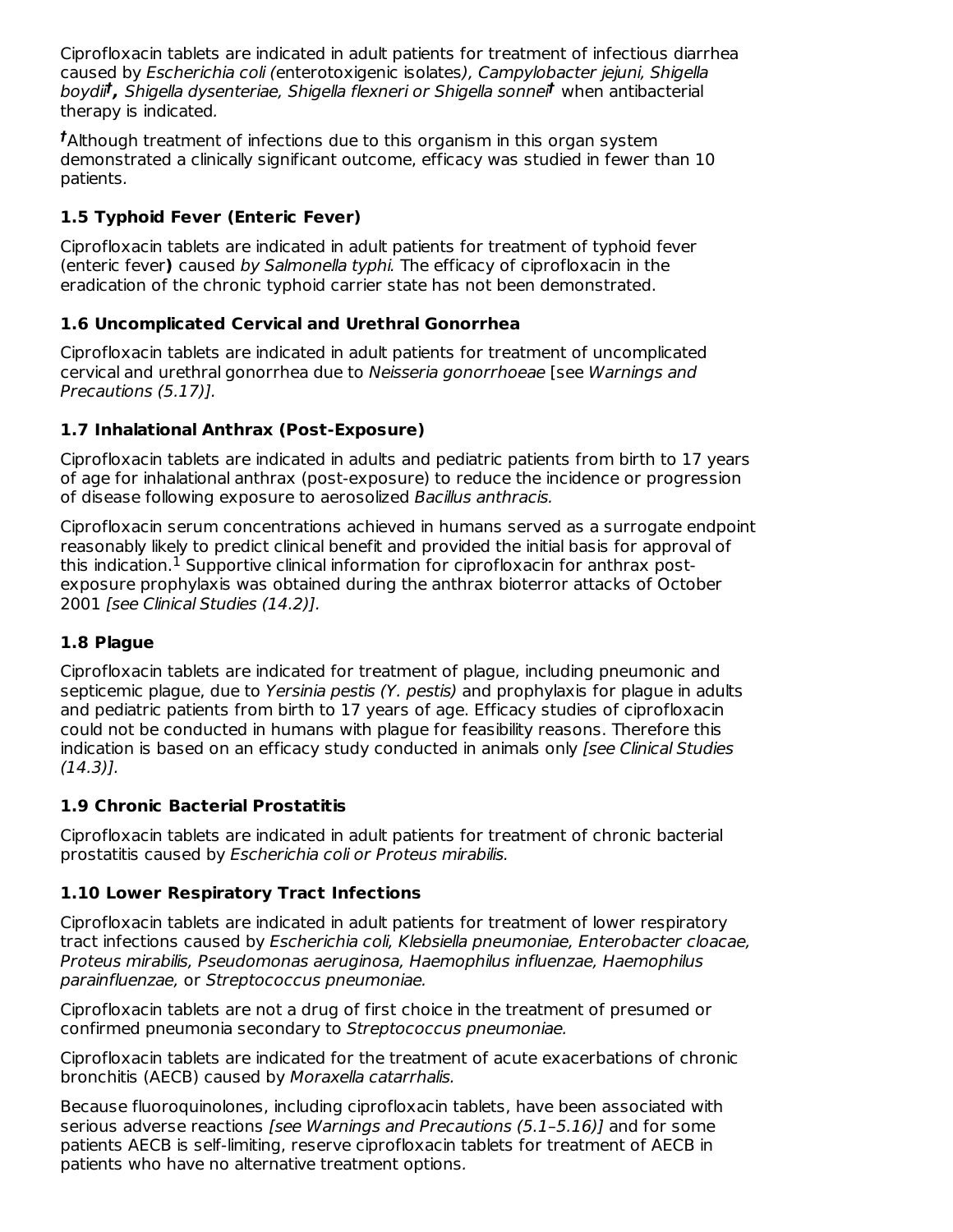Ciprofloxacin tablets are indicated in adult patients for treatment of infectious diarrhea caused by Escherichia coli (enterotoxigenic isolates), Campylobacter jejuni, Shigella boydii<sup>t</sup>, Shigella dysenteriae, Shigella flexneri or Shigella sonnei<sup>t</sup> when antibacterial therapy is indicated.

Although treatment of infections due to this organism in this organ system **†** demonstrated a clinically significant outcome, efficacy was studied in fewer than 10 patients.

# **1.5 Typhoid Fever (Enteric Fever)**

Ciprofloxacin tablets are indicated in adult patients for treatment of typhoid fever (enteric fever**)** caused by Salmonella typhi. The efficacy of ciprofloxacin in the eradication of the chronic typhoid carrier state has not been demonstrated.

# **1.6 Uncomplicated Cervical and Urethral Gonorrhea**

Ciprofloxacin tablets are indicated in adult patients for treatment of uncomplicated cervical and urethral gonorrhea due to Neisseria gonorrhoeae [see Warnings and Precautions (5.17)].

## **1.7 Inhalational Anthrax (Post-Exposure)**

Ciprofloxacin tablets are indicated in adults and pediatric patients from birth to 17 years of age for inhalational anthrax (post-exposure) to reduce the incidence or progression of disease following exposure to aerosolized Bacillus anthracis.

Ciprofloxacin serum concentrations achieved in humans served as a surrogate endpoint reasonably likely to predict clinical benefit and provided the initial basis for approval of this indication. $^1$  Supportive clinical information for ciprofloxacin for anthrax postexposure prophylaxis was obtained during the anthrax bioterror attacks of October 2001 [see Clinical Studies (14.2)].

## **1.8 Plague**

Ciprofloxacin tablets are indicated for treatment of plague, including pneumonic and septicemic plague, due to Yersinia pestis (Y. pestis) and prophylaxis for plague in adults and pediatric patients from birth to 17 years of age. Efficacy studies of ciprofloxacin could not be conducted in humans with plague for feasibility reasons. Therefore this indication is based on an efficacy study conducted in animals only [see Clinical Studies (14.3)].

## **1.9 Chronic Bacterial Prostatitis**

Ciprofloxacin tablets are indicated in adult patients for treatment of chronic bacterial prostatitis caused by Escherichia coli or Proteus mirabilis.

## **1.10 Lower Respiratory Tract Infections**

Ciprofloxacin tablets are indicated in adult patients for treatment of lower respiratory tract infections caused by Escherichia coli, Klebsiella pneumoniae, Enterobacter cloacae, Proteus mirabilis, Pseudomonas aeruginosa, Haemophilus influenzae, Haemophilus parainfluenzae, or Streptococcus pneumoniae.

Ciprofloxacin tablets are not a drug of first choice in the treatment of presumed or confirmed pneumonia secondary to Streptococcus pneumoniae.

Ciprofloxacin tablets are indicated for the treatment of acute exacerbations of chronic bronchitis (AECB) caused by Moraxella catarrhalis.

Because fluoroquinolones, including ciprofloxacin tablets, have been associated with serious adverse reactions [see Warnings and Precautions (5.1–5.16)] and for some patients AECB is self-limiting, reserve ciprofloxacin tablets for treatment of AECB in patients who have no alternative treatment options.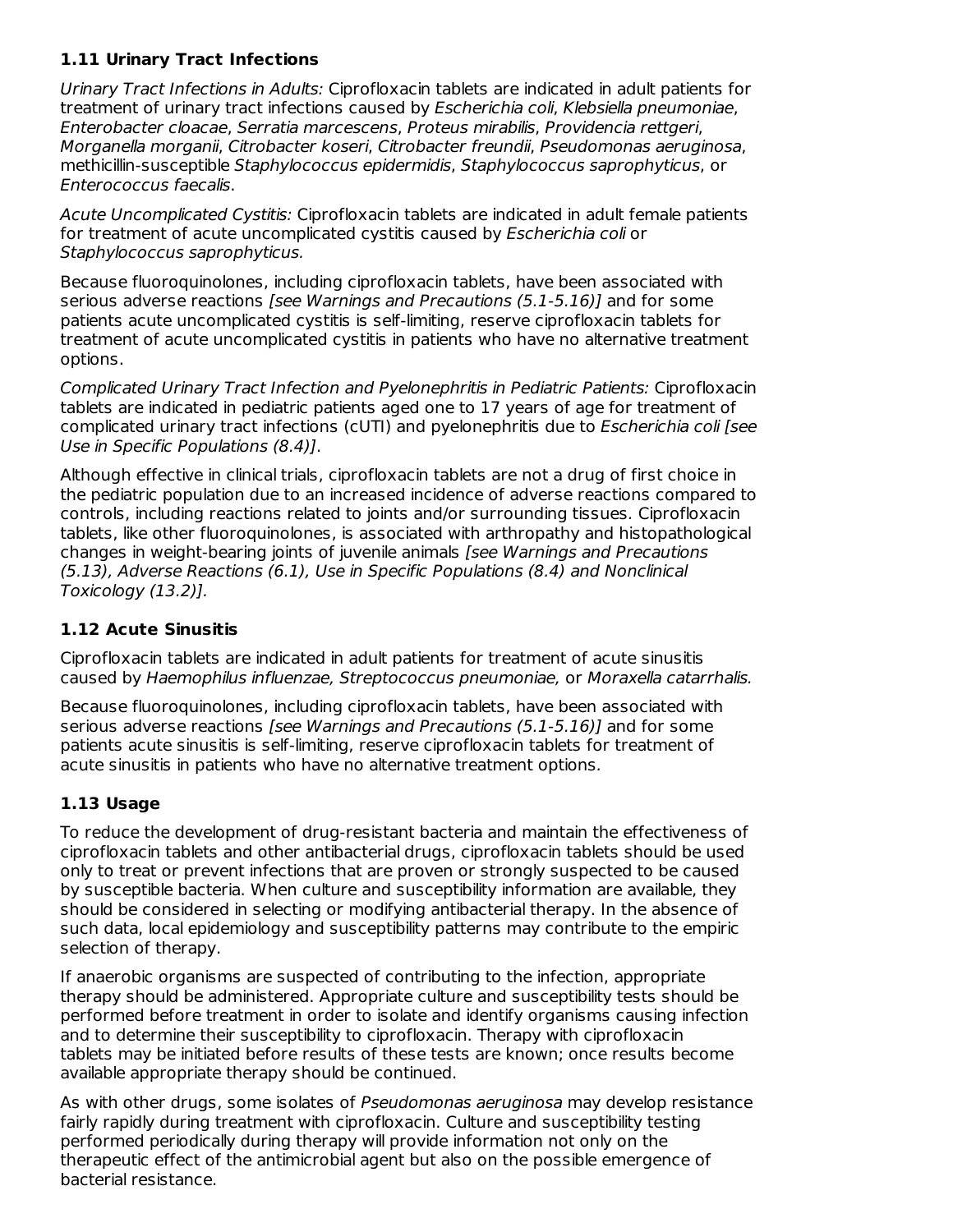# **1.11 Urinary Tract Infections**

Urinary Tract Infections in Adults: Ciprofloxacin tablets are indicated in adult patients for treatment of urinary tract infections caused by *Escherichia coli, Klebsiella pneumoniae*, Enterobacter cloacae, Serratia marcescens, Proteus mirabilis, Providencia rettgeri, Morganella morganii, Citrobacter koseri, Citrobacter freundii, Pseudomonas aeruginosa, methicillin-susceptible Staphylococcus epidermidis, Staphylococcus saprophyticus, or Enterococcus faecalis.

Acute Uncomplicated Cystitis: Ciprofloxacin tablets are indicated in adult female patients for treatment of acute uncomplicated cystitis caused by Escherichia coli or Staphylococcus saprophyticus.

Because fluoroquinolones, including ciprofloxacin tablets, have been associated with serious adverse reactions [see Warnings and Precautions (5.1-5.16)] and for some patients acute uncomplicated cystitis is self-limiting, reserve ciprofloxacin tablets for treatment of acute uncomplicated cystitis in patients who have no alternative treatment options.

Complicated Urinary Tract Infection and Pyelonephritis in Pediatric Patients: Ciprofloxacin tablets are indicated in pediatric patients aged one to 17 years of age for treatment of complicated urinary tract infections (cUTI) and pyelonephritis due to *Escherichia coli [see* Use in Specific Populations (8.4)].

Although effective in clinical trials, ciprofloxacin tablets are not a drug of first choice in the pediatric population due to an increased incidence of adverse reactions compared to controls, including reactions related to joints and/or surrounding tissues. Ciprofloxacin tablets, like other fluoroquinolones, is associated with arthropathy and histopathological changes in weight-bearing joints of juvenile animals [see Warnings and Precautions (5.13), Adverse Reactions (6.1), Use in Specific Populations (8.4) and Nonclinical Toxicology (13.2)].

## **1.12 Acute Sinusitis**

Ciprofloxacin tablets are indicated in adult patients for treatment of acute sinusitis caused by Haemophilus influenzae, Streptococcus pneumoniae, or Moraxella catarrhalis.

Because fluoroquinolones, including ciprofloxacin tablets, have been associated with serious adverse reactions [see Warnings and Precautions  $(5.1 - 5.16)$ ] and for some patients acute sinusitis is self-limiting, reserve ciprofloxacin tablets for treatment of acute sinusitis in patients who have no alternative treatment options.

## **1.13 Usage**

To reduce the development of drug-resistant bacteria and maintain the effectiveness of ciprofloxacin tablets and other antibacterial drugs, ciprofloxacin tablets should be used only to treat or prevent infections that are proven or strongly suspected to be caused by susceptible bacteria. When culture and susceptibility information are available, they should be considered in selecting or modifying antibacterial therapy. In the absence of such data, local epidemiology and susceptibility patterns may contribute to the empiric selection of therapy.

If anaerobic organisms are suspected of contributing to the infection, appropriate therapy should be administered. Appropriate culture and susceptibility tests should be performed before treatment in order to isolate and identify organisms causing infection and to determine their susceptibility to ciprofloxacin. Therapy with ciprofloxacin tablets may be initiated before results of these tests are known; once results become available appropriate therapy should be continued.

As with other drugs, some isolates of Pseudomonas aeruginosa may develop resistance fairly rapidly during treatment with ciprofloxacin. Culture and susceptibility testing performed periodically during therapy will provide information not only on the therapeutic effect of the antimicrobial agent but also on the possible emergence of bacterial resistance.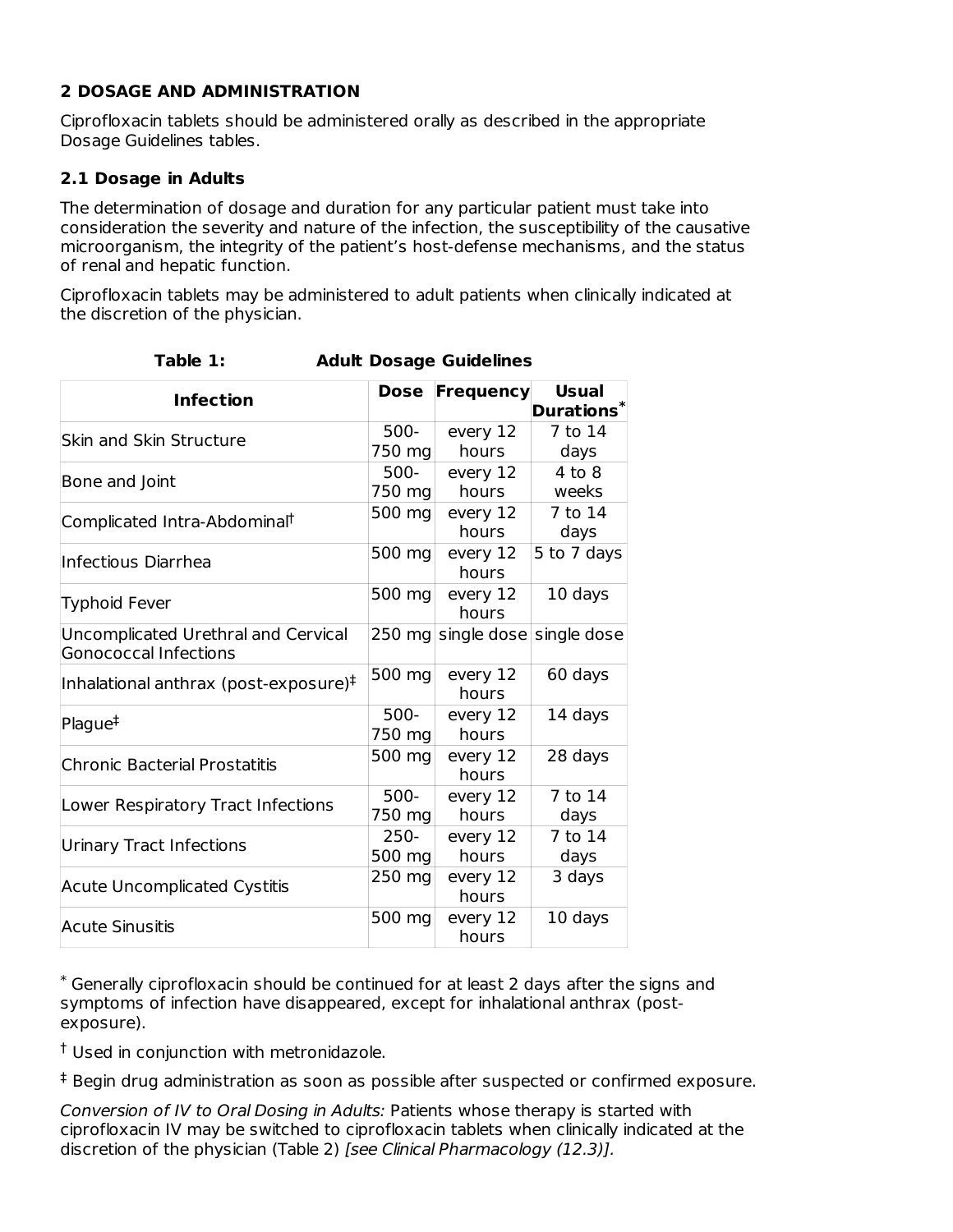#### **2 DOSAGE AND ADMINISTRATION**

Ciprofloxacin tablets should be administered orally as described in the appropriate Dosage Guidelines tables.

#### **2.1 Dosage in Adults**

The determination of dosage and duration for any particular patient must take into consideration the severity and nature of the infection, the susceptibility of the causative microorganism, the integrity of the patient's host-defense mechanisms, and the status of renal and hepatic function.

Ciprofloxacin tablets may be administered to adult patients when clinically indicated at the discretion of the physician.

| <b>Infection</b>                                                    | <b>Dose</b>       | Frequency          | <b>Usual</b><br>Durations $*$ |
|---------------------------------------------------------------------|-------------------|--------------------|-------------------------------|
| Skin and Skin Structure                                             | $500-$<br>750 mg  | every 12<br>hours  | 7 to 14<br>days               |
| Bone and Joint                                                      | 500-<br>750 mg    | every 12<br>hours  | $4$ to $8$<br>weeks           |
| Complicated Intra-Abdominal <sup>†</sup>                            | 500 mg            | every 12<br>hours  | 7 to 14<br>days               |
| Infectious Diarrhea                                                 | 500 mg            | every 12<br>hours  | 5 to 7 days                   |
| Typhoid Fever                                                       | 500 mg            | every 12<br>hours  | 10 days                       |
| Uncomplicated Urethral and Cervical<br><b>Gonococcal Infections</b> |                   | 250 mg single dose | single dose                   |
| Inhalational anthrax (post-exposure) $\ddagger$                     | 500 mg            | every 12<br>hours  | 60 days                       |
| Plague <sup>‡</sup>                                                 | $500 -$<br>750 mg | every 12<br>hours  | 14 days                       |
| Chronic Bacterial Prostatitis                                       | 500 mg            | every 12<br>hours  | 28 days                       |
| Lower Respiratory Tract Infections                                  | $500-$<br>750 mg  | every 12<br>hours  | 7 to 14<br>days               |
| Urinary Tract Infections                                            | $250 -$<br>500 mg | every 12<br>hours  | 7 to 14<br>days               |
| <b>Acute Uncomplicated Cystitis</b>                                 | 250 mg            | every 12<br>hours  | 3 days                        |
| <b>Acute Sinusitis</b>                                              | 500 mg            | every 12<br>hours  | 10 days                       |

**Table 1: Adult Dosage Guidelines**

Generally ciprofloxacin should be continued for at least 2 days after the signs and \* symptoms of infection have disappeared, except for inhalational anthrax (postexposure).

Used in conjunction with metronidazole. †

 $<sup>‡</sup>$  Begin drug administration as soon as possible after suspected or confirmed exposure.</sup>

Conversion of IV to Oral Dosing in Adults: Patients whose therapy is started with ciprofloxacin IV may be switched to ciprofloxacin tablets when clinically indicated at the discretion of the physician (Table 2) [see Clinical Pharmacology (12.3)].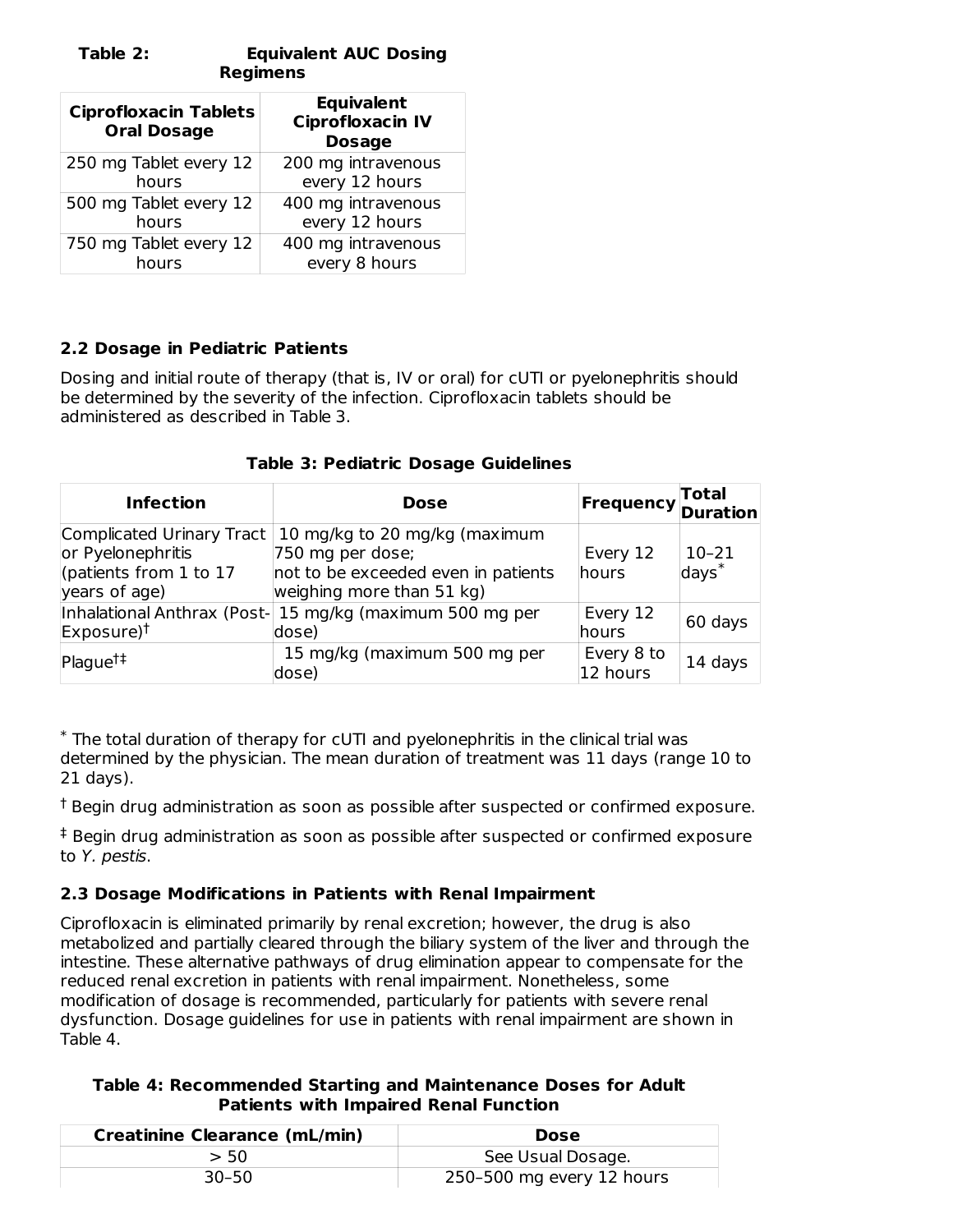#### **Table 2: Equivalent AUC Dosing Regimens**

| <b>Ciprofloxacin Tablets</b><br><b>Oral Dosage</b> | <b>Equivalent</b><br><b>Ciprofloxacin IV</b><br><b>Dosage</b> |
|----------------------------------------------------|---------------------------------------------------------------|
| 250 mg Tablet every 12                             | 200 mg intravenous                                            |
| hours                                              | every 12 hours                                                |
| 500 mg Tablet every 12                             | 400 mg intravenous                                            |
| hours                                              | every 12 hours                                                |
| 750 mg Tablet every 12                             | 400 mg intravenous                                            |
| hours                                              | every 8 hours                                                 |

# **2.2 Dosage in Pediatric Patients**

Dosing and initial route of therapy (that is, IV or oral) for cUTI or pyelonephritis should be determined by the severity of the infection. Ciprofloxacin tablets should be administered as described in Table 3.

|  |  |  |  | Table 3: Pediatric Dosage Guidelines |
|--|--|--|--|--------------------------------------|
|--|--|--|--|--------------------------------------|

| <b>Infection</b>                                                                          | <b>Dose</b>                                                                                                           | <b>Frequency Total</b>   |                    |
|-------------------------------------------------------------------------------------------|-----------------------------------------------------------------------------------------------------------------------|--------------------------|--------------------|
| Complicated Urinary Tract<br>or Pyelonephritis<br>(patients from 1 to 17<br>years of age) | 10 mg/kg to 20 mg/kg (maximum<br>750 mg per dose;<br>not to be exceeded even in patients<br>weighing more than 51 kg) | Every 12<br>hours        | $10-21$<br>$days*$ |
| $Exposure$ <sup>†</sup>                                                                   | Inhalational Anthrax (Post-15 mg/kg (maximum 500 mg per<br>dose)                                                      | Every 12<br><b>hours</b> | 60 days            |
| Plague <sup>†</sup>                                                                       | 15 mg/kg (maximum 500 mg per<br>dose)                                                                                 | Every 8 to<br>12 hours   | 14 days            |

 $*$  The total duration of therapy for cUTI and pyelonephritis in the clinical trial was determined by the physician. The mean duration of treatment was 11 days (range 10 to 21 days).

 $^\dagger$  Begin drug administration as soon as possible after suspected or confirmed exposure.

 $<sup>‡</sup>$  Begin drug administration as soon as possible after suspected or confirmed exposure</sup> to Y. pestis.

#### **2.3 Dosage Modifications in Patients with Renal Impairment**

Ciprofloxacin is eliminated primarily by renal excretion; however, the drug is also metabolized and partially cleared through the biliary system of the liver and through the intestine. These alternative pathways of drug elimination appear to compensate for the reduced renal excretion in patients with renal impairment. Nonetheless, some modification of dosage is recommended, particularly for patients with severe renal dysfunction. Dosage guidelines for use in patients with renal impairment are shown in Table 4.

#### **Table 4: Recommended Starting and Maintenance Doses for Adult Patients with Impaired Renal Function**

| <b>Creatinine Clearance (mL/min)</b> | <b>Dose</b>               |
|--------------------------------------|---------------------------|
| > 50                                 | See Usual Dosage.         |
| $30 - 50$                            | 250-500 mg every 12 hours |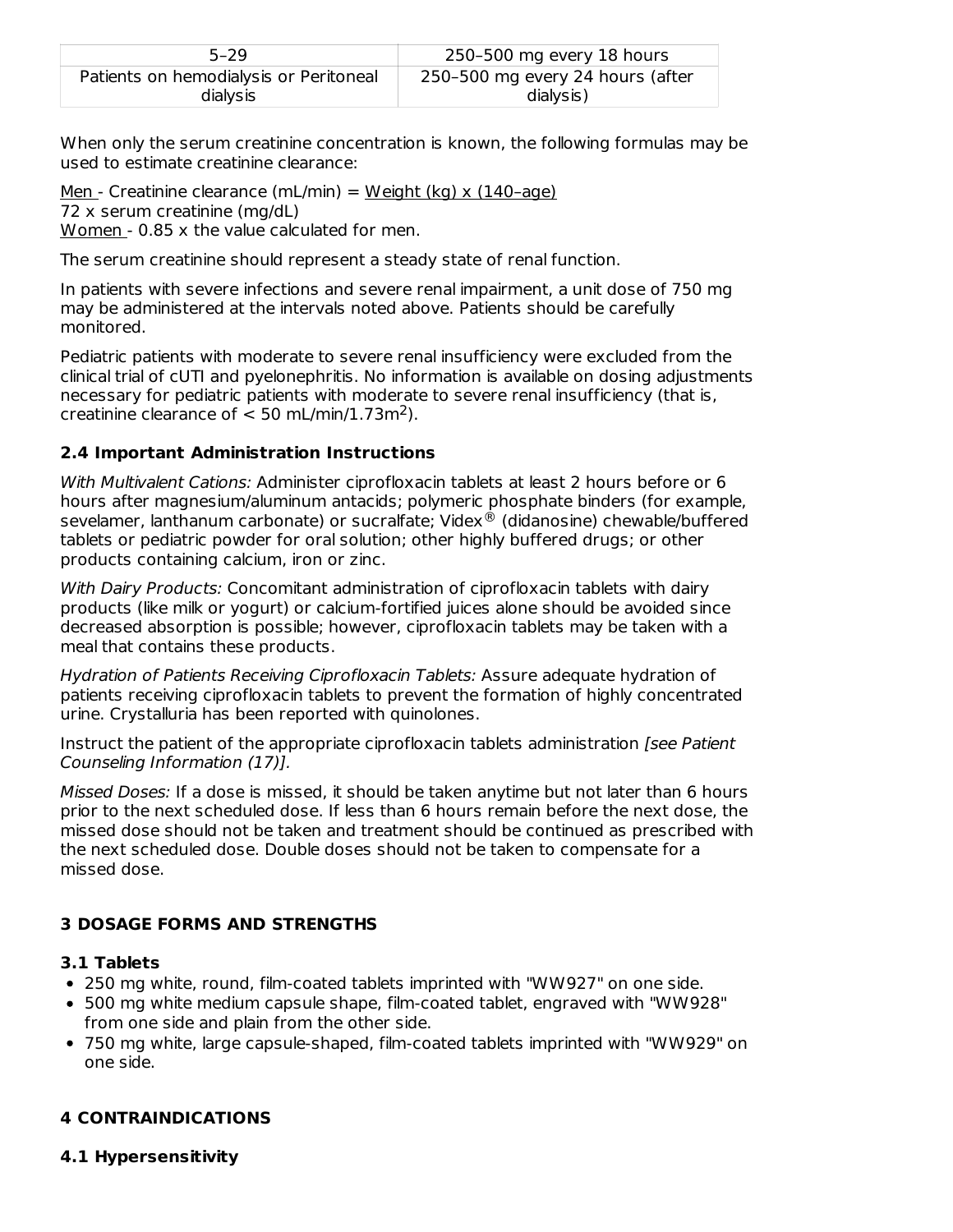| $5 - 29$                               | 250-500 mg every 18 hours        |
|----------------------------------------|----------------------------------|
| Patients on hemodialysis or Peritoneal | 250–500 mg every 24 hours (after |
| dialysis                               | dialysis)                        |

When only the serum creatinine concentration is known, the following formulas may be used to estimate creatinine clearance:

Men - Creatinine clearance (mL/min) = Weight (kg) x (140-age) 72 x serum creatinine (mg/dL) Women - 0.85 x the value calculated for men.

The serum creatinine should represent a steady state of renal function.

In patients with severe infections and severe renal impairment, a unit dose of 750 mg may be administered at the intervals noted above. Patients should be carefully monitored.

Pediatric patients with moderate to severe renal insufficiency were excluded from the clinical trial of cUTI and pyelonephritis. No information is available on dosing adjustments necessary for pediatric patients with moderate to severe renal insufficiency (that is, creatinine clearance of  $< 50$  mL/min/1.73m<sup>2</sup>).

## **2.4 Important Administration Instructions**

With Multivalent Cations: Administer ciprofloxacin tablets at least 2 hours before or 6 hours after magnesium/aluminum antacids; polymeric phosphate binders (for example, sevelamer, lanthanum carbonate) or sucralfate; Videx® (didanosine) chewable/buffered tablets or pediatric powder for oral solution; other highly buffered drugs; or other products containing calcium, iron or zinc.

With Dairy Products: Concomitant administration of ciprofloxacin tablets with dairy products (like milk or yogurt) or calcium-fortified juices alone should be avoided since decreased absorption is possible; however, ciprofloxacin tablets may be taken with a meal that contains these products.

Hydration of Patients Receiving Ciprofloxacin Tablets: Assure adequate hydration of patients receiving ciprofloxacin tablets to prevent the formation of highly concentrated urine. Crystalluria has been reported with quinolones.

Instruct the patient of the appropriate ciprofloxacin tablets administration [see Patient] Counseling Information (17)].

Missed Doses: If a dose is missed, it should be taken anytime but not later than 6 hours prior to the next scheduled dose. If less than 6 hours remain before the next dose, the missed dose should not be taken and treatment should be continued as prescribed with the next scheduled dose. Double doses should not be taken to compensate for a missed dose.

# **3 DOSAGE FORMS AND STRENGTHS**

## **3.1 Tablets**

- 250 mg white, round, film-coated tablets imprinted with "WW927" on one side.
- 500 mg white medium capsule shape, film-coated tablet, engraved with "WW928" from one side and plain from the other side.
- 750 mg white, large capsule-shaped, film-coated tablets imprinted with "WW929" on one side.

## **4 CONTRAINDICATIONS**

#### **4.1 Hypersensitivity**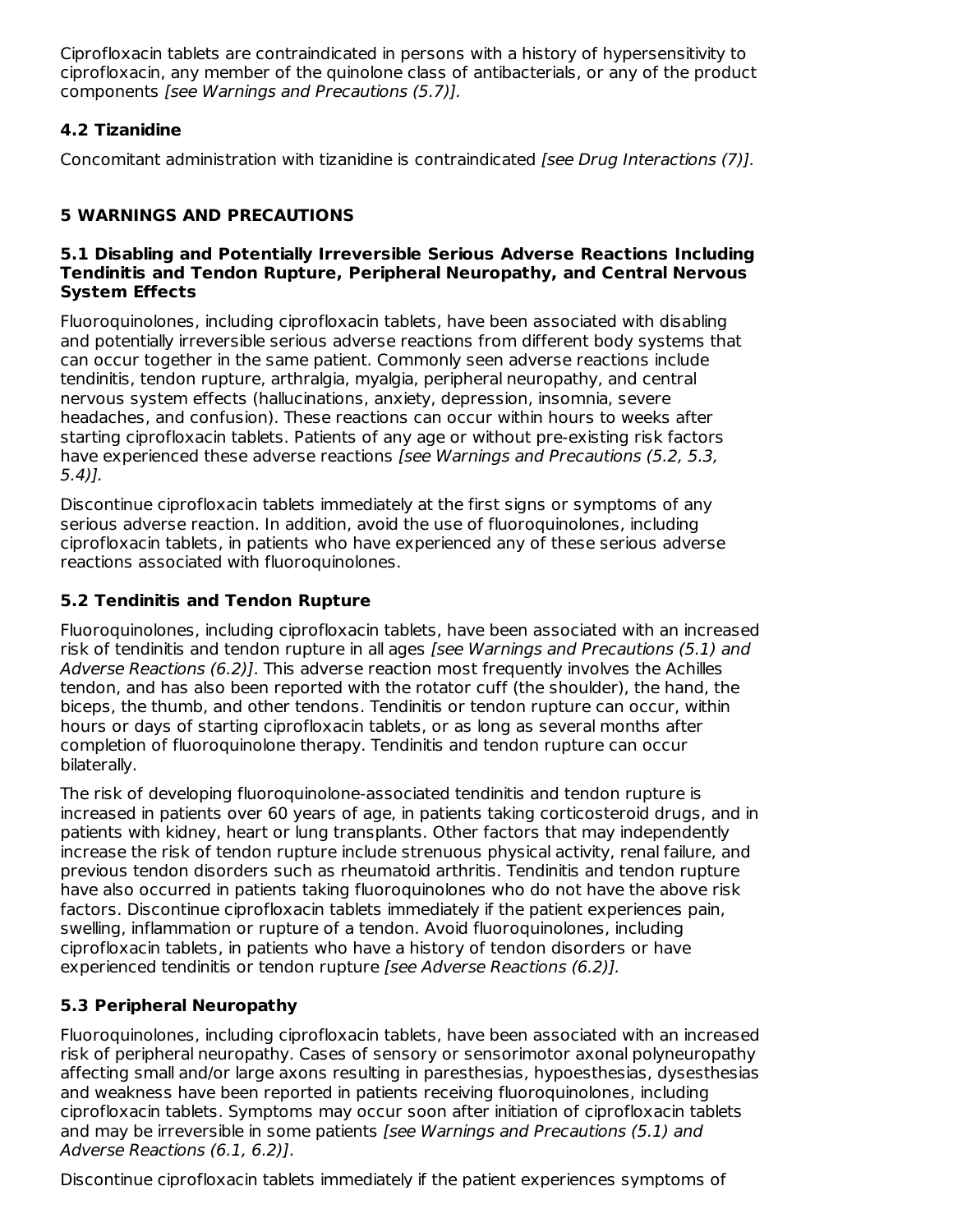Ciprofloxacin tablets are contraindicated in persons with a history of hypersensitivity to ciprofloxacin, any member of the quinolone class of antibacterials, or any of the product components [see Warnings and Precautions (5.7)].

## **4.2 Tizanidine**

Concomitant administration with tizanidine is contraindicated [see Drug Interactions (7)].

## **5 WARNINGS AND PRECAUTIONS**

#### **5.1 Disabling and Potentially Irreversible Serious Adverse Reactions Including Tendinitis and Tendon Rupture, Peripheral Neuropathy, and Central Nervous System Effects**

Fluoroquinolones, including ciprofloxacin tablets, have been associated with disabling and potentially irreversible serious adverse reactions from different body systems that can occur together in the same patient. Commonly seen adverse reactions include tendinitis, tendon rupture, arthralgia, myalgia, peripheral neuropathy, and central nervous system effects (hallucinations, anxiety, depression, insomnia, severe headaches, and confusion). These reactions can occur within hours to weeks after starting ciprofloxacin tablets. Patients of any age or without pre-existing risk factors have experienced these adverse reactions *[see Warnings and Precautions (5.2, 5.3,* 5.4)].

Discontinue ciprofloxacin tablets immediately at the first signs or symptoms of any serious adverse reaction. In addition, avoid the use of fluoroquinolones, including ciprofloxacin tablets, in patients who have experienced any of these serious adverse reactions associated with fluoroquinolones.

## **5.2 Tendinitis and Tendon Rupture**

Fluoroquinolones, including ciprofloxacin tablets, have been associated with an increased risk of tendinitis and tendon rupture in all ages [see Warnings and Precautions (5.1) and Adverse Reactions (6.2)]. This adverse reaction most frequently involves the Achilles tendon, and has also been reported with the rotator cuff (the shoulder), the hand, the biceps, the thumb, and other tendons. Tendinitis or tendon rupture can occur, within hours or days of starting ciprofloxacin tablets, or as long as several months after completion of fluoroquinolone therapy. Tendinitis and tendon rupture can occur bilaterally.

The risk of developing fluoroquinolone-associated tendinitis and tendon rupture is increased in patients over 60 years of age, in patients taking corticosteroid drugs, and in patients with kidney, heart or lung transplants. Other factors that may independently increase the risk of tendon rupture include strenuous physical activity, renal failure, and previous tendon disorders such as rheumatoid arthritis. Tendinitis and tendon rupture have also occurred in patients taking fluoroquinolones who do not have the above risk factors. Discontinue ciprofloxacin tablets immediately if the patient experiences pain, swelling, inflammation or rupture of a tendon. Avoid fluoroquinolones, including ciprofloxacin tablets, in patients who have a history of tendon disorders or have experienced tendinitis or tendon rupture [see Adverse Reactions (6.2)].

## **5.3 Peripheral Neuropathy**

Fluoroquinolones, including ciprofloxacin tablets, have been associated with an increased risk of peripheral neuropathy. Cases of sensory or sensorimotor axonal polyneuropathy affecting small and/or large axons resulting in paresthesias, hypoesthesias, dysesthesias and weakness have been reported in patients receiving fluoroquinolones, including ciprofloxacin tablets. Symptoms may occur soon after initiation of ciprofloxacin tablets and may be irreversible in some patients [see Warnings and Precautions (5.1) and Adverse Reactions (6.1, 6.2)].

Discontinue ciprofloxacin tablets immediately if the patient experiences symptoms of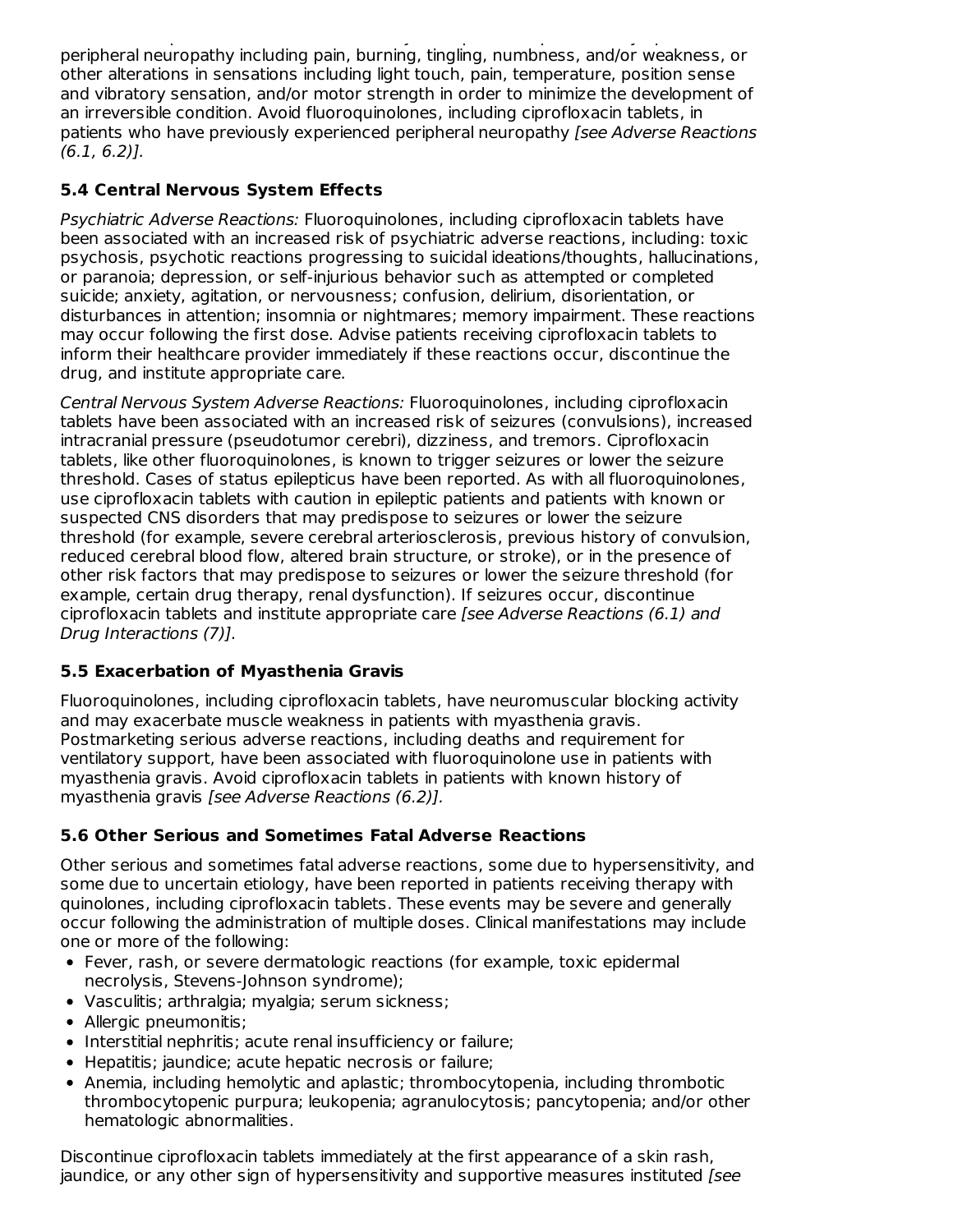Discontinue ciprofloxacin tablets immediately if the patient experiences symptoms of peripheral neuropathy including pain, burning, tingling, numbness, and/or weakness, or other alterations in sensations including light touch, pain, temperature, position sense and vibratory sensation, and/or motor strength in order to minimize the development of an irreversible condition. Avoid fluoroquinolones, including ciprofloxacin tablets, in patients who have previously experienced peripheral neuropathy *[see Adverse Reactions* (6.1, 6.2)].

# **5.4 Central Nervous System Effects**

Psychiatric Adverse Reactions: Fluoroquinolones, including ciprofloxacin tablets have been associated with an increased risk of psychiatric adverse reactions, including: toxic psychosis, psychotic reactions progressing to suicidal ideations/thoughts, hallucinations, or paranoia; depression, or self-injurious behavior such as attempted or completed suicide; anxiety, agitation, or nervousness; confusion, delirium, disorientation, or disturbances in attention; insomnia or nightmares; memory impairment. These reactions may occur following the first dose. Advise patients receiving ciprofloxacin tablets to inform their healthcare provider immediately if these reactions occur, discontinue the drug, and institute appropriate care.

Central Nervous System Adverse Reactions: Fluoroquinolones, including ciprofloxacin tablets have been associated with an increased risk of seizures (convulsions), increased intracranial pressure (pseudotumor cerebri), dizziness, and tremors. Ciprofloxacin tablets, like other fluoroquinolones, is known to trigger seizures or lower the seizure threshold. Cases of status epilepticus have been reported. As with all fluoroquinolones, use ciprofloxacin tablets with caution in epileptic patients and patients with known or suspected CNS disorders that may predispose to seizures or lower the seizure threshold (for example, severe cerebral arteriosclerosis, previous history of convulsion, reduced cerebral blood flow, altered brain structure, or stroke), or in the presence of other risk factors that may predispose to seizures or lower the seizure threshold (for example, certain drug therapy, renal dysfunction). If seizures occur, discontinue ciprofloxacin tablets and institute appropriate care [see Adverse Reactions (6.1) and Drug Interactions (7)].

# **5.5 Exacerbation of Myasthenia Gravis**

Fluoroquinolones, including ciprofloxacin tablets, have neuromuscular blocking activity and may exacerbate muscle weakness in patients with myasthenia gravis. Postmarketing serious adverse reactions, including deaths and requirement for ventilatory support, have been associated with fluoroquinolone use in patients with myasthenia gravis. Avoid ciprofloxacin tablets in patients with known history of myasthenia gravis [see Adverse Reactions (6.2)].

# **5.6 Other Serious and Sometimes Fatal Adverse Reactions**

Other serious and sometimes fatal adverse reactions, some due to hypersensitivity, and some due to uncertain etiology, have been reported in patients receiving therapy with quinolones, including ciprofloxacin tablets. These events may be severe and generally occur following the administration of multiple doses. Clinical manifestations may include one or more of the following:

- Fever, rash, or severe dermatologic reactions (for example, toxic epidermal necrolysis, Stevens-Johnson syndrome);
- Vasculitis; arthralgia; myalgia; serum sickness;
- Allergic pneumonitis:
- Interstitial nephritis; acute renal insufficiency or failure;
- Hepatitis; jaundice; acute hepatic necrosis or failure;
- Anemia, including hemolytic and aplastic; thrombocytopenia, including thrombotic thrombocytopenic purpura; leukopenia; agranulocytosis; pancytopenia; and/or other hematologic abnormalities.

Discontinue ciprofloxacin tablets immediately at the first appearance of a skin rash, jaundice, or any other sign of hypersensitivity and supportive measures instituted [see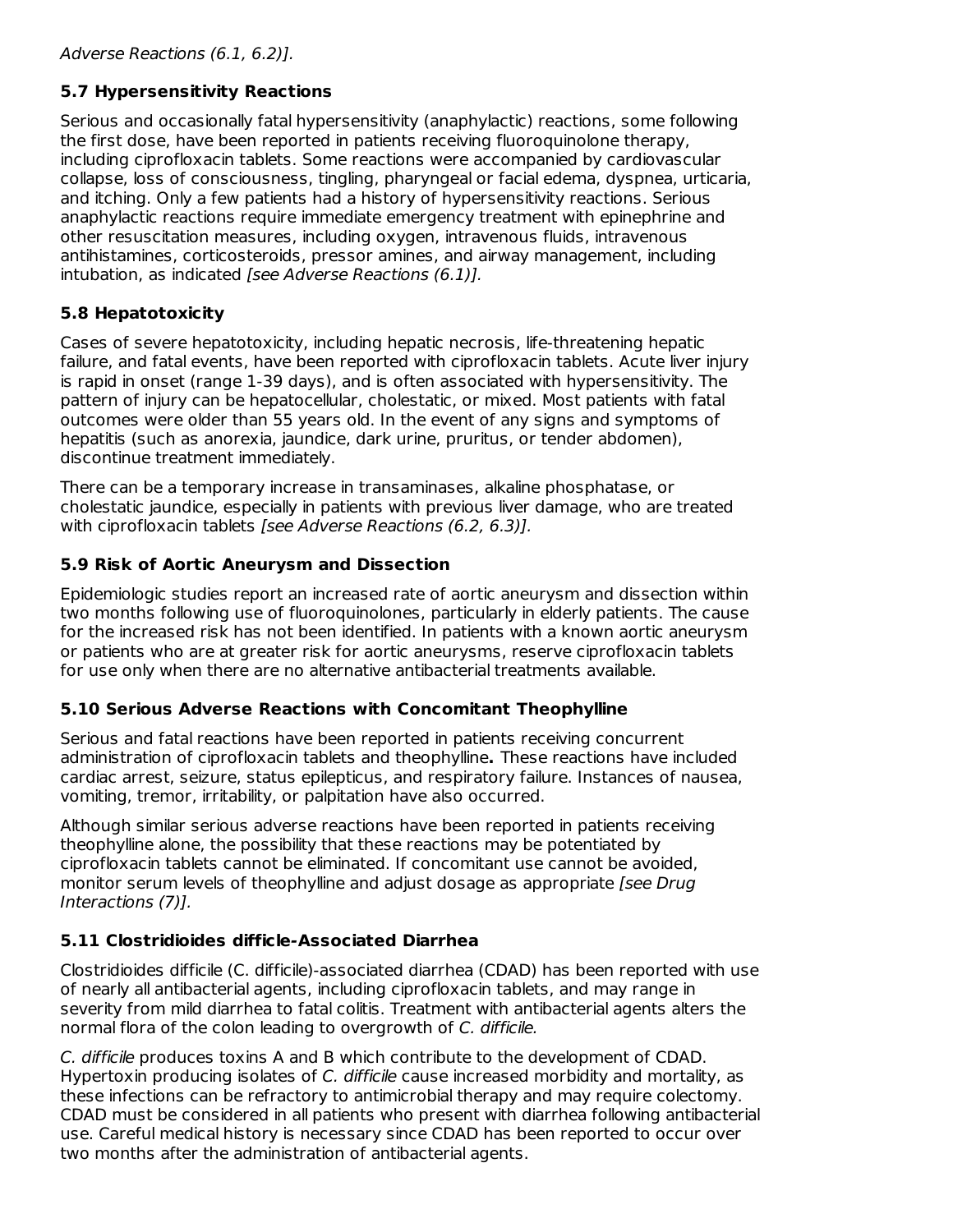# **5.7 Hypersensitivity Reactions**

Serious and occasionally fatal hypersensitivity (anaphylactic) reactions, some following the first dose, have been reported in patients receiving fluoroquinolone therapy, including ciprofloxacin tablets. Some reactions were accompanied by cardiovascular collapse, loss of consciousness, tingling, pharyngeal or facial edema, dyspnea, urticaria, and itching. Only a few patients had a history of hypersensitivity reactions. Serious anaphylactic reactions require immediate emergency treatment with epinephrine and other resuscitation measures, including oxygen, intravenous fluids, intravenous antihistamines, corticosteroids, pressor amines, and airway management, including intubation, as indicated [see Adverse Reactions (6.1)].

# **5.8 Hepatotoxicity**

Cases of severe hepatotoxicity, including hepatic necrosis, life-threatening hepatic failure, and fatal events, have been reported with ciprofloxacin tablets. Acute liver injury is rapid in onset (range 1-39 days), and is often associated with hypersensitivity. The pattern of injury can be hepatocellular, cholestatic, or mixed. Most patients with fatal outcomes were older than 55 years old. In the event of any signs and symptoms of hepatitis (such as anorexia, jaundice, dark urine, pruritus, or tender abdomen), discontinue treatment immediately.

There can be a temporary increase in transaminases, alkaline phosphatase, or cholestatic jaundice, especially in patients with previous liver damage, who are treated with ciprofloxacin tablets *[see Adverse Reactions (6.2, 6.3)].* 

# **5.9 Risk of Aortic Aneurysm and Dissection**

Epidemiologic studies report an increased rate of aortic aneurysm and dissection within two months following use of fluoroquinolones, particularly in elderly patients. The cause for the increased risk has not been identified. In patients with a known aortic aneurysm or patients who are at greater risk for aortic aneurysms, reserve ciprofloxacin tablets for use only when there are no alternative antibacterial treatments available.

## **5.10 Serious Adverse Reactions with Concomitant Theophylline**

Serious and fatal reactions have been reported in patients receiving concurrent administration of ciprofloxacin tablets and theophylline**.** These reactions have included cardiac arrest, seizure, status epilepticus, and respiratory failure. Instances of nausea, vomiting, tremor, irritability, or palpitation have also occurred.

Although similar serious adverse reactions have been reported in patients receiving theophylline alone, the possibility that these reactions may be potentiated by ciprofloxacin tablets cannot be eliminated. If concomitant use cannot be avoided, monitor serum levels of theophylline and adjust dosage as appropriate [see Drug] Interactions (7)].

## **5.11 Clostridioides difficle-Associated Diarrhea**

Clostridioides difficile (C. difficile)-associated diarrhea (CDAD) has been reported with use of nearly all antibacterial agents, including ciprofloxacin tablets, and may range in severity from mild diarrhea to fatal colitis. Treatment with antibacterial agents alters the normal flora of the colon leading to overgrowth of C. difficile.

C. difficile produces toxins A and B which contribute to the development of CDAD. Hypertoxin producing isolates of C. difficile cause increased morbidity and mortality, as these infections can be refractory to antimicrobial therapy and may require colectomy. CDAD must be considered in all patients who present with diarrhea following antibacterial use. Careful medical history is necessary since CDAD has been reported to occur over two months after the administration of antibacterial agents.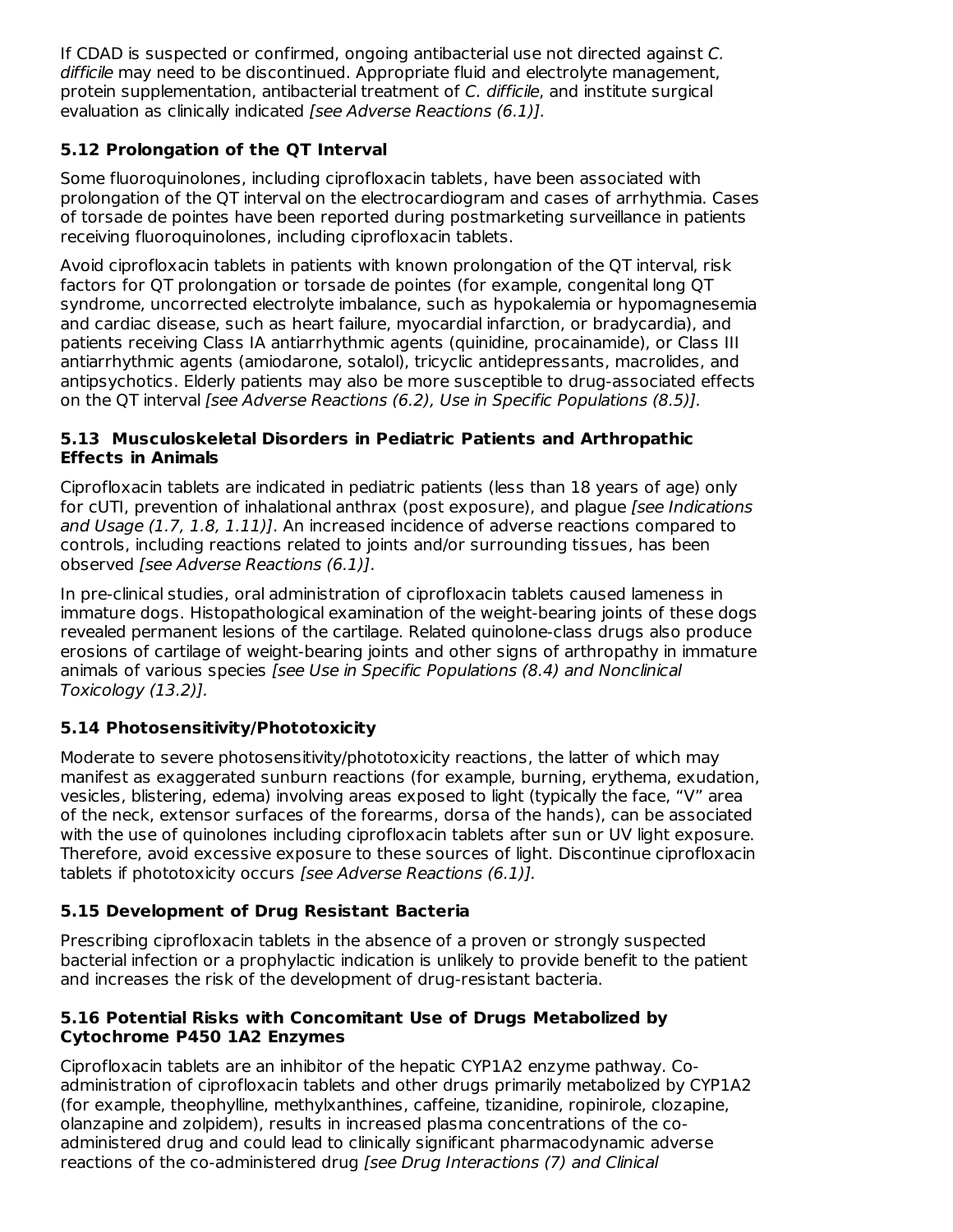If CDAD is suspected or confirmed, ongoing antibacterial use not directed against C. difficile may need to be discontinued. Appropriate fluid and electrolyte management, protein supplementation, antibacterial treatment of C. difficile, and institute surgical evaluation as clinically indicated [see Adverse Reactions (6.1)].

# **5.12 Prolongation of the QT Interval**

Some fluoroquinolones, including ciprofloxacin tablets, have been associated with prolongation of the QT interval on the electrocardiogram and cases of arrhythmia. Cases of torsade de pointes have been reported during postmarketing surveillance in patients receiving fluoroquinolones, including ciprofloxacin tablets.

Avoid ciprofloxacin tablets in patients with known prolongation of the QT interval, risk factors for QT prolongation or torsade de pointes (for example, congenital long QT syndrome, uncorrected electrolyte imbalance, such as hypokalemia or hypomagnesemia and cardiac disease, such as heart failure, myocardial infarction, or bradycardia), and patients receiving Class IA antiarrhythmic agents (quinidine, procainamide), or Class III antiarrhythmic agents (amiodarone, sotalol), tricyclic antidepressants, macrolides, and antipsychotics. Elderly patients may also be more susceptible to drug-associated effects on the QT interval [see Adverse Reactions (6.2), Use in Specific Populations (8.5)].

#### **5.13 Musculoskeletal Disorders in Pediatric Patients and Arthropathic Effects in Animals**

Ciprofloxacin tablets are indicated in pediatric patients (less than 18 years of age) only for cUTI, prevention of inhalational anthrax (post exposure), and plague [see Indications and Usage (1.7, 1.8, 1.11)]. An increased incidence of adverse reactions compared to controls, including reactions related to joints and/or surrounding tissues, has been observed [see Adverse Reactions (6.1)].

In pre-clinical studies, oral administration of ciprofloxacin tablets caused lameness in immature dogs. Histopathological examination of the weight-bearing joints of these dogs revealed permanent lesions of the cartilage. Related quinolone-class drugs also produce erosions of cartilage of weight-bearing joints and other signs of arthropathy in immature animals of various species [see Use in Specific Populations (8.4) and Nonclinical Toxicology (13.2)].

## **5.14 Photosensitivity/Phototoxicity**

Moderate to severe photosensitivity/phototoxicity reactions, the latter of which may manifest as exaggerated sunburn reactions (for example, burning, erythema, exudation, vesicles, blistering, edema) involving areas exposed to light (typically the face, "V" area of the neck, extensor surfaces of the forearms, dorsa of the hands), can be associated with the use of quinolones including ciprofloxacin tablets after sun or UV light exposure. Therefore, avoid excessive exposure to these sources of light. Discontinue ciprofloxacin tablets if phototoxicity occurs [see Adverse Reactions (6.1)].

# **5.15 Development of Drug Resistant Bacteria**

Prescribing ciprofloxacin tablets in the absence of a proven or strongly suspected bacterial infection or a prophylactic indication is unlikely to provide benefit to the patient and increases the risk of the development of drug-resistant bacteria.

## **5.16 Potential Risks with Concomitant Use of Drugs Metabolized by Cytochrome P450 1A2 Enzymes**

Ciprofloxacin tablets are an inhibitor of the hepatic CYP1A2 enzyme pathway. Coadministration of ciprofloxacin tablets and other drugs primarily metabolized by CYP1A2 (for example, theophylline, methylxanthines, caffeine, tizanidine, ropinirole, clozapine, olanzapine and zolpidem), results in increased plasma concentrations of the coadministered drug and could lead to clinically significant pharmacodynamic adverse reactions of the co-administered drug [see Drug Interactions (7) and Clinical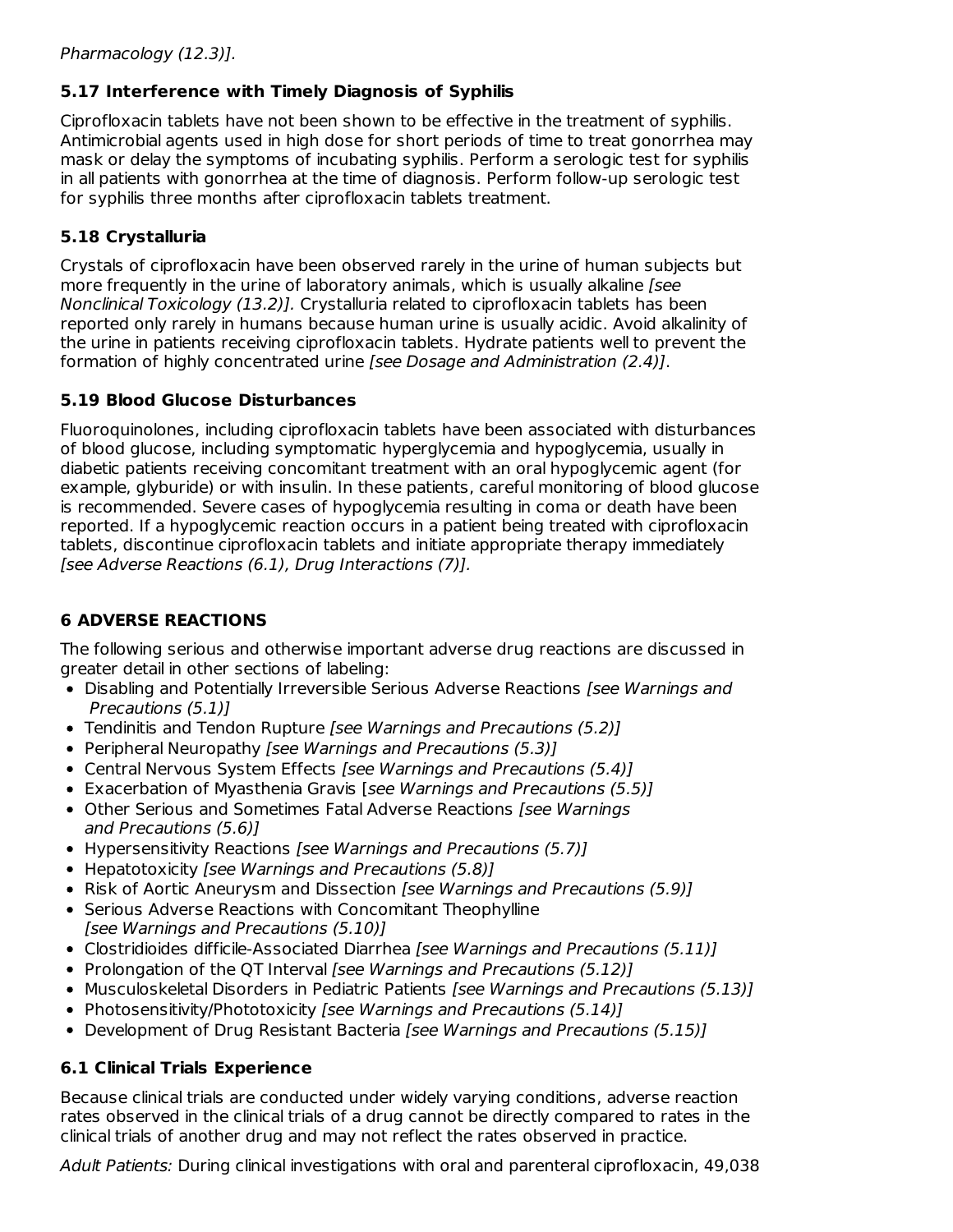## **5.17 Interference with Timely Diagnosis of Syphilis**

Ciprofloxacin tablets have not been shown to be effective in the treatment of syphilis. Antimicrobial agents used in high dose for short periods of time to treat gonorrhea may mask or delay the symptoms of incubating syphilis. Perform a serologic test for syphilis in all patients with gonorrhea at the time of diagnosis. Perform follow-up serologic test for syphilis three months after ciprofloxacin tablets treatment.

## **5.18 Crystalluria**

Crystals of ciprofloxacin have been observed rarely in the urine of human subjects but more frequently in the urine of laboratory animals, which is usually alkaline [see Nonclinical Toxicology (13.2)]. Crystalluria related to ciprofloxacin tablets has been reported only rarely in humans because human urine is usually acidic. Avoid alkalinity of the urine in patients receiving ciprofloxacin tablets. Hydrate patients well to prevent the formation of highly concentrated urine [see Dosage and Administration (2.4)].

## **5.19 Blood Glucose Disturbances**

Fluoroquinolones, including ciprofloxacin tablets have been associated with disturbances of blood glucose, including symptomatic hyperglycemia and hypoglycemia, usually in diabetic patients receiving concomitant treatment with an oral hypoglycemic agent (for example, glyburide) or with insulin. In these patients, careful monitoring of blood glucose is recommended. Severe cases of hypoglycemia resulting in coma or death have been reported. If a hypoglycemic reaction occurs in a patient being treated with ciprofloxacin tablets, discontinue ciprofloxacin tablets and initiate appropriate therapy immediately [see Adverse Reactions (6.1), Drug Interactions (7)].

# **6 ADVERSE REACTIONS**

The following serious and otherwise important adverse drug reactions are discussed in greater detail in other sections of labeling:

- Disabling and Potentially Irreversible Serious Adverse Reactions [see Warnings and Precautions (5.1)]
- Tendinitis and Tendon Rupture [see Warnings and Precautions (5.2)]
- Peripheral Neuropathy [see Warnings and Precautions (5.3)]
- Central Nervous System Effects [see Warnings and Precautions (5.4)]
- Exacerbation of Myasthenia Gravis [see Warnings and Precautions (5.5)]
- Other Serious and Sometimes Fatal Adverse Reactions [see Warnings] and Precautions (5.6)]
- Hypersensitivity Reactions [see Warnings and Precautions (5.7)]
- Hepatotoxicity [see Warnings and Precautions (5.8)]
- Risk of Aortic Aneurysm and Dissection [see Warnings and Precautions (5.9)]
- Serious Adverse Reactions with Concomitant Theophylline [see Warnings and Precautions (5.10)]
- Clostridioides difficile-Associated Diarrhea [see Warnings and Precautions (5.11)]
- Prolongation of the QT Interval [see Warnings and Precautions (5.12)]
- Musculoskeletal Disorders in Pediatric Patients [see Warnings and Precautions (5.13)]
- Photosensitivity/Phototoxicity [see Warnings and Precautions (5.14)]
- Development of Drug Resistant Bacteria [see Warnings and Precautions (5.15)]

# **6.1 Clinical Trials Experience**

Because clinical trials are conducted under widely varying conditions, adverse reaction rates observed in the clinical trials of a drug cannot be directly compared to rates in the clinical trials of another drug and may not reflect the rates observed in practice.

Adult Patients: During clinical investigations with oral and parenteral ciprofloxacin, 49,038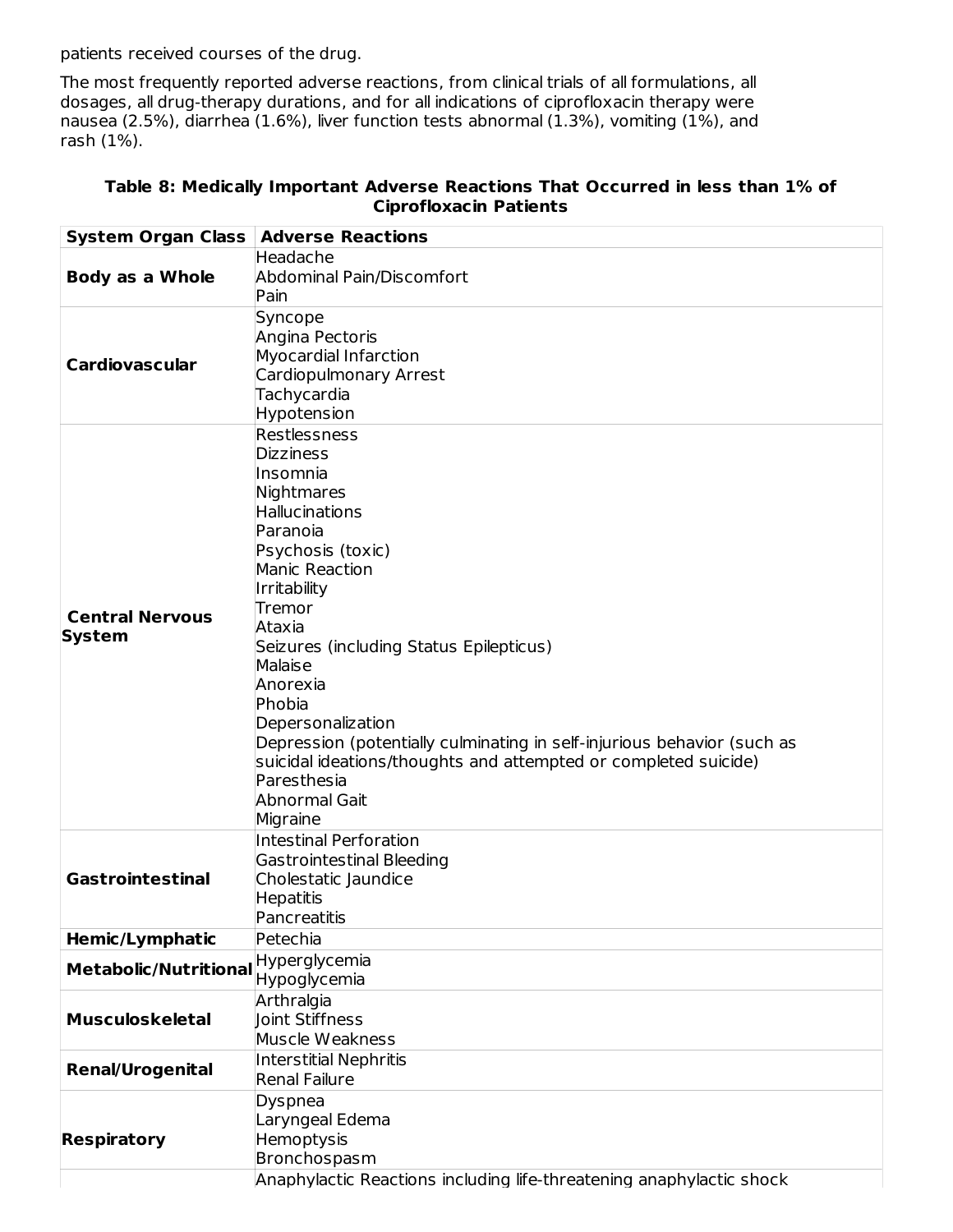patients received courses of the drug.

The most frequently reported adverse reactions, from clinical trials of all formulations, all dosages, all drug-therapy durations, and for all indications of ciprofloxacin therapy were nausea (2.5%), diarrhea (1.6%), liver function tests abnormal (1.3%), vomiting (1%), and rash (1%).

| <b>System Organ Class   Adverse Reactions</b> |                                                                         |
|-----------------------------------------------|-------------------------------------------------------------------------|
|                                               | Headache                                                                |
| <b>Body as a Whole</b>                        | <b>Abdominal Pain/Discomfort</b>                                        |
|                                               | Pain                                                                    |
|                                               | Syncope<br>Angina Pectoris                                              |
| <b>Cardiovascular</b>                         | Myocardial Infarction                                                   |
|                                               | Cardiopulmonary Arrest                                                  |
|                                               | Tachycardia                                                             |
|                                               | Hypotension                                                             |
|                                               | Restlessness                                                            |
|                                               | <b>Dizziness</b>                                                        |
|                                               | Insomnia                                                                |
|                                               | Nightmares                                                              |
|                                               | <b>Hallucinations</b>                                                   |
|                                               | Paranoia                                                                |
|                                               | Psychosis (toxic)                                                       |
|                                               | <b>Manic Reaction</b>                                                   |
|                                               | Irritability                                                            |
|                                               | Tremor                                                                  |
| <b>Central Nervous</b>                        | Ataxia                                                                  |
| <b>System</b>                                 | Seizures (including Status Epilepticus)                                 |
|                                               | Malaise                                                                 |
|                                               | Anorexia                                                                |
|                                               | Phobia                                                                  |
|                                               |                                                                         |
|                                               | Depersonalization                                                       |
|                                               | Depression (potentially culminating in self-injurious behavior (such as |
|                                               | suicidal ideations/thoughts and attempted or completed suicide)         |
|                                               | Paresthesia                                                             |
|                                               | Abnormal Gait                                                           |
|                                               | Migraine                                                                |
|                                               | <b>Intestinal Perforation</b>                                           |
|                                               | <b>Gastrointestinal Bleeding</b>                                        |
| <b>Gastrointestinal</b>                       | Cholestatic Jaundice                                                    |
|                                               | <b>Hepatitis</b>                                                        |
|                                               | Pancreatitis                                                            |
| Hemic/Lymphatic                               | Petechia                                                                |
| <b>Metabolic/Nutritional</b>                  | Hyperglycemia                                                           |
|                                               | Hypoglycemia                                                            |
|                                               | Arthralgia                                                              |
| <b>Musculoskeletal</b>                        | Joint Stiffness                                                         |
|                                               | Muscle Weakness                                                         |
|                                               | <b>Interstitial Nephritis</b>                                           |
| <b>Renal/Urogenital</b>                       | <b>Renal Failure</b>                                                    |
|                                               | Dyspnea                                                                 |
|                                               | Laryngeal Edema                                                         |
| <b>Respiratory</b>                            | Hemoptysis                                                              |
|                                               | Bronchospasm                                                            |
|                                               | Anaphylactic Reactions including life-threatening anaphylactic shock    |
|                                               |                                                                         |

#### **Table 8: Medically Important Adverse Reactions That Occurred in less than 1% of Ciprofloxacin Patients**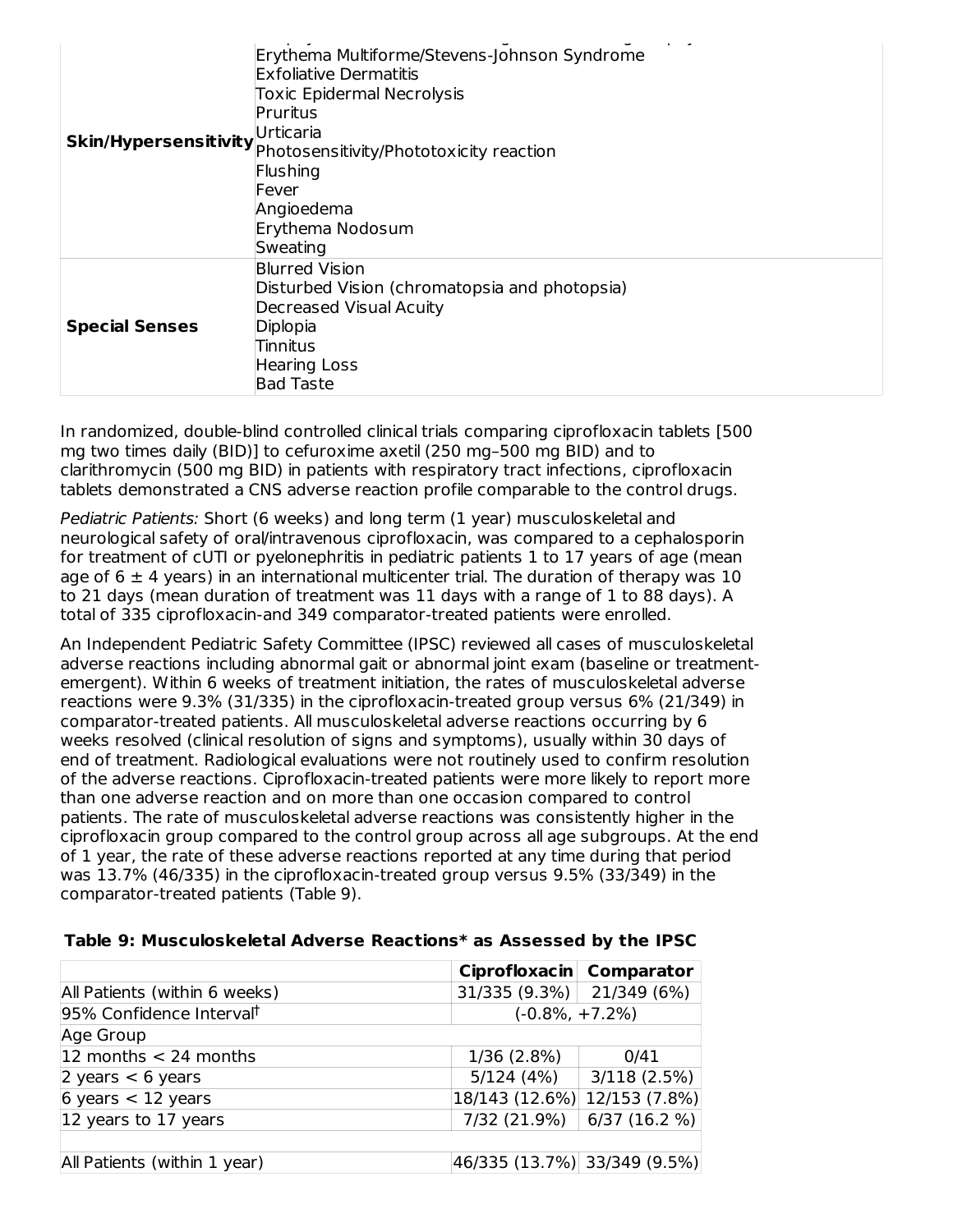| <b>Skin/Hypersensitivity</b> | Erythema Multiforme/Stevens-Johnson Syndrome<br><b>Exfoliative Dermatitis</b><br><b>Toxic Epidermal Necrolysis</b><br>Pruritus<br>Urticaria<br>Photosensitivity/Phototoxicity reaction<br>Flushing<br>Fever<br>Angioedema<br>Erythema Nodosum<br>Sweating |
|------------------------------|-----------------------------------------------------------------------------------------------------------------------------------------------------------------------------------------------------------------------------------------------------------|
| <b>Special Senses</b>        | <b>Blurred Vision</b><br>Disturbed Vision (chromatopsia and photopsia)<br>Decreased Visual Acuity<br>Diplopia<br>Tinnitus<br>Hearing Loss<br><b>Bad Taste</b>                                                                                             |

In randomized, double-blind controlled clinical trials comparing ciprofloxacin tablets [500 mg two times daily (BID)] to cefuroxime axetil (250 mg–500 mg BID) and to clarithromycin (500 mg BID) in patients with respiratory tract infections, ciprofloxacin tablets demonstrated a CNS adverse reaction profile comparable to the control drugs.

Pediatric Patients: Short (6 weeks) and long term (1 year) musculoskeletal and neurological safety of oral/intravenous ciprofloxacin, was compared to a cephalosporin for treatment of cUTI or pyelonephritis in pediatric patients 1 to 17 years of age (mean age of  $6 \pm 4$  years) in an international multicenter trial. The duration of therapy was 10 to 21 days (mean duration of treatment was 11 days with a range of 1 to 88 days). A total of 335 ciprofloxacin-and 349 comparator-treated patients were enrolled.

An Independent Pediatric Safety Committee (IPSC) reviewed all cases of musculoskeletal adverse reactions including abnormal gait or abnormal joint exam (baseline or treatmentemergent). Within 6 weeks of treatment initiation, the rates of musculoskeletal adverse reactions were 9.3% (31/335) in the ciprofloxacin-treated group versus 6% (21/349) in comparator-treated patients. All musculoskeletal adverse reactions occurring by 6 weeks resolved (clinical resolution of signs and symptoms), usually within 30 days of end of treatment. Radiological evaluations were not routinely used to confirm resolution of the adverse reactions. Ciprofloxacin-treated patients were more likely to report more than one adverse reaction and on more than one occasion compared to control patients. The rate of musculoskeletal adverse reactions was consistently higher in the ciprofloxacin group compared to the control group across all age subgroups. At the end of 1 year, the rate of these adverse reactions reported at any time during that period was 13.7% (46/335) in the ciprofloxacin-treated group versus 9.5% (33/349) in the comparator-treated patients (Table 9).

|                                      | Ciprofloxacin Comparator     |             |
|--------------------------------------|------------------------------|-------------|
| All Patients (within 6 weeks)        | $31/335 (9.3\%)$ 21/349 (6%) |             |
| 95% Confidence Interval <sup>t</sup> | $(-0.8\%, +7.2\%)$           |             |
| Age Group                            |                              |             |
| 12 months $<$ 24 months              | 1/36 (2.8%)                  | 0/41        |
| 2 years $< 6$ years                  | 5/124(4%)                    | 3/118(2.5%) |
| $6$ years < 12 years                 | 18/143 (12.6%) 12/153 (7.8%) |             |
| $ 12 \rangle$ years to 17 years      | 7/32 (21.9%)                 | 6/37(16.2%) |
|                                      |                              |             |
| All Patients (within 1 year)         | 46/335 (13.7%) 33/349 (9.5%) |             |

#### **Table 9: Musculoskeletal Adverse Reactions\* as Assessed by the IPSC**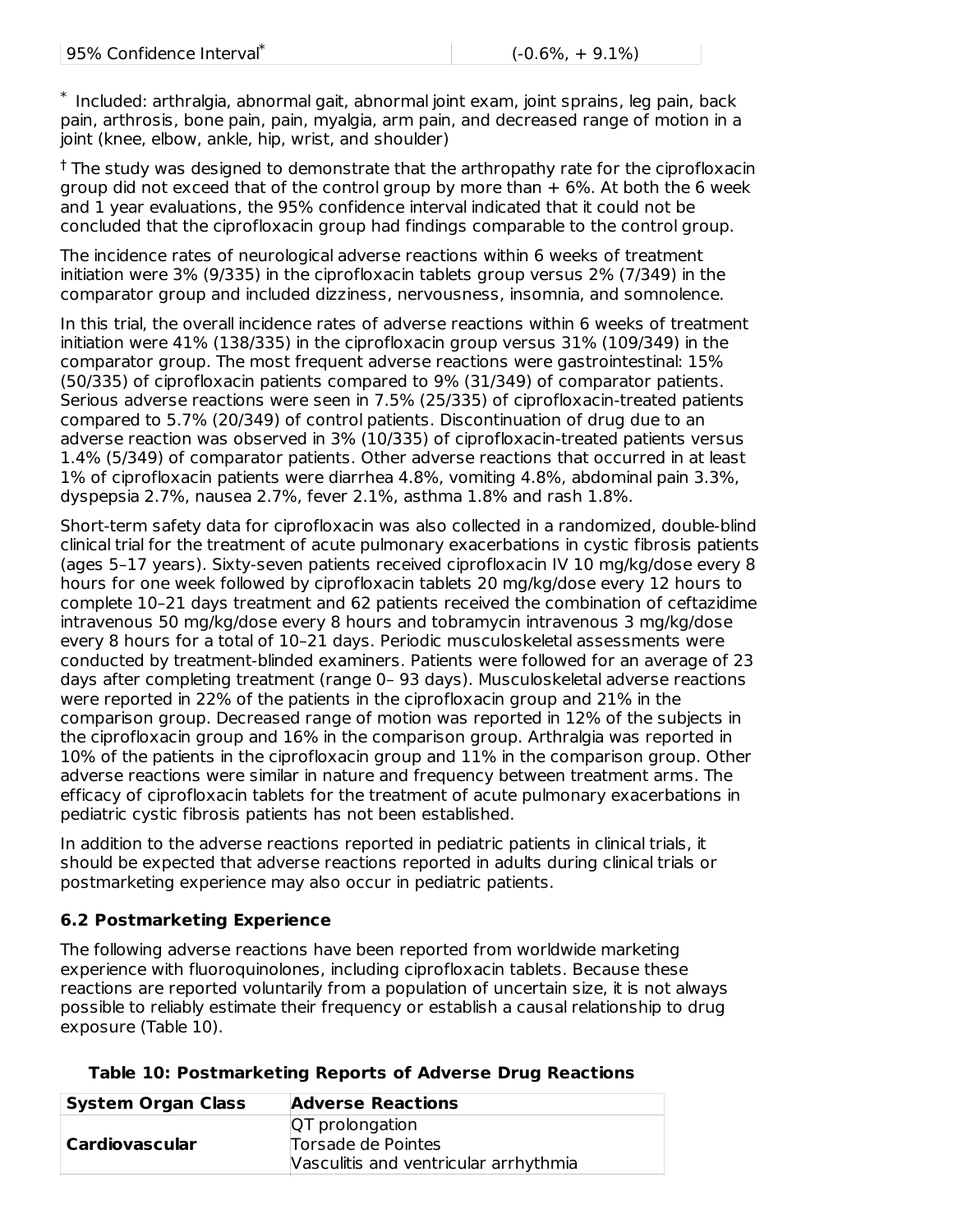$^*$  Included: arthralgia, abnormal gait, abnormal joint exam, joint sprains, leg pain, back pain, arthrosis, bone pain, pain, myalgia, arm pain, and decreased range of motion in a joint (knee, elbow, ankle, hip, wrist, and shoulder)

<sup>†</sup> The study was designed to demonstrate that the arthropathy rate for the ciprofloxacin group did not exceed that of the control group by more than  $+6\%$ . At both the 6 week and 1 year evaluations, the 95% confidence interval indicated that it could not be concluded that the ciprofloxacin group had findings comparable to the control group.

The incidence rates of neurological adverse reactions within 6 weeks of treatment initiation were 3% (9/335) in the ciprofloxacin tablets group versus 2% (7/349) in the comparator group and included dizziness, nervousness, insomnia, and somnolence.

In this trial, the overall incidence rates of adverse reactions within 6 weeks of treatment initiation were 41% (138/335) in the ciprofloxacin group versus 31% (109/349) in the comparator group. The most frequent adverse reactions were gastrointestinal: 15% (50/335) of ciprofloxacin patients compared to 9% (31/349) of comparator patients. Serious adverse reactions were seen in 7.5% (25/335) of ciprofloxacin-treated patients compared to 5.7% (20/349) of control patients. Discontinuation of drug due to an adverse reaction was observed in 3% (10/335) of ciprofloxacin-treated patients versus 1.4% (5/349) of comparator patients. Other adverse reactions that occurred in at least 1% of ciprofloxacin patients were diarrhea 4.8%, vomiting 4.8%, abdominal pain 3.3%, dyspepsia 2.7%, nausea 2.7%, fever 2.1%, asthma 1.8% and rash 1.8%.

Short-term safety data for ciprofloxacin was also collected in a randomized, double-blind clinical trial for the treatment of acute pulmonary exacerbations in cystic fibrosis patients (ages 5–17 years). Sixty-seven patients received ciprofloxacin IV 10 mg/kg/dose every 8 hours for one week followed by ciprofloxacin tablets 20 mg/kg/dose every 12 hours to complete 10–21 days treatment and 62 patients received the combination of ceftazidime intravenous 50 mg/kg/dose every 8 hours and tobramycin intravenous 3 mg/kg/dose every 8 hours for a total of 10–21 days. Periodic musculoskeletal assessments were conducted by treatment-blinded examiners. Patients were followed for an average of 23 days after completing treatment (range 0– 93 days). Musculoskeletal adverse reactions were reported in 22% of the patients in the ciprofloxacin group and 21% in the comparison group. Decreased range of motion was reported in 12% of the subjects in the ciprofloxacin group and 16% in the comparison group. Arthralgia was reported in 10% of the patients in the ciprofloxacin group and 11% in the comparison group. Other adverse reactions were similar in nature and frequency between treatment arms. The efficacy of ciprofloxacin tablets for the treatment of acute pulmonary exacerbations in pediatric cystic fibrosis patients has not been established.

In addition to the adverse reactions reported in pediatric patients in clinical trials, it should be expected that adverse reactions reported in adults during clinical trials or postmarketing experience may also occur in pediatric patients.

## **6.2 Postmarketing Experience**

The following adverse reactions have been reported from worldwide marketing experience with fluoroquinolones, including ciprofloxacin tablets. Because these reactions are reported voluntarily from a population of uncertain size, it is not always possible to reliably estimate their frequency or establish a causal relationship to drug exposure (Table 10).

| <b>System Organ Class</b> | <b>Adverse Reactions</b>              |
|---------------------------|---------------------------------------|
|                           | <b>QT</b> prolongation                |
| Cardiovascular            | Torsade de Pointes                    |
|                           | Vasculitis and ventricular arrhythmia |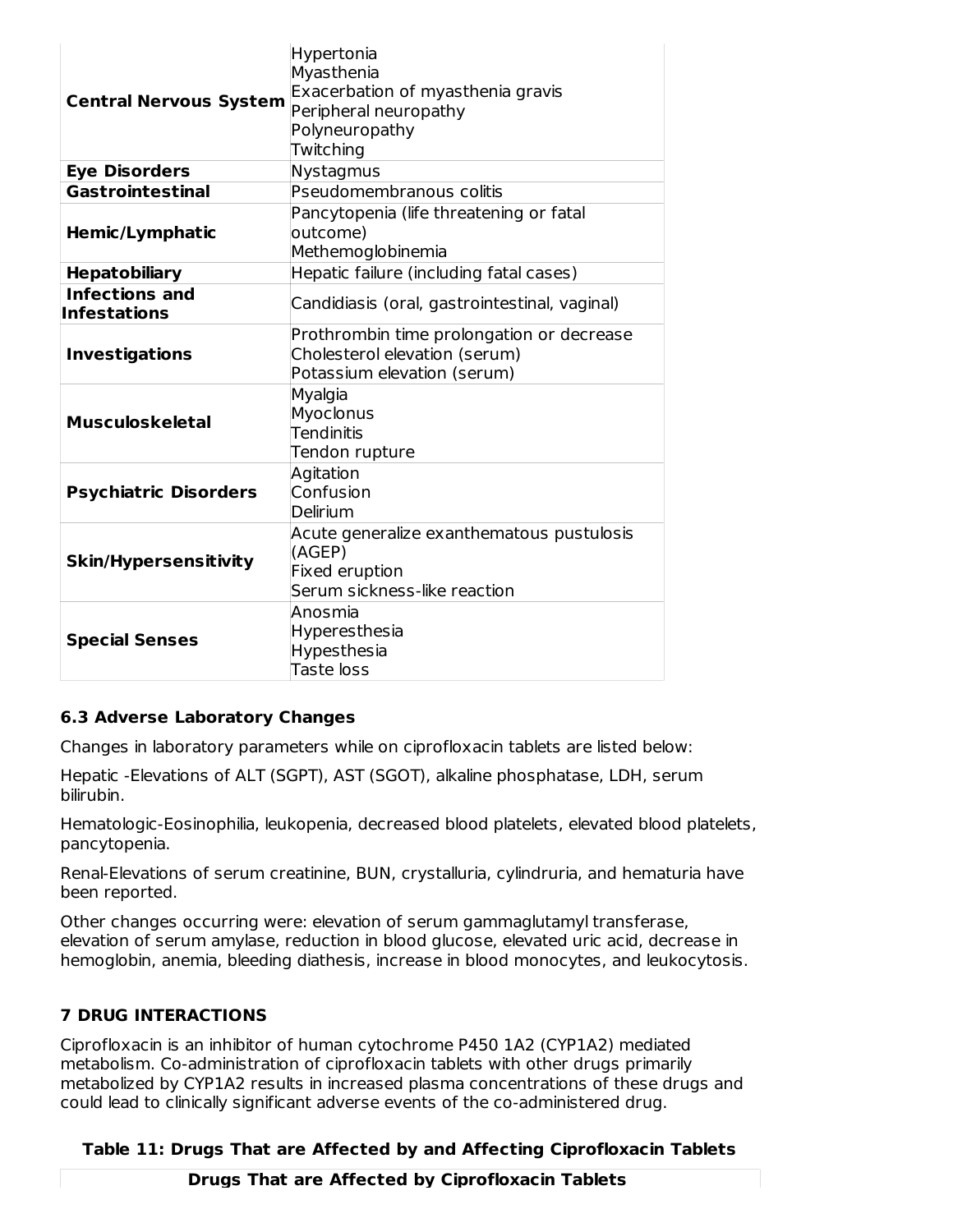| <b>Central Nervous System</b>                | Hypertonia<br>Myasthenia<br>Exacerbation of myasthenia gravis<br>Peripheral neuropathy<br>Polyneuropathy<br>Twitching |
|----------------------------------------------|-----------------------------------------------------------------------------------------------------------------------|
| <b>Eye Disorders</b>                         | Nystagmus                                                                                                             |
| <b>Gastrointestinal</b>                      | Pseudomembranous colitis                                                                                              |
| Hemic/Lymphatic                              | Pancytopenia (life threatening or fatal<br>outcome)<br>Methemoglobinemia                                              |
| <b>Hepatobiliary</b>                         | Hepatic failure (including fatal cases)                                                                               |
| <b>Infections and</b><br><b>Infestations</b> | Candidiasis (oral, gastrointestinal, vaginal)                                                                         |
| <b>Investigations</b>                        | Prothrombin time prolongation or decrease<br>Cholesterol elevation (serum)<br>Potassium elevation (serum)             |
| <b>Musculoskeletal</b>                       | Myalgia<br>Myoclonus<br><b>Tendinitis</b><br>Tendon rupture                                                           |
| <b>Psychiatric Disorders</b>                 | Agitation<br>Confusion<br>Delirium                                                                                    |
| <b>Skin/Hypersensitivity</b>                 | Acute generalize exanthematous pustulosis<br>(AGEP)<br>Fixed eruption<br>Serum sickness-like reaction                 |
| <b>Special Senses</b>                        | Anosmia<br>Hyperesthesia<br>Hypesthesia<br>Taste loss                                                                 |

## **6.3 Adverse Laboratory Changes**

Changes in laboratory parameters while on ciprofloxacin tablets are listed below:

Hepatic -Elevations of ALT (SGPT), AST (SGOT), alkaline phosphatase, LDH, serum bilirubin.

Hematologic-Eosinophilia, leukopenia, decreased blood platelets, elevated blood platelets, pancytopenia.

Renal-Elevations of serum creatinine, BUN, crystalluria, cylindruria, and hematuria have been reported.

Other changes occurring were: elevation of serum gammaglutamyl transferase, elevation of serum amylase, reduction in blood glucose, elevated uric acid, decrease in hemoglobin, anemia, bleeding diathesis, increase in blood monocytes, and leukocytosis.

#### **7 DRUG INTERACTIONS**

Ciprofloxacin is an inhibitor of human cytochrome P450 1A2 (CYP1A2) mediated metabolism. Co-administration of ciprofloxacin tablets with other drugs primarily metabolized by CYP1A2 results in increased plasma concentrations of these drugs and could lead to clinically significant adverse events of the co-administered drug.

#### **Table 11: Drugs That are Affected by and Affecting Ciprofloxacin Tablets**

**Drugs That are Affected by Ciprofloxacin Tablets**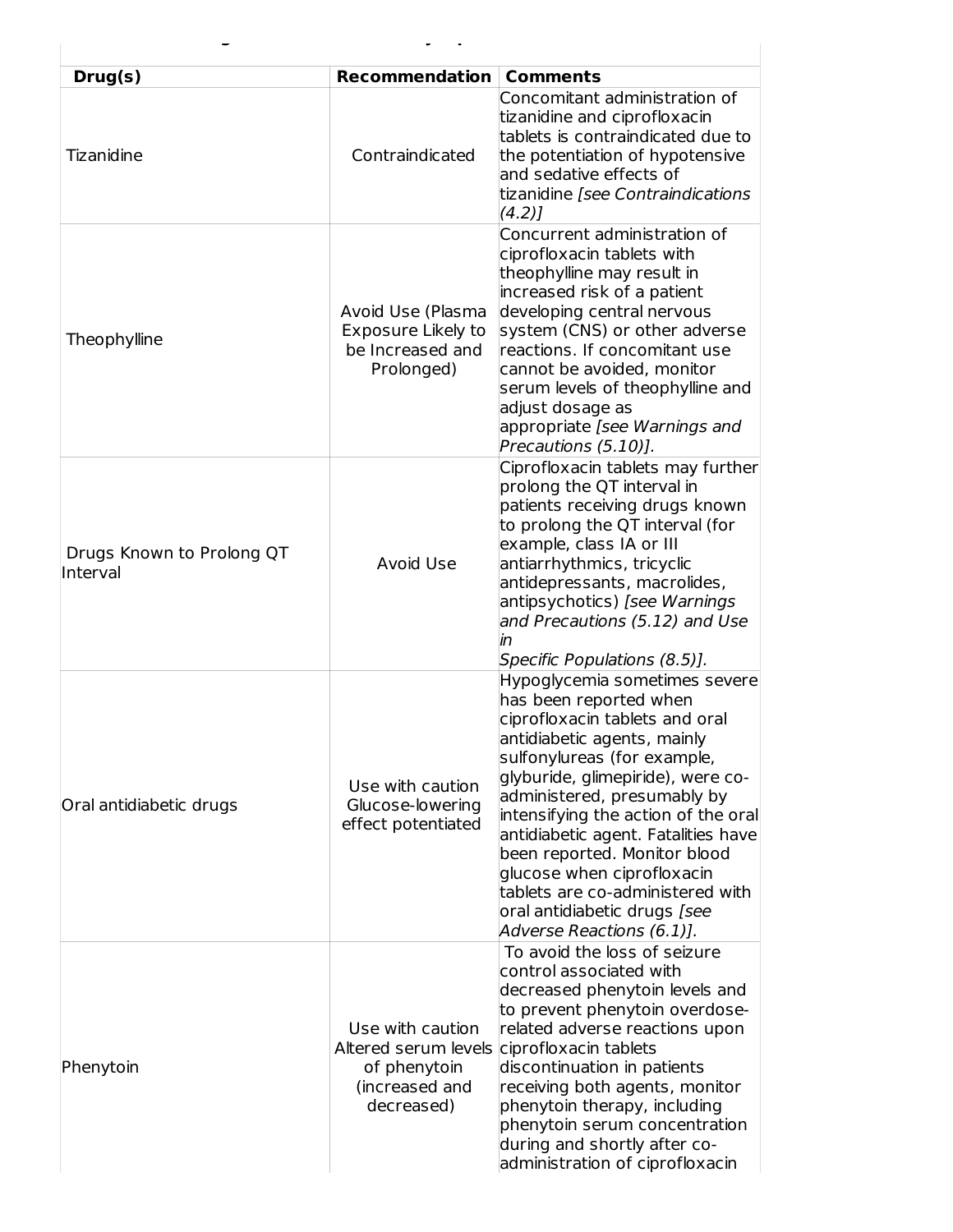| Drug(s)                               | <b>Recommendation</b>                                                     | <b>Comments</b>                                                                                                                                                                                                                                                                                                                                                                                                                                                          |
|---------------------------------------|---------------------------------------------------------------------------|--------------------------------------------------------------------------------------------------------------------------------------------------------------------------------------------------------------------------------------------------------------------------------------------------------------------------------------------------------------------------------------------------------------------------------------------------------------------------|
| Tizanidine                            | Contraindicated                                                           | Concomitant administration of<br>tizanidine and ciprofloxacin<br>tablets is contraindicated due to<br>the potentiation of hypotensive<br>and sedative effects of<br>tizanidine [see Contraindications<br>(4.2)                                                                                                                                                                                                                                                           |
| Theophylline                          | Avoid Use (Plasma<br>Exposure Likely to<br>be Increased and<br>Prolonged) | Concurrent administration of<br>ciprofloxacin tablets with<br>theophylline may result in<br>increased risk of a patient<br>developing central nervous<br>system (CNS) or other adverse<br>reactions. If concomitant use<br>cannot be avoided, monitor<br>serum levels of theophylline and<br>adjust dosage as<br>appropriate [see Warnings and<br>Precautions (5.10)].                                                                                                   |
| Drugs Known to Prolong QT<br>Interval | Avoid Use                                                                 | Ciprofloxacin tablets may further<br>prolong the QT interval in<br>patients receiving drugs known<br>to prolong the QT interval (for<br>example, class IA or III<br>antiarrhythmics, tricyclic<br>antidepressants, macrolides,<br>antipsychotics) [see Warnings<br>and Precautions (5.12) and Use<br>in<br>Specific Populations (8.5)].                                                                                                                                  |
| Oral antidiabetic drugs               | Use with caution<br>Glucose-lowering<br>effect potentiated                | Hypoglycemia sometimes severe<br>has been reported when<br>ciprofloxacin tablets and oral<br>antidiabetic agents, mainly<br>sulfonylureas (for example,<br>glyburide, glimepiride), were co-<br>administered, presumably by<br>intensifying the action of the oral<br>antidiabetic agent. Fatalities have<br>been reported. Monitor blood<br>glucose when ciprofloxacin<br>tablets are co-administered with<br>oral antidiabetic drugs [see<br>Adverse Reactions (6.1)]. |
| Phenytoin                             | Use with caution<br>of phenytoin<br>(increased and<br>decreased)          | To avoid the loss of seizure<br>control associated with<br>decreased phenytoin levels and<br>to prevent phenytoin overdose-<br>related adverse reactions upon<br>Altered serum levels ciprofloxacin tablets<br>discontinuation in patients<br>receiving both agents, monitor<br>phenytoin therapy, including<br>phenytoin serum concentration<br>during and shortly after co-<br>administration of ciprofloxacin                                                         |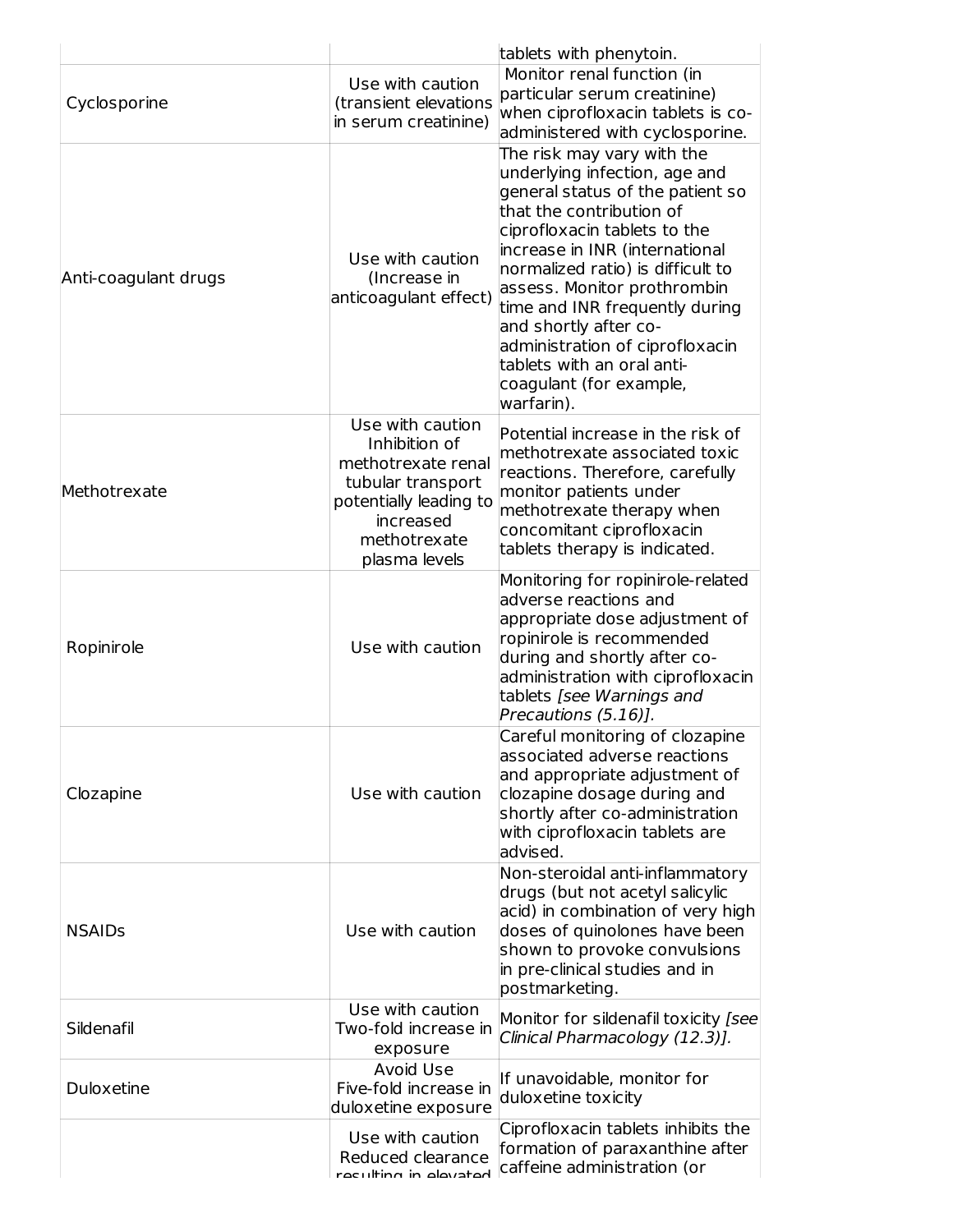| Cyclosporine         | Use with caution<br>(transient elevations<br>in serum creatinine)                                                                                    | tablets with phenytoin.<br>Monitor renal function (in<br>particular serum creatinine)<br>when ciprofloxacin tablets is co-<br>administered with cyclosporine.                                                                                                                                                                                                                                                                          |
|----------------------|------------------------------------------------------------------------------------------------------------------------------------------------------|----------------------------------------------------------------------------------------------------------------------------------------------------------------------------------------------------------------------------------------------------------------------------------------------------------------------------------------------------------------------------------------------------------------------------------------|
| Anti-coagulant drugs | Use with caution<br>(Increase in<br>anticoagulant effect)                                                                                            | The risk may vary with the<br>underlying infection, age and<br>general status of the patient so<br>that the contribution of<br>ciprofloxacin tablets to the<br>increase in INR (international<br>normalized ratio) is difficult to<br>assess. Monitor prothrombin<br>time and INR frequently during<br>and shortly after co-<br>administration of ciprofloxacin<br>tablets with an oral anti-<br>coagulant (for example,<br>warfarin). |
| Methotrexate         | Use with caution<br>Inhibition of<br>methotrexate renal<br>tubular transport<br>potentially leading to<br>increased<br>methotrexate<br>plasma levels | Potential increase in the risk of<br>methotrexate associated toxic<br>reactions. Therefore, carefully<br>monitor patients under<br>methotrexate therapy when<br>concomitant ciprofloxacin<br>tablets therapy is indicated.                                                                                                                                                                                                             |
| Ropinirole           | Use with caution                                                                                                                                     | Monitoring for ropinirole-related<br>adverse reactions and<br>appropriate dose adjustment of<br>ropinirole is recommended<br>during and shortly after co-<br>administration with ciprofloxacin<br>tablets [see Warnings and<br>Precautions (5.16)].                                                                                                                                                                                    |
| Clozapine            | Use with caution                                                                                                                                     | Careful monitoring of clozapine<br>associated adverse reactions<br>and appropriate adjustment of<br>clozapine dosage during and<br>shortly after co-administration<br>with ciprofloxacin tablets are<br>advised.                                                                                                                                                                                                                       |
| <b>NSAIDs</b>        | Use with caution                                                                                                                                     | Non-steroidal anti-inflammatory<br>drugs (but not acetyl salicylic<br>acid) in combination of very high<br>doses of quinolones have been<br>shown to provoke convulsions<br>in pre-clinical studies and in<br>postmarketing.                                                                                                                                                                                                           |
| Sildenafil           | Use with caution<br>Two-fold increase in<br>exposure                                                                                                 | Monitor for sildenafil toxicity [see<br>Clinical Pharmacology (12.3)].                                                                                                                                                                                                                                                                                                                                                                 |
| Duloxetine           | Avoid Use<br>Five-fold increase in<br>duloxetine exposure                                                                                            | If unavoidable, monitor for<br>duloxetine toxicity                                                                                                                                                                                                                                                                                                                                                                                     |
|                      | Use with caution<br>Reduced clearance<br>raculting in alawatad                                                                                       | Ciprofloxacin tablets inhibits the<br>formation of paraxanthine after<br>caffeine administration (or                                                                                                                                                                                                                                                                                                                                   |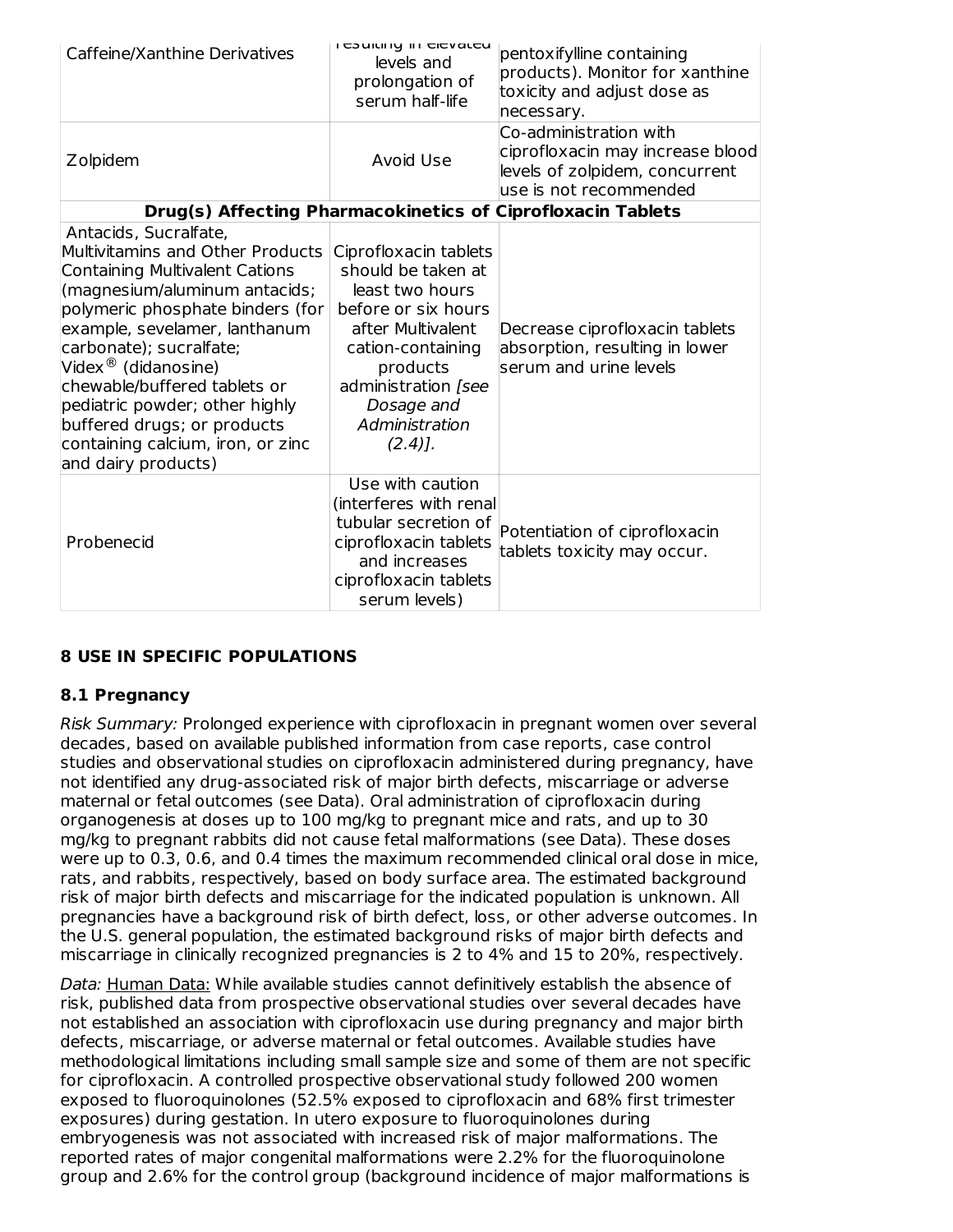| Caffeine/Xanthine Derivatives                                                                                                                                                                                                                                                                                                                                                                                                       | <b>I COUILII IY III CICVALCU</b><br>levels and<br>prolongation of<br>serum half-life                                                                                                                            | pentoxifylline containing<br>products). Monitor for xanthine<br>toxicity and adjust dose as<br>necessary.              |
|-------------------------------------------------------------------------------------------------------------------------------------------------------------------------------------------------------------------------------------------------------------------------------------------------------------------------------------------------------------------------------------------------------------------------------------|-----------------------------------------------------------------------------------------------------------------------------------------------------------------------------------------------------------------|------------------------------------------------------------------------------------------------------------------------|
| Zolpidem                                                                                                                                                                                                                                                                                                                                                                                                                            | Avoid Use                                                                                                                                                                                                       | Co-administration with<br>ciprofloxacin may increase blood<br>levels of zolpidem, concurrent<br>use is not recommended |
|                                                                                                                                                                                                                                                                                                                                                                                                                                     |                                                                                                                                                                                                                 | Drug(s) Affecting Pharmacokinetics of Ciprofloxacin Tablets                                                            |
| Antacids, Sucralfate,<br>Multivitamins and Other Products<br><b>Containing Multivalent Cations</b><br>(magnesium/aluminum antacids;<br>polymeric phosphate binders (for<br>example, sevelamer, lanthanum<br>carbonate); sucralfate;<br>Videx <sup>®</sup> (didanosine)<br>chewable/buffered tablets or<br>pediatric powder; other highly<br>buffered drugs; or products<br>containing calcium, iron, or zinc<br>and dairy products) | Ciprofloxacin tablets<br>should be taken at<br>least two hours<br>before or six hours<br>after Multivalent<br>cation-containing<br>products<br>administration [see<br>Dosage and<br>Administration<br>$(2.4)$ . | Decrease ciprofloxacin tablets<br>absorption, resulting in lower<br>serum and urine levels                             |
| Probenecid                                                                                                                                                                                                                                                                                                                                                                                                                          | Use with caution<br>(interferes with renal<br>tubular secretion of<br>ciprofloxacin tablets<br>and increases<br>ciprofloxacin tablets<br>serum levels)                                                          | Potentiation of ciprofloxacin<br>tablets toxicity may occur.                                                           |

## **8 USE IN SPECIFIC POPULATIONS**

#### **8.1 Pregnancy**

Risk Summary: Prolonged experience with ciprofloxacin in pregnant women over several decades, based on available published information from case reports, case control studies and observational studies on ciprofloxacin administered during pregnancy, have not identified any drug-associated risk of major birth defects, miscarriage or adverse maternal or fetal outcomes (see Data). Oral administration of ciprofloxacin during organogenesis at doses up to 100 mg/kg to pregnant mice and rats, and up to 30 mg/kg to pregnant rabbits did not cause fetal malformations (see Data). These doses were up to 0.3, 0.6, and 0.4 times the maximum recommended clinical oral dose in mice, rats, and rabbits, respectively, based on body surface area. The estimated background risk of major birth defects and miscarriage for the indicated population is unknown. All pregnancies have a background risk of birth defect, loss, or other adverse outcomes. In the U.S. general population, the estimated background risks of major birth defects and miscarriage in clinically recognized pregnancies is 2 to 4% and 15 to 20%, respectively.

Data: Human Data: While available studies cannot definitively establish the absence of risk, published data from prospective observational studies over several decades have not established an association with ciprofloxacin use during pregnancy and major birth defects, miscarriage, or adverse maternal or fetal outcomes. Available studies have methodological limitations including small sample size and some of them are not specific for ciprofloxacin. A controlled prospective observational study followed 200 women exposed to fluoroquinolones (52.5% exposed to ciprofloxacin and 68% first trimester exposures) during gestation. In utero exposure to fluoroquinolones during embryogenesis was not associated with increased risk of major malformations. The reported rates of major congenital malformations were 2.2% for the fluoroquinolone group and 2.6% for the control group (background incidence of major malformations is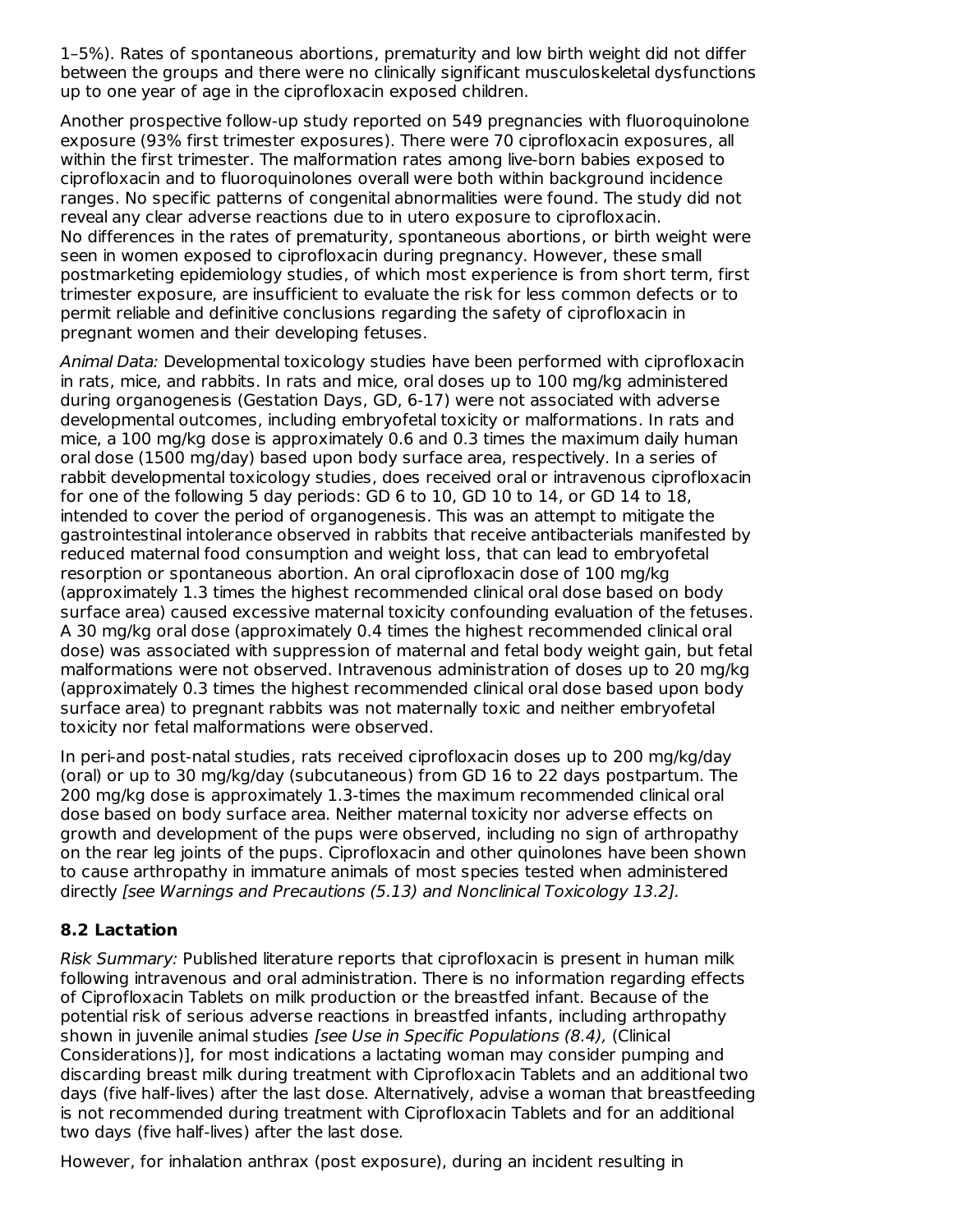1–5%). Rates of spontaneous abortions, prematurity and low birth weight did not differ between the groups and there were no clinically significant musculoskeletal dysfunctions up to one year of age in the ciprofloxacin exposed children.

Another prospective follow-up study reported on 549 pregnancies with fluoroquinolone exposure (93% first trimester exposures). There were 70 ciprofloxacin exposures, all within the first trimester. The malformation rates among live-born babies exposed to ciprofloxacin and to fluoroquinolones overall were both within background incidence ranges. No specific patterns of congenital abnormalities were found. The study did not reveal any clear adverse reactions due to in utero exposure to ciprofloxacin. No differences in the rates of prematurity, spontaneous abortions, or birth weight were seen in women exposed to ciprofloxacin during pregnancy. However, these small postmarketing epidemiology studies, of which most experience is from short term, first trimester exposure, are insufficient to evaluate the risk for less common defects or to permit reliable and definitive conclusions regarding the safety of ciprofloxacin in pregnant women and their developing fetuses.

Animal Data: Developmental toxicology studies have been performed with ciprofloxacin in rats, mice, and rabbits. In rats and mice, oral doses up to 100 mg/kg administered during organogenesis (Gestation Days, GD, 6-17) were not associated with adverse developmental outcomes, including embryofetal toxicity or malformations. In rats and mice, a 100 mg/kg dose is approximately 0.6 and 0.3 times the maximum daily human oral dose (1500 mg/day) based upon body surface area, respectively. In a series of rabbit developmental toxicology studies, does received oral or intravenous ciprofloxacin for one of the following 5 day periods: GD 6 to 10, GD 10 to 14, or GD 14 to 18, intended to cover the period of organogenesis. This was an attempt to mitigate the gastrointestinal intolerance observed in rabbits that receive antibacterials manifested by reduced maternal food consumption and weight loss, that can lead to embryofetal resorption or spontaneous abortion. An oral ciprofloxacin dose of 100 mg/kg (approximately 1.3 times the highest recommended clinical oral dose based on body surface area) caused excessive maternal toxicity confounding evaluation of the fetuses. A 30 mg/kg oral dose (approximately 0.4 times the highest recommended clinical oral dose) was associated with suppression of maternal and fetal body weight gain, but fetal malformations were not observed. Intravenous administration of doses up to 20 mg/kg (approximately 0.3 times the highest recommended clinical oral dose based upon body surface area) to pregnant rabbits was not maternally toxic and neither embryofetal toxicity nor fetal malformations were observed.

In peri-and post-natal studies, rats received ciprofloxacin doses up to 200 mg/kg/day (oral) or up to 30 mg/kg/day (subcutaneous) from GD 16 to 22 days postpartum. The 200 mg/kg dose is approximately 1.3-times the maximum recommended clinical oral dose based on body surface area. Neither maternal toxicity nor adverse effects on growth and development of the pups were observed, including no sign of arthropathy on the rear leg joints of the pups. Ciprofloxacin and other quinolones have been shown to cause arthropathy in immature animals of most species tested when administered directly [see Warnings and Precautions (5.13) and Nonclinical Toxicology 13.2].

## **8.2 Lactation**

Risk Summary: Published literature reports that ciprofloxacin is present in human milk following intravenous and oral administration. There is no information regarding effects of Ciprofloxacin Tablets on milk production or the breastfed infant. Because of the potential risk of serious adverse reactions in breastfed infants, including arthropathy shown in juvenile animal studies [see Use in Specific Populations (8.4), (Clinical Considerations)], for most indications a lactating woman may consider pumping and discarding breast milk during treatment with Ciprofloxacin Tablets and an additional two days (five half-lives) after the last dose. Alternatively, advise a woman that breastfeeding is not recommended during treatment with Ciprofloxacin Tablets and for an additional two days (five half-lives) after the last dose.

However, for inhalation anthrax (post exposure), during an incident resulting in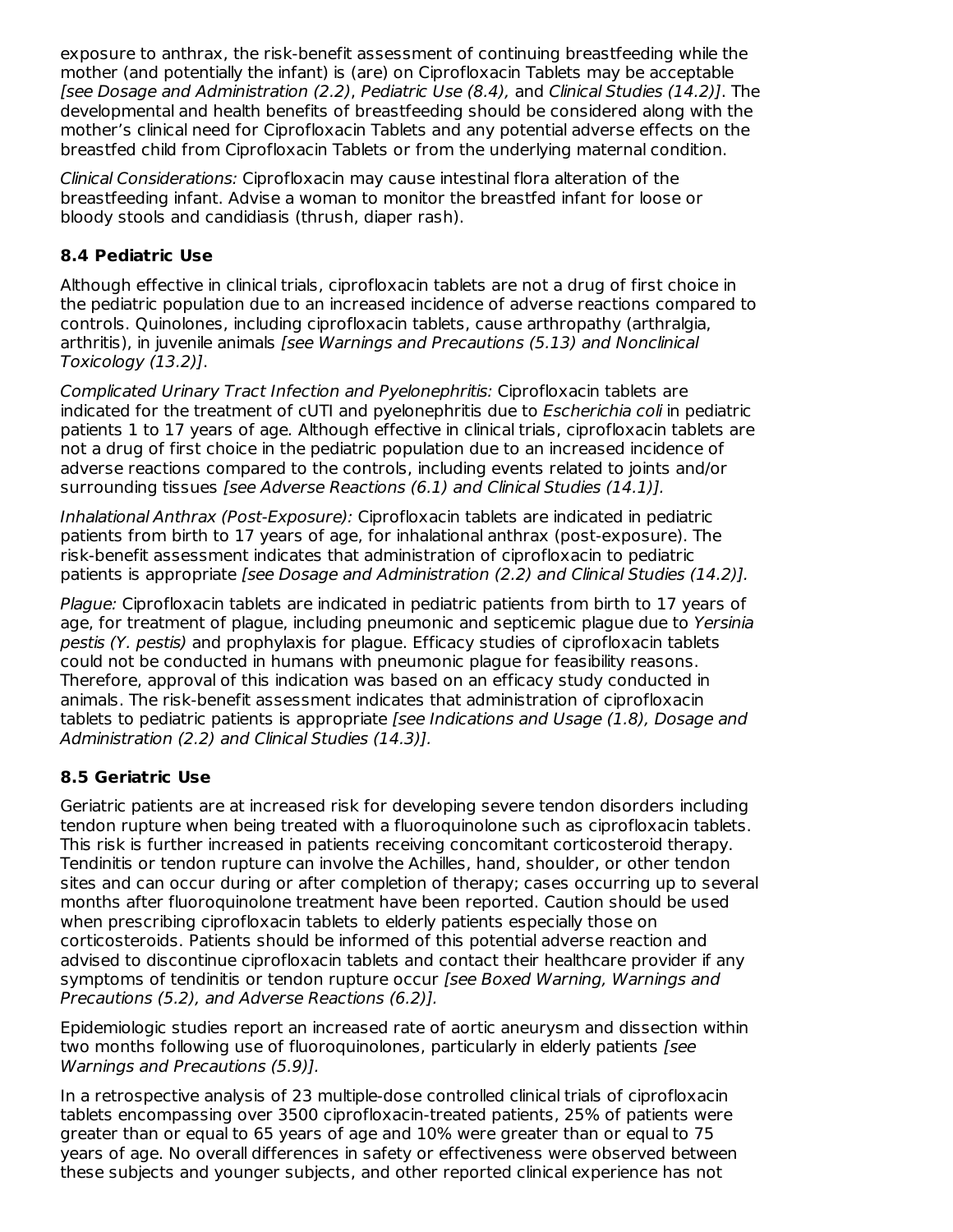exposure to anthrax, the risk-benefit assessment of continuing breastfeeding while the mother (and potentially the infant) is (are) on Ciprofloxacin Tablets may be acceptable [see Dosage and Administration (2.2), Pediatric Use (8.4), and Clinical Studies (14.2)]. The developmental and health benefits of breastfeeding should be considered along with the mother's clinical need for Ciprofloxacin Tablets and any potential adverse effects on the breastfed child from Ciprofloxacin Tablets or from the underlying maternal condition.

Clinical Considerations: Ciprofloxacin may cause intestinal flora alteration of the breastfeeding infant. Advise a woman to monitor the breastfed infant for loose or bloody stools and candidiasis (thrush, diaper rash).

#### **8.4 Pediatric Use**

Although effective in clinical trials, ciprofloxacin tablets are not a drug of first choice in the pediatric population due to an increased incidence of adverse reactions compared to controls. Quinolones, including ciprofloxacin tablets, cause arthropathy (arthralgia, arthritis), in juvenile animals [see Warnings and Precautions (5.13) and Nonclinical Toxicology (13.2)].

Complicated Urinary Tract Infection and Pyelonephritis: Ciprofloxacin tablets are indicated for the treatment of cUTI and pyelonephritis due to Escherichia coli in pediatric patients 1 to 17 years of age. Although effective in clinical trials, ciprofloxacin tablets are not a drug of first choice in the pediatric population due to an increased incidence of adverse reactions compared to the controls, including events related to joints and/or surrounding tissues [see Adverse Reactions (6.1) and Clinical Studies (14.1)].

Inhalational Anthrax (Post-Exposure): Ciprofloxacin tablets are indicated in pediatric patients from birth to 17 years of age, for inhalational anthrax (post-exposure). The risk-benefit assessment indicates that administration of ciprofloxacin to pediatric patients is appropriate [see Dosage and Administration (2.2) and Clinical Studies (14.2)].

Plague: Ciprofloxacin tablets are indicated in pediatric patients from birth to 17 years of age, for treatment of plague, including pneumonic and septicemic plague due to Yersinia pestis (Y. pestis) and prophylaxis for plague. Efficacy studies of ciprofloxacin tablets could not be conducted in humans with pneumonic plague for feasibility reasons. Therefore, approval of this indication was based on an efficacy study conducted in animals. The risk-benefit assessment indicates that administration of ciprofloxacin tablets to pediatric patients is appropriate [see Indications and Usage (1.8), Dosage and Administration (2.2) and Clinical Studies (14.3)].

## **8.5 Geriatric Use**

Geriatric patients are at increased risk for developing severe tendon disorders including tendon rupture when being treated with a fluoroquinolone such as ciprofloxacin tablets. This risk is further increased in patients receiving concomitant corticosteroid therapy. Tendinitis or tendon rupture can involve the Achilles, hand, shoulder, or other tendon sites and can occur during or after completion of therapy; cases occurring up to several months after fluoroquinolone treatment have been reported. Caution should be used when prescribing ciprofloxacin tablets to elderly patients especially those on corticosteroids. Patients should be informed of this potential adverse reaction and advised to discontinue ciprofloxacin tablets and contact their healthcare provider if any symptoms of tendinitis or tendon rupture occur *[see Boxed Warning, Warnings and* Precautions (5.2), and Adverse Reactions (6.2)].

Epidemiologic studies report an increased rate of aortic aneurysm and dissection within two months following use of fluoroguinolones, particularly in elderly patients *[see*] Warnings and Precautions (5.9)].

In a retrospective analysis of 23 multiple-dose controlled clinical trials of ciprofloxacin tablets encompassing over 3500 ciprofloxacin-treated patients, 25% of patients were greater than or equal to 65 years of age and 10% were greater than or equal to 75 years of age. No overall differences in safety or effectiveness were observed between these subjects and younger subjects, and other reported clinical experience has not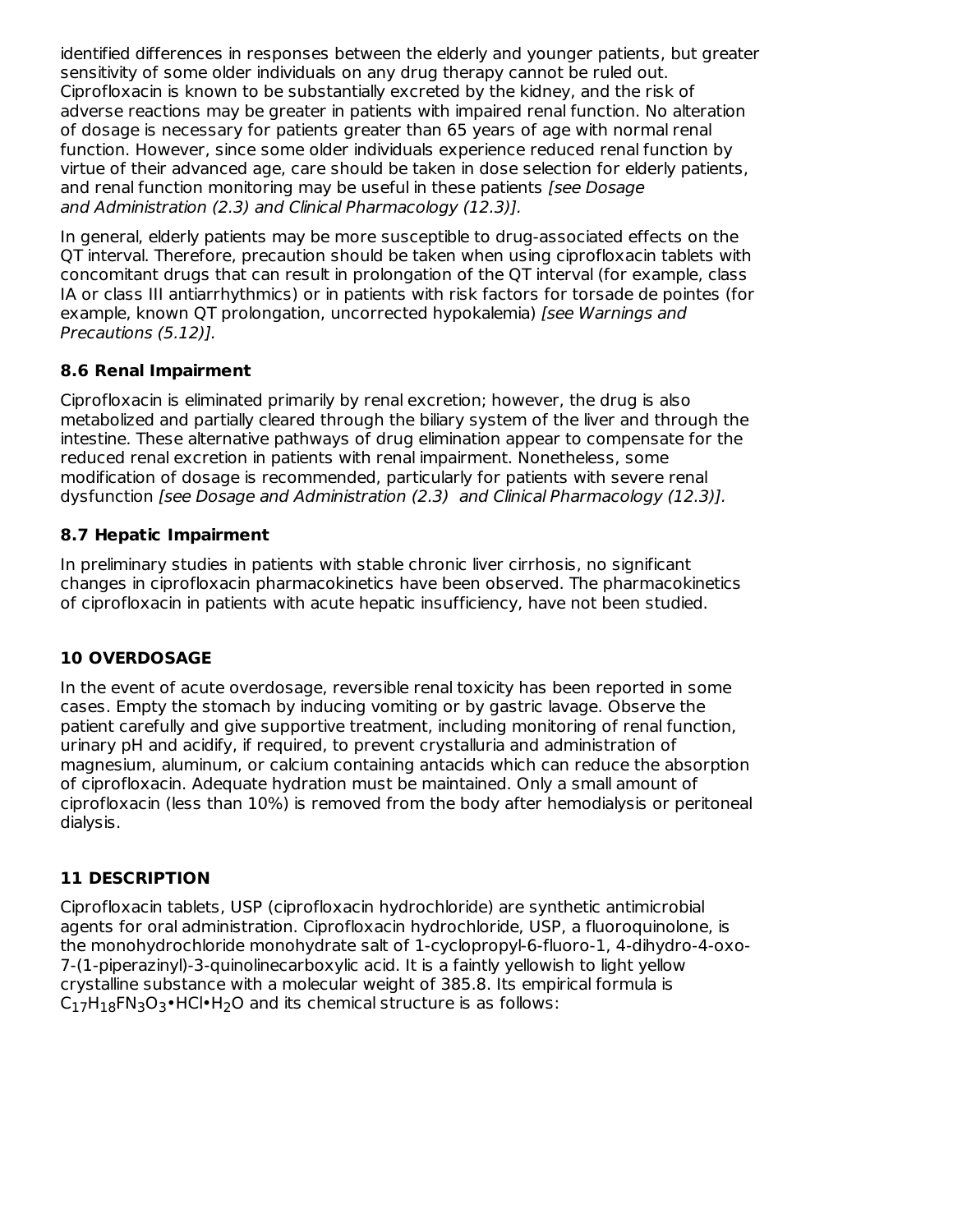identified differences in responses between the elderly and younger patients, but greater sensitivity of some older individuals on any drug therapy cannot be ruled out. Ciprofloxacin is known to be substantially excreted by the kidney, and the risk of adverse reactions may be greater in patients with impaired renal function. No alteration of dosage is necessary for patients greater than 65 years of age with normal renal function. However, since some older individuals experience reduced renal function by virtue of their advanced age, care should be taken in dose selection for elderly patients, and renal function monitoring may be useful in these patients [see Dosage and Administration (2.3) and Clinical Pharmacology (12.3)].

In general, elderly patients may be more susceptible to drug-associated effects on the QT interval. Therefore, precaution should be taken when using ciprofloxacin tablets with concomitant drugs that can result in prolongation of the QT interval (for example, class IA or class III antiarrhythmics) or in patients with risk factors for torsade de pointes (for example, known QT prolongation, uncorrected hypokalemia) [see Warnings and Precautions (5.12)].

## **8.6 Renal Impairment**

Ciprofloxacin is eliminated primarily by renal excretion; however, the drug is also metabolized and partially cleared through the biliary system of the liver and through the intestine. These alternative pathways of drug elimination appear to compensate for the reduced renal excretion in patients with renal impairment. Nonetheless, some modification of dosage is recommended, particularly for patients with severe renal dysfunction [see Dosage and Administration (2.3) and Clinical Pharmacology (12.3)].

# **8.7 Hepatic Impairment**

In preliminary studies in patients with stable chronic liver cirrhosis, no significant changes in ciprofloxacin pharmacokinetics have been observed. The pharmacokinetics of ciprofloxacin in patients with acute hepatic insufficiency, have not been studied.

# **10 OVERDOSAGE**

In the event of acute overdosage, reversible renal toxicity has been reported in some cases. Empty the stomach by inducing vomiting or by gastric lavage. Observe the patient carefully and give supportive treatment, including monitoring of renal function, urinary pH and acidify, if required, to prevent crystalluria and administration of magnesium, aluminum, or calcium containing antacids which can reduce the absorption of ciprofloxacin. Adequate hydration must be maintained. Only a small amount of ciprofloxacin (less than 10%) is removed from the body after hemodialysis or peritoneal dialysis.

# **11 DESCRIPTION**

Ciprofloxacin tablets, USP (ciprofloxacin hydrochloride) are synthetic antimicrobial agents for oral administration. Ciprofloxacin hydrochloride, USP, a fluoroquinolone, is the monohydrochloride monohydrate salt of 1-cyclopropyl-6-fluoro-1, 4-dihydro-4-oxo-7-(1-piperazinyl)-3-quinolinecarboxylic acid. It is a faintly yellowish to light yellow crystalline substance with a molecular weight of 385.8. Its empirical formula is  $C_{17}H_{18}FN_{3}O_{3}$ •HCl•H<sub>2</sub>O and its chemical structure is as follows: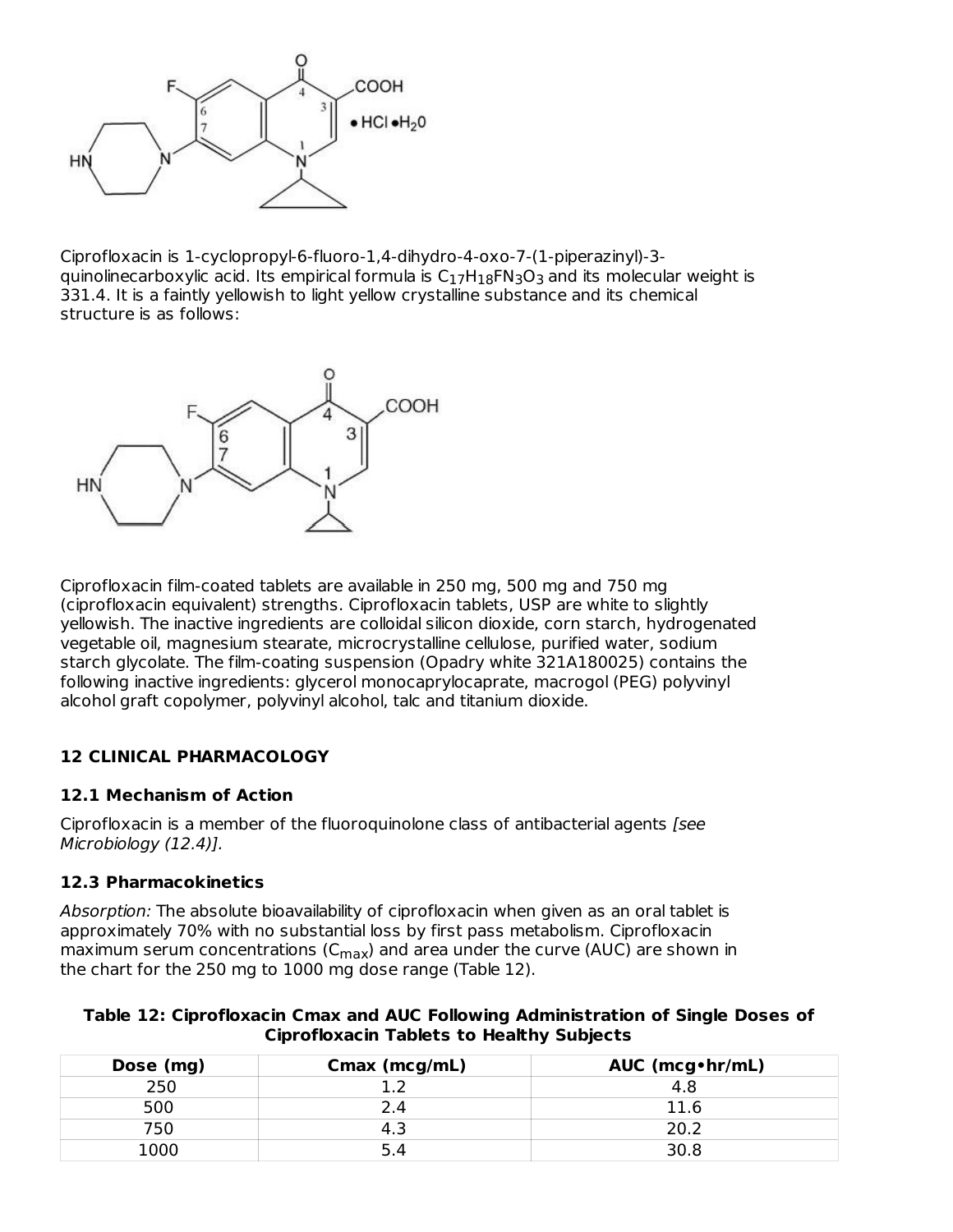

Ciprofloxacin is 1-cyclopropyl-6-fluoro-1,4-dihydro-4-oxo-7-(1-piperazinyl)-3 quinolinecarboxylic acid. Its empirical formula is  ${\sf C}_{17}{\sf H}_{18}{\sf F}{\sf N}_3{\sf O}_3$  and its molecular weight is 331.4. It is a faintly yellowish to light yellow crystalline substance and its chemical structure is as follows:



Ciprofloxacin film-coated tablets are available in 250 mg, 500 mg and 750 mg (ciprofloxacin equivalent) strengths. Ciprofloxacin tablets, USP are white to slightly yellowish. The inactive ingredients are colloidal silicon dioxide, corn starch, hydrogenated vegetable oil, magnesium stearate, microcrystalline cellulose, purified water, sodium starch glycolate. The film-coating suspension (Opadry white 321A180025) contains the following inactive ingredients: glycerol monocaprylocaprate, macrogol (PEG) polyvinyl alcohol graft copolymer, polyvinyl alcohol, talc and titanium dioxide.

#### **12 CLINICAL PHARMACOLOGY**

#### **12.1 Mechanism of Action**

Ciprofloxacin is a member of the fluoroquinolone class of antibacterial agents [see Microbiology (12.4)].

#### **12.3 Pharmacokinetics**

Absorption: The absolute bioavailability of ciprofloxacin when given as an oral tablet is approximately 70% with no substantial loss by first pass metabolism. Ciprofloxacin maximum serum concentrations (C $_{\sf max}$ ) and area under the curve (AUC) are shown in the chart for the 250 mg to 1000 mg dose range (Table 12).

**Table 12: Ciprofloxacin Cmax and AUC Following Administration of Single Doses of Ciprofloxacin Tablets to Healthy Subjects**

| Dose (mg) | Cmax (mcg/mL) | AUC (mcg · hr/mL) |
|-----------|---------------|-------------------|
| 250       |               | 4.8               |
| 500       |               | 11 R              |
| 750       |               | 20.2              |
| 1000      |               | 30.8              |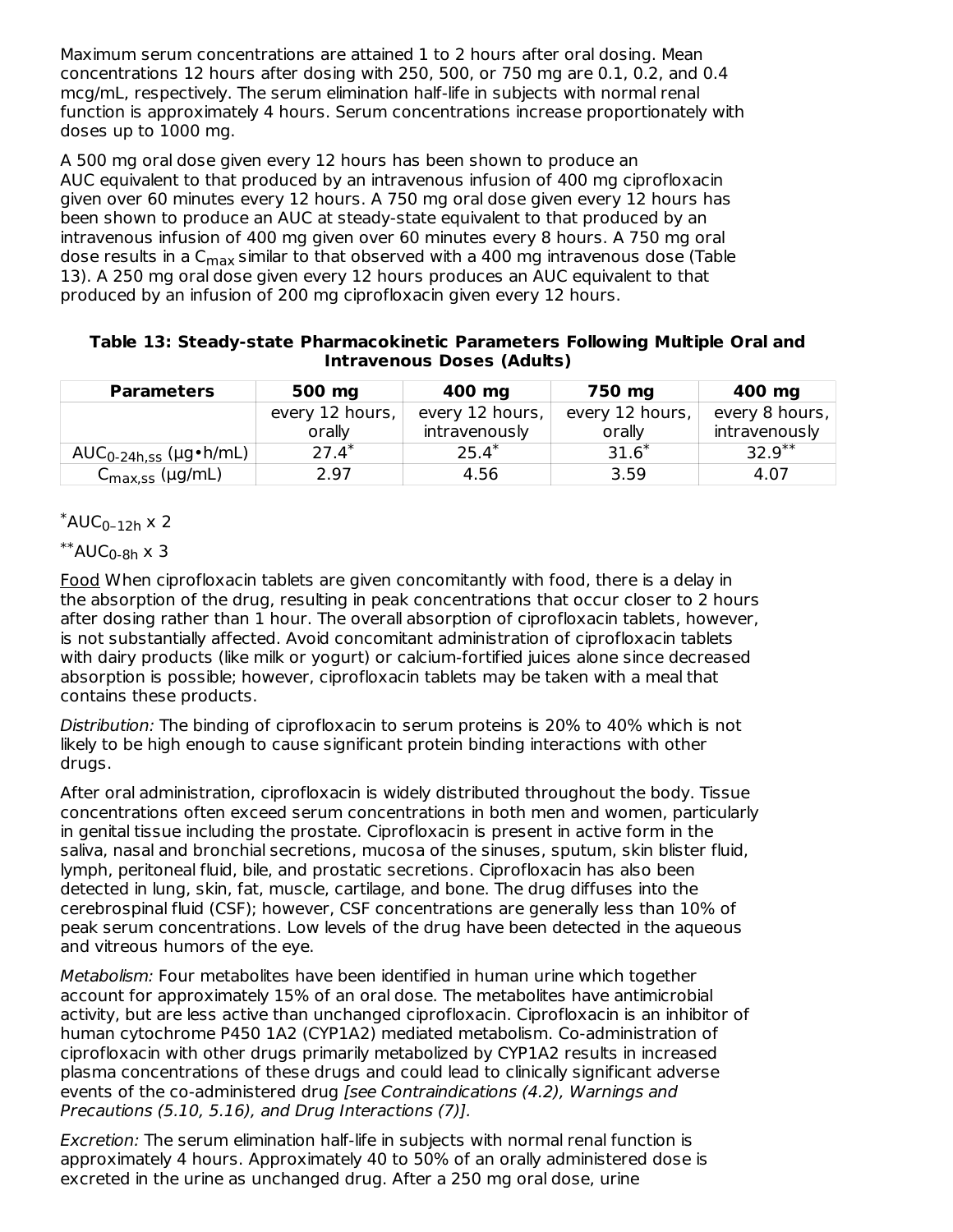Maximum serum concentrations are attained 1 to 2 hours after oral dosing. Mean concentrations 12 hours after dosing with 250, 500, or 750 mg are 0.1, 0.2, and 0.4 mcg/mL, respectively. The serum elimination half-life in subjects with normal renal function is approximately 4 hours. Serum concentrations increase proportionately with doses up to 1000 mg.

A 500 mg oral dose given every 12 hours has been shown to produce an AUC equivalent to that produced by an intravenous infusion of 400 mg ciprofloxacin given over 60 minutes every 12 hours. A 750 mg oral dose given every 12 hours has been shown to produce an AUC at steady-state equivalent to that produced by an intravenous infusion of 400 mg given over 60 minutes every 8 hours. A 750 mg oral dose results in a C<sub>max</sub> similar to that observed with a 400 mg intravenous dose (Table 13). A 250 mg oral dose given every 12 hours produces an AUC equivalent to that produced by an infusion of 200 mg ciprofloxacin given every 12 hours.

| Table 13: Steady-state Pharmacokinetic Parameters Following Multiple Oral and |                                   |  |  |
|-------------------------------------------------------------------------------|-----------------------------------|--|--|
|                                                                               | <b>Intravenous Doses (Adults)</b> |  |  |

| <b>Parameters</b>           | 500 mg          | 400 mg          | 750 mg          | 400 mg         |
|-----------------------------|-----------------|-----------------|-----------------|----------------|
|                             | every 12 hours, | every 12 hours, | every 12 hours, | every 8 hours, |
|                             | orally          | intravenously   | orally          | intravenously  |
| $AUC_{0-24h,ss}$ (µg•h/mL)  | $27.4*$         | $25.4^*$        | $31.6*$         | $32.9***$      |
| C <sub>max,ss</sub> (µg/mL) | 2.97            | 4.56            | 3.59            | 4.07           |

 $^*$ AUC<sub>0–12h</sub> x 2

 $^{\ast\ast}$ AUC $_{0\text{-}8\mathsf{h}}$  x 3

Food When ciprofloxacin tablets are given concomitantly with food, there is a delay in the absorption of the drug, resulting in peak concentrations that occur closer to 2 hours after dosing rather than 1 hour. The overall absorption of ciprofloxacin tablets, however, is not substantially affected. Avoid concomitant administration of ciprofloxacin tablets with dairy products (like milk or yogurt) or calcium-fortified juices alone since decreased absorption is possible; however, ciprofloxacin tablets may be taken with a meal that contains these products.

Distribution: The binding of ciprofloxacin to serum proteins is 20% to 40% which is not likely to be high enough to cause significant protein binding interactions with other drugs.

After oral administration, ciprofloxacin is widely distributed throughout the body. Tissue concentrations often exceed serum concentrations in both men and women, particularly in genital tissue including the prostate. Ciprofloxacin is present in active form in the saliva, nasal and bronchial secretions, mucosa of the sinuses, sputum, skin blister fluid, lymph, peritoneal fluid, bile, and prostatic secretions. Ciprofloxacin has also been detected in lung, skin, fat, muscle, cartilage, and bone. The drug diffuses into the cerebrospinal fluid (CSF); however, CSF concentrations are generally less than 10% of peak serum concentrations. Low levels of the drug have been detected in the aqueous and vitreous humors of the eye.

Metabolism: Four metabolites have been identified in human urine which together account for approximately 15% of an oral dose. The metabolites have antimicrobial activity, but are less active than unchanged ciprofloxacin. Ciprofloxacin is an inhibitor of human cytochrome P450 1A2 (CYP1A2) mediated metabolism. Co-administration of ciprofloxacin with other drugs primarily metabolized by CYP1A2 results in increased plasma concentrations of these drugs and could lead to clinically significant adverse events of the co-administered drug [see Contraindications (4.2), Warnings and Precautions (5.10, 5.16), and Drug Interactions (7)].

Excretion: The serum elimination half-life in subjects with normal renal function is approximately 4 hours. Approximately 40 to 50% of an orally administered dose is excreted in the urine as unchanged drug. After a 250 mg oral dose, urine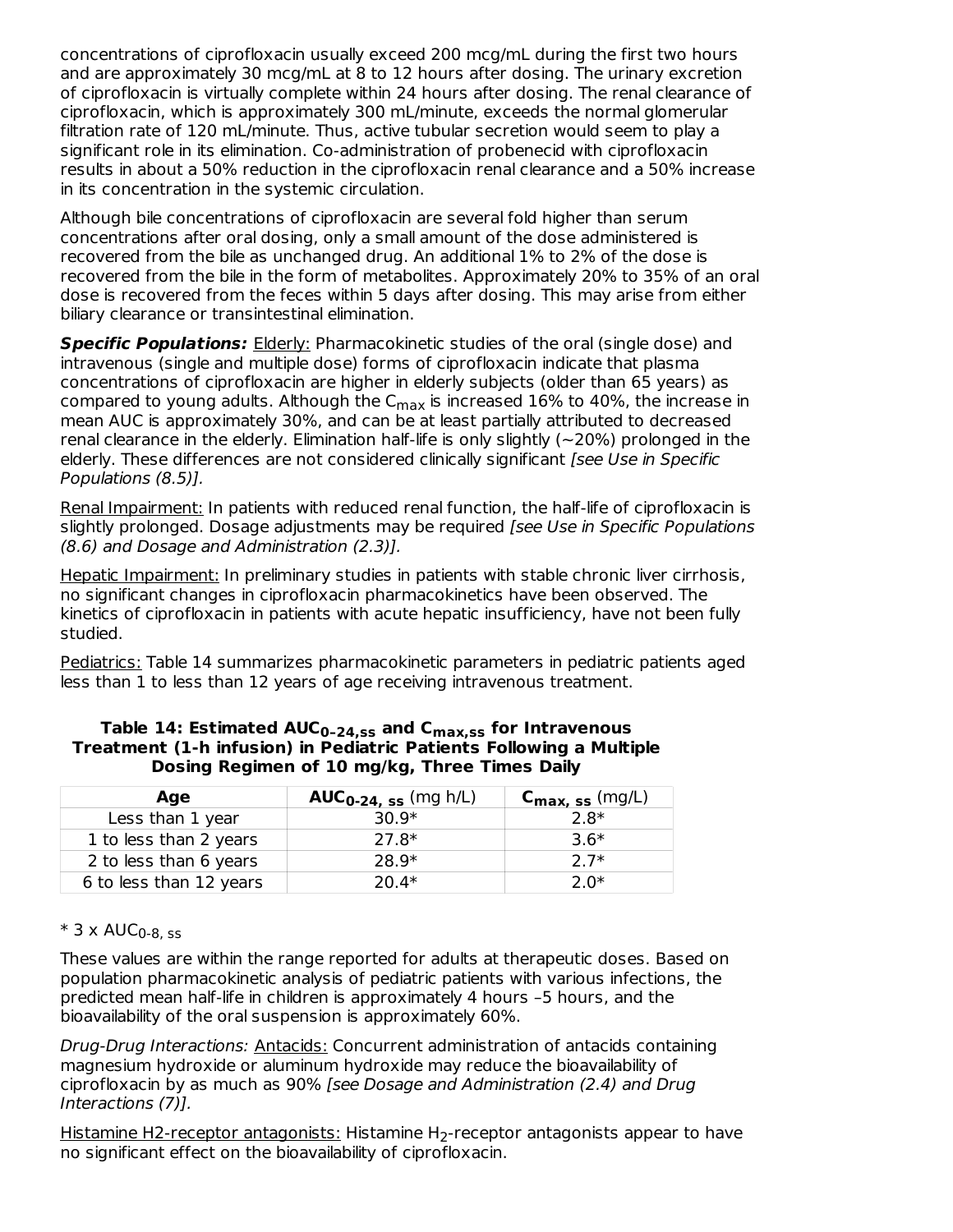concentrations of ciprofloxacin usually exceed 200 mcg/mL during the first two hours and are approximately 30 mcg/mL at 8 to 12 hours after dosing. The urinary excretion of ciprofloxacin is virtually complete within 24 hours after dosing. The renal clearance of ciprofloxacin, which is approximately 300 mL/minute, exceeds the normal glomerular filtration rate of 120 mL/minute. Thus, active tubular secretion would seem to play a significant role in its elimination. Co-administration of probenecid with ciprofloxacin results in about a 50% reduction in the ciprofloxacin renal clearance and a 50% increase in its concentration in the systemic circulation.

Although bile concentrations of ciprofloxacin are several fold higher than serum concentrations after oral dosing, only a small amount of the dose administered is recovered from the bile as unchanged drug. An additional 1% to 2% of the dose is recovered from the bile in the form of metabolites. Approximately 20% to 35% of an oral dose is recovered from the feces within 5 days after dosing. This may arise from either biliary clearance or transintestinal elimination.

**Specific Populations:** Elderly: Pharmacokinetic studies of the oral (single dose) and intravenous (single and multiple dose) forms of ciprofloxacin indicate that plasma concentrations of ciprofloxacin are higher in elderly subjects (older than 65 years) as compared to young adults. Although the C<sub>max</sub> is increased 16% to 40%, the increase in mean AUC is approximately 30%, and can be at least partially attributed to decreased renal clearance in the elderly. Elimination half-life is only slightly (~20%) prolonged in the elderly. These differences are not considered clinically significant [see Use in Specific Populations (8.5)].

Renal Impairment: In patients with reduced renal function, the half-life of ciprofloxacin is slightly prolonged. Dosage adjustments may be required [see Use in Specific Populations (8.6) and Dosage and Administration (2.3)].

Hepatic Impairment: In preliminary studies in patients with stable chronic liver cirrhosis, no significant changes in ciprofloxacin pharmacokinetics have been observed. The kinetics of ciprofloxacin in patients with acute hepatic insufficiency, have not been fully studied.

Pediatrics: Table 14 summarizes pharmacokinetic parameters in pediatric patients aged less than 1 to less than 12 years of age receiving intravenous treatment.

| Age                     | <b>AUC<sub>0-24, ss</sub></b> (mg h/L) | $C_{\text{max, ss}}$ (mg/L) |
|-------------------------|----------------------------------------|-----------------------------|
| Less than 1 year        | $30.9*$                                | $2.8*$                      |
| 1 to less than 2 years  | 27.8*                                  | $3.6*$                      |
| 2 to less than 6 years  | 28.9*                                  | $27*$                       |
| 6 to less than 12 years | $20.4*$                                | ን በ*                        |

| Table 14: Estimated $AUC_{0-24,ss}$ and $C_{max,ss}$ for Intravenous |
|----------------------------------------------------------------------|
| Treatment (1-h infusion) in Pediatric Patients Following a Multiple  |
| Dosing Regimen of 10 mg/kg, Three Times Daily                        |

#### \* 3 x AUC 0-8, ss

These values are within the range reported for adults at therapeutic doses. Based on population pharmacokinetic analysis of pediatric patients with various infections, the predicted mean half-life in children is approximately 4 hours –5 hours, and the bioavailability of the oral suspension is approximately 60%.

Drug-Drug Interactions: Antacids: Concurrent administration of antacids containing magnesium hydroxide or aluminum hydroxide may reduce the bioavailability of ciprofloxacin by as much as 90% [see Dosage and Administration (2.4) and Drug Interactions (7)].

<u>Histamine H2-receptor antagonists:</u> Histamine H<sub>2</sub>-receptor antagonists appear to have no significant effect on the bioavailability of ciprofloxacin.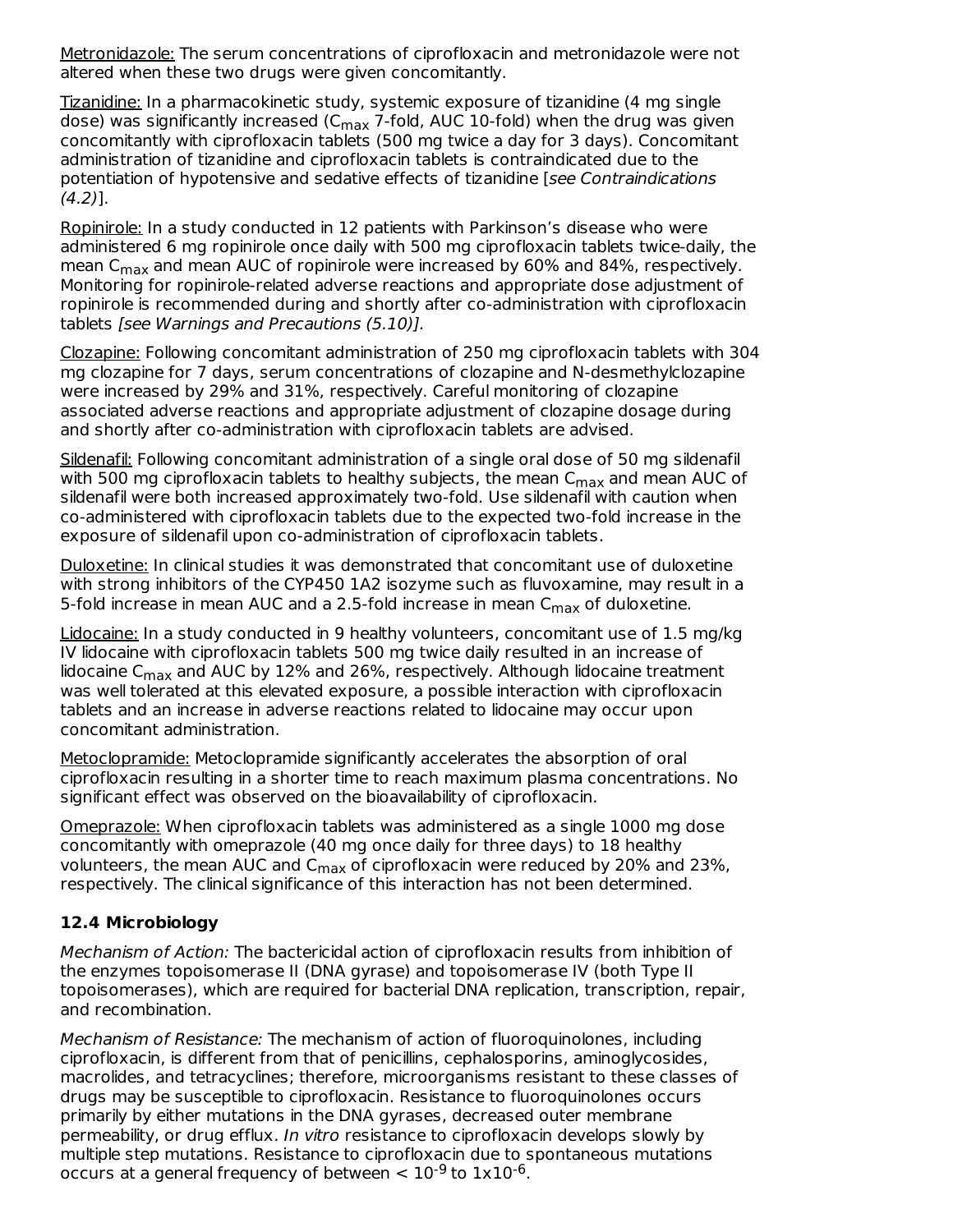Metronidazole: The serum concentrations of ciprofloxacin and metronidazole were not altered when these two drugs were given concomitantly.

Tizanidine: In a pharmacokinetic study, systemic exposure of tizanidine (4 mg single dose) was significantly increased (C<sub>max</sub> 7-fold, AUC 10-fold) when the drug was given concomitantly with ciprofloxacin tablets (500 mg twice a day for 3 days). Concomitant administration of tizanidine and ciprofloxacin tablets is contraindicated due to the potentiation of hypotensive and sedative effects of tizanidine [see Contraindications  $(4.2)$ ].

Ropinirole: In a study conducted in 12 patients with Parkinson's disease who were administered 6 mg ropinirole once daily with 500 mg ciprofloxacin tablets twice-daily, the mean C $_{\sf max}$  and mean AUC of ropinirole were increased by 60% and 84%, respectively. Monitoring for ropinirole-related adverse reactions and appropriate dose adjustment of ropinirole is recommended during and shortly after co-administration with ciprofloxacin tablets [see Warnings and Precautions (5.10)].

Clozapine: Following concomitant administration of 250 mg ciprofloxacin tablets with 304 mg clozapine for 7 days, serum concentrations of clozapine and N-desmethylclozapine were increased by 29% and 31%, respectively. Careful monitoring of clozapine associated adverse reactions and appropriate adjustment of clozapine dosage during and shortly after co-administration with ciprofloxacin tablets are advised.

Sildenafil: Following concomitant administration of a single oral dose of 50 mg sildenafil with 500 mg ciprofloxacin tablets to healthy subjects, the mean  $\mathsf{C}_{\mathsf{max}}$  and mean AUC of sildenafil were both increased approximately two-fold. Use sildenafil with caution when co-administered with ciprofloxacin tablets due to the expected two-fold increase in the exposure of sildenafil upon co-administration of ciprofloxacin tablets.

Duloxetine: In clinical studies it was demonstrated that concomitant use of duloxetine with strong inhibitors of the CYP450 1A2 isozyme such as fluvoxamine, may result in a 5-fold increase in mean AUC and a 2.5-fold increase in mean  $\mathsf{C}_{\mathsf{max}}$  of duloxetine.

Lidocaine: In a study conducted in 9 healthy volunteers, concomitant use of 1.5 mg/kg IV lidocaine with ciprofloxacin tablets 500 mg twice daily resulted in an increase of lidocaine C<sub>max</sub> and AUC by 12% and 26%, respectively. Although lidocaine treatment was well tolerated at this elevated exposure, a possible interaction with ciprofloxacin tablets and an increase in adverse reactions related to lidocaine may occur upon concomitant administration.

Metoclopramide: Metoclopramide significantly accelerates the absorption of oral ciprofloxacin resulting in a shorter time to reach maximum plasma concentrations. No significant effect was observed on the bioavailability of ciprofloxacin.

Omeprazole: When ciprofloxacin tablets was administered as a single 1000 mg dose concomitantly with omeprazole (40 mg once daily for three days) to 18 healthy volunteers, the mean AUC and C<sub>max</sub> of ciprofloxacin were reduced by 20% and 23%, respectively. The clinical significance of this interaction has not been determined.

## **12.4 Microbiology**

Mechanism of Action: The bactericidal action of ciprofloxacin results from inhibition of the enzymes topoisomerase II (DNA gyrase) and topoisomerase IV (both Type II topoisomerases), which are required for bacterial DNA replication, transcription, repair, and recombination.

Mechanism of Resistance: The mechanism of action of fluoroquinolones, including ciprofloxacin, is different from that of penicillins, cephalosporins, aminoglycosides, macrolides, and tetracyclines; therefore, microorganisms resistant to these classes of drugs may be susceptible to ciprofloxacin. Resistance to fluoroquinolones occurs primarily by either mutations in the DNA gyrases, decreased outer membrane permeability, or drug efflux. In vitro resistance to ciprofloxacin develops slowly by multiple step mutations. Resistance to ciprofloxacin due to spontaneous mutations occurs at a general frequency of between  $< 10^{-9}$  to  $1x10^{-6}$ .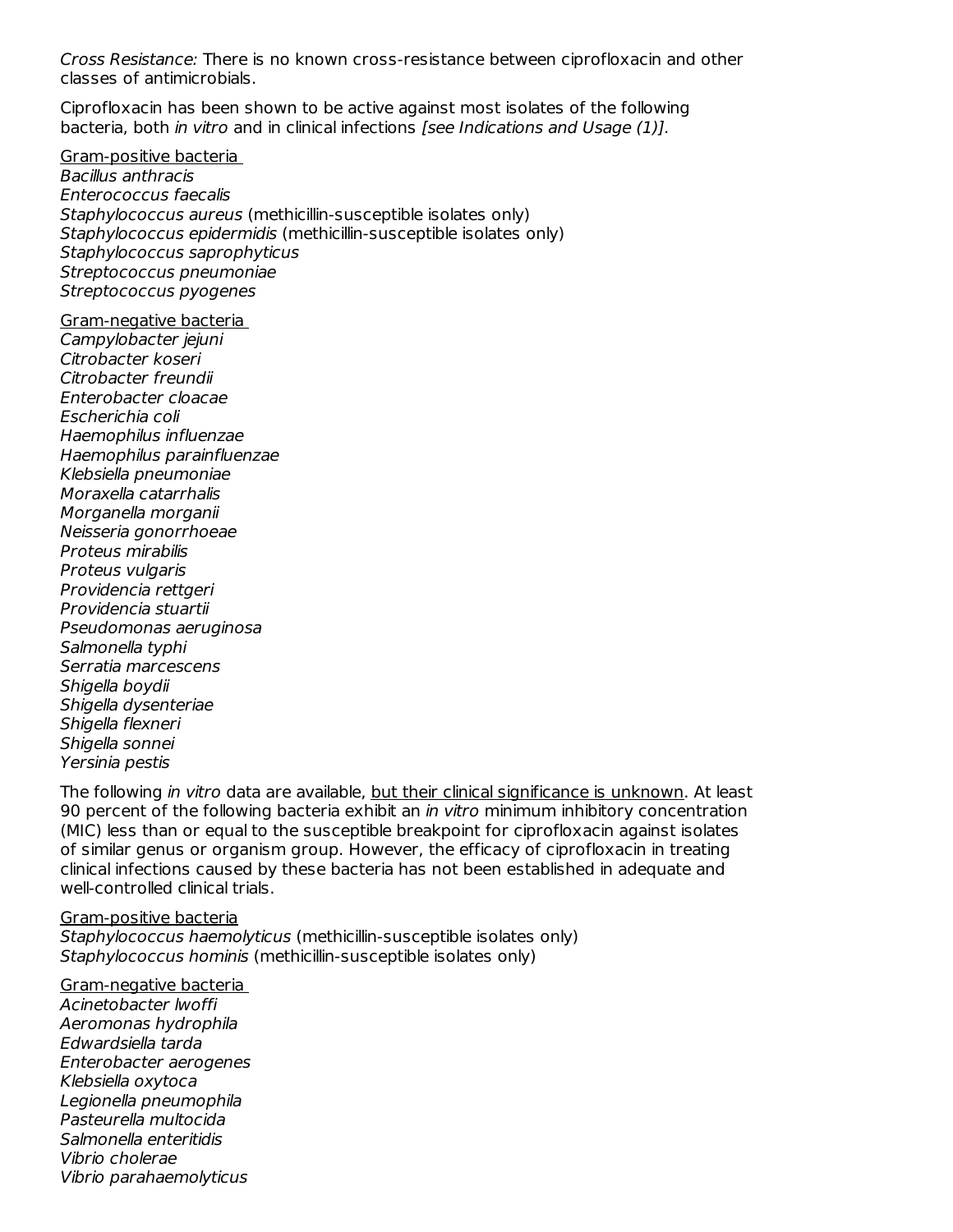Cross Resistance: There is no known cross-resistance between ciprofloxacin and other classes of antimicrobials.

Ciprofloxacin has been shown to be active against most isolates of the following bacteria, both in vitro and in clinical infections [see Indications and Usage (1)].

Gram-positive bacteria

Bacillus anthracis Enterococcus faecalis Staphylococcus aureus (methicillin-susceptible isolates only) Staphylococcus epidermidis (methicillin-susceptible isolates only) Staphylococcus saprophyticus Streptococcus pneumoniae Streptococcus pyogenes

Gram-negative bacteria Campylobacter jejuni Citrobacter koseri Citrobacter freundii Enterobacter cloacae Escherichia coli Haemophilus influenzae Haemophilus parainfluenzae Klebsiella pneumoniae Moraxella catarrhalis Morganella morganii Neisseria gonorrhoeae Proteus mirabilis Proteus vulgaris Providencia rettgeri Providencia stuartii Pseudomonas aeruginosa Salmonella typhi Serratia marcescens Shigella boydii Shigella dysenteriae Shigella flexneri Shigella sonnei Yersinia pestis

The following *in vitro* data are available, but their clinical significance is unknown. At least 90 percent of the following bacteria exhibit an *in vitro* minimum inhibitory concentration (MIC) less than or equal to the susceptible breakpoint for ciprofloxacin against isolates of similar genus or organism group. However, the efficacy of ciprofloxacin in treating clinical infections caused by these bacteria has not been established in adequate and well-controlled clinical trials.

#### Gram-positive bacteria

Staphylococcus haemolyticus (methicillin-susceptible isolates only) Staphylococcus hominis (methicillin-susceptible isolates only)

Gram-negative bacteria Acinetobacter lwoffi Aeromonas hydrophila Edwardsiella tarda Enterobacter aerogenes Klebsiella oxytoca Legionella pneumophila Pasteurella multocida Salmonella enteritidis Vibrio cholerae Vibrio parahaemolyticus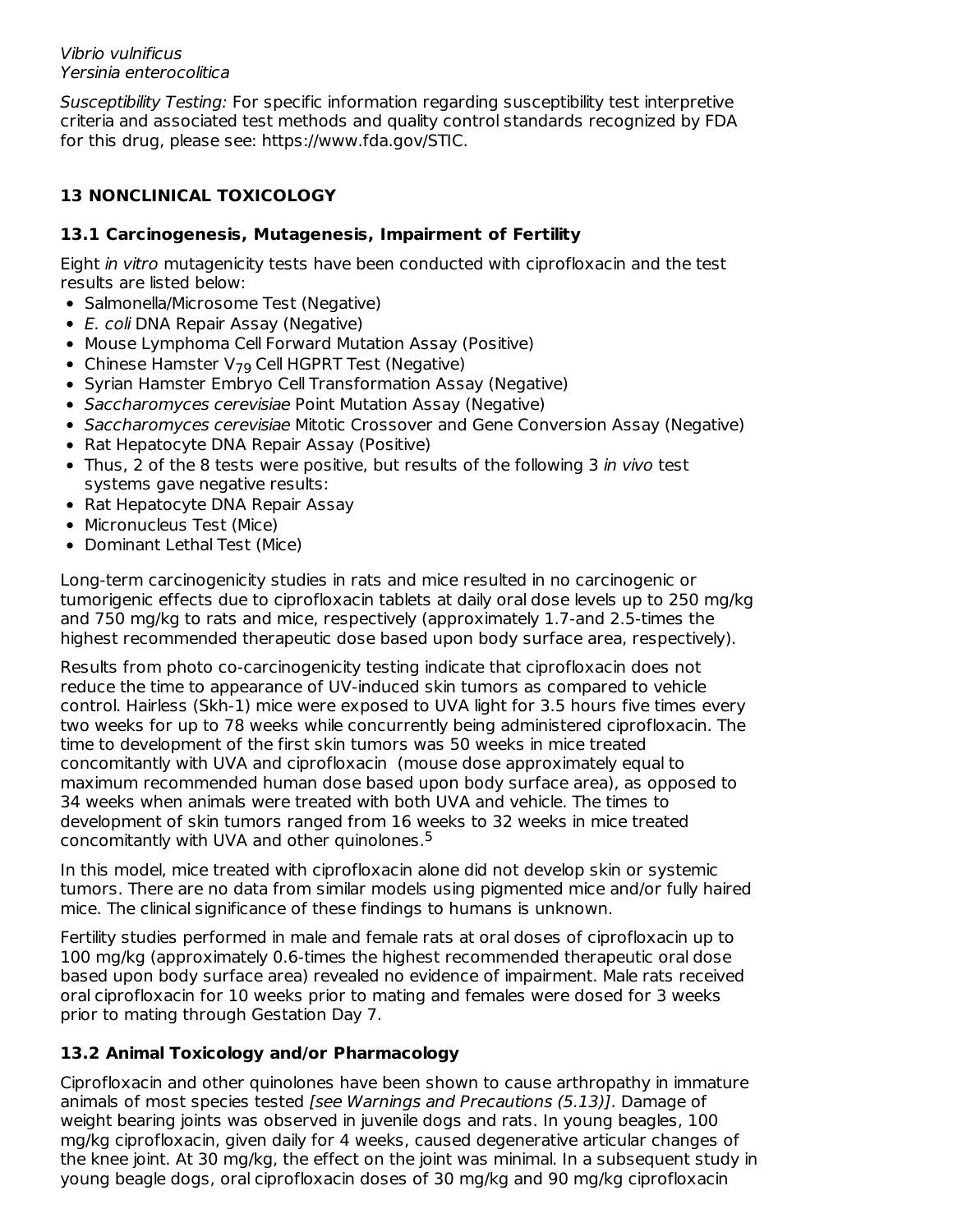Vibrio vulnificus Yersinia enterocolitica

Susceptibility Testing: For specific information regarding susceptibility test interpretive criteria and associated test methods and quality control standards recognized by FDA for this drug, please see: https://www.fda.gov/STIC.

## **13 NONCLINICAL TOXICOLOGY**

## **13.1 Carcinogenesis, Mutagenesis, Impairment of Fertility**

Eight in vitro mutagenicity tests have been conducted with ciprofloxacin and the test results are listed below:

- Salmonella/Microsome Test (Negative)
- E. coli DNA Repair Assay (Negative)
- Mouse Lymphoma Cell Forward Mutation Assay (Positive)
- Chinese Hamster  $V_{79}$  Cell HGPRT Test (Negative)
- Syrian Hamster Embryo Cell Transformation Assay (Negative)
- Saccharomyces cerevisiae Point Mutation Assay (Negative)
- Saccharomyces cerevisiae Mitotic Crossover and Gene Conversion Assay (Negative)
- Rat Hepatocyte DNA Repair Assay (Positive)
- Thus, 2 of the 8 tests were positive, but results of the following 3 in vivo test systems gave negative results:
- Rat Hepatocyte DNA Repair Assay
- Micronucleus Test (Mice)
- Dominant Lethal Test (Mice)

Long-term carcinogenicity studies in rats and mice resulted in no carcinogenic or tumorigenic effects due to ciprofloxacin tablets at daily oral dose levels up to 250 mg/kg and 750 mg/kg to rats and mice, respectively (approximately 1.7-and 2.5-times the highest recommended therapeutic dose based upon body surface area, respectively).

Results from photo co-carcinogenicity testing indicate that ciprofloxacin does not reduce the time to appearance of UV-induced skin tumors as compared to vehicle control. Hairless (Skh-1) mice were exposed to UVA light for 3.5 hours five times every two weeks for up to 78 weeks while concurrently being administered ciprofloxacin. The time to development of the first skin tumors was 50 weeks in mice treated concomitantly with UVA and ciprofloxacin (mouse dose approximately equal to maximum recommended human dose based upon body surface area), as opposed to 34 weeks when animals were treated with both UVA and vehicle. The times to development of skin tumors ranged from 16 weeks to 32 weeks in mice treated concomitantly with UVA and other quinolones. 5

In this model, mice treated with ciprofloxacin alone did not develop skin or systemic tumors. There are no data from similar models using pigmented mice and/or fully haired mice. The clinical significance of these findings to humans is unknown.

Fertility studies performed in male and female rats at oral doses of ciprofloxacin up to 100 mg/kg (approximately 0.6-times the highest recommended therapeutic oral dose based upon body surface area) revealed no evidence of impairment. Male rats received oral ciprofloxacin for 10 weeks prior to mating and females were dosed for 3 weeks prior to mating through Gestation Day 7.

## **13.2 Animal Toxicology and/or Pharmacology**

Ciprofloxacin and other quinolones have been shown to cause arthropathy in immature animals of most species tested [see Warnings and Precautions (5.13)]. Damage of weight bearing joints was observed in juvenile dogs and rats. In young beagles, 100 mg/kg ciprofloxacin, given daily for 4 weeks, caused degenerative articular changes of the knee joint. At 30 mg/kg, the effect on the joint was minimal. In a subsequent study in young beagle dogs, oral ciprofloxacin doses of 30 mg/kg and 90 mg/kg ciprofloxacin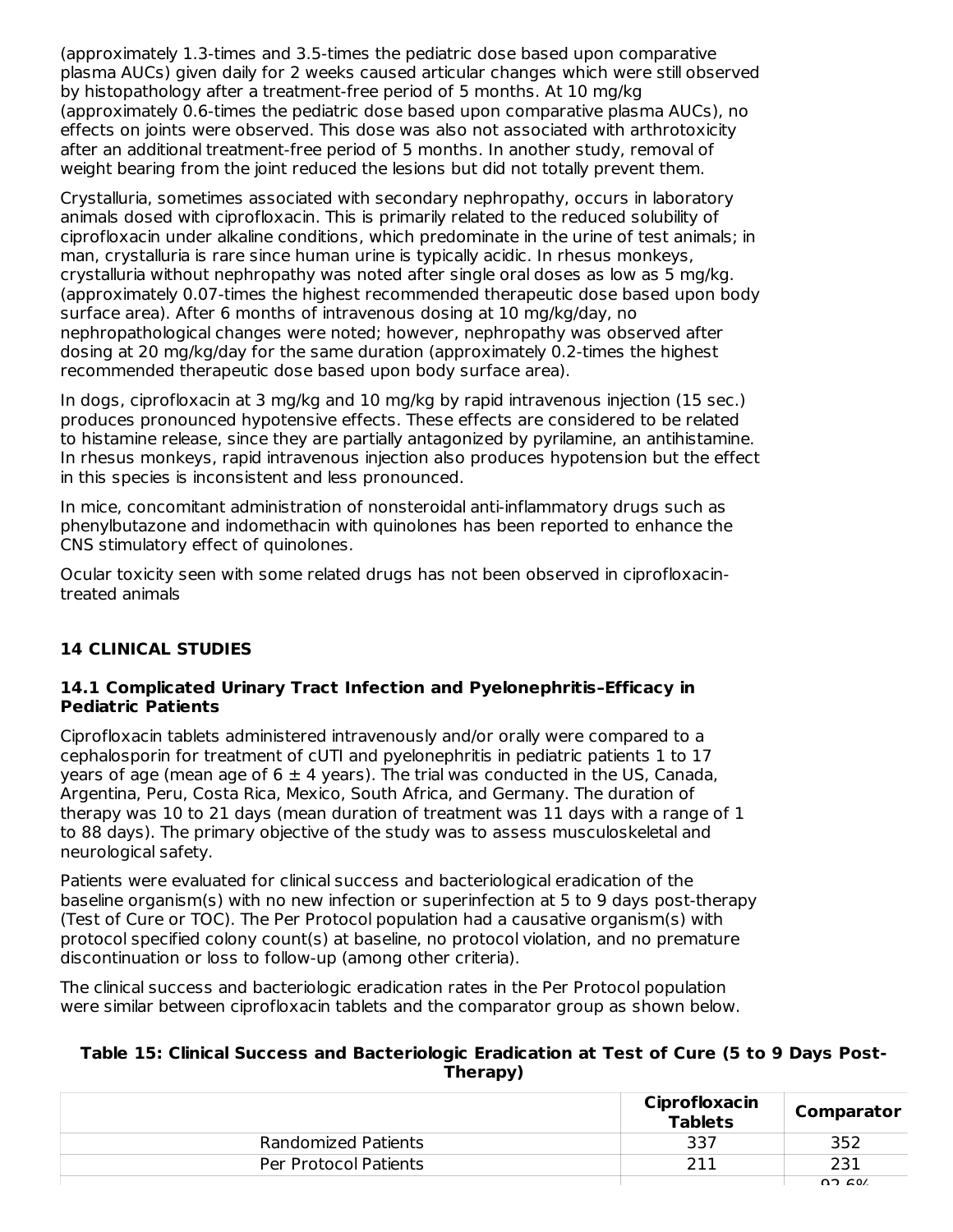(approximately 1.3-times and 3.5-times the pediatric dose based upon comparative plasma AUCs) given daily for 2 weeks caused articular changes which were still observed by histopathology after a treatment-free period of 5 months. At 10 mg/kg (approximately 0.6-times the pediatric dose based upon comparative plasma AUCs), no effects on joints were observed. This dose was also not associated with arthrotoxicity after an additional treatment-free period of 5 months. In another study, removal of weight bearing from the joint reduced the lesions but did not totally prevent them.

Crystalluria, sometimes associated with secondary nephropathy, occurs in laboratory animals dosed with ciprofloxacin. This is primarily related to the reduced solubility of ciprofloxacin under alkaline conditions, which predominate in the urine of test animals; in man, crystalluria is rare since human urine is typically acidic. In rhesus monkeys, crystalluria without nephropathy was noted after single oral doses as low as 5 mg/kg. (approximately 0.07-times the highest recommended therapeutic dose based upon body surface area). After 6 months of intravenous dosing at 10 mg/kg/day, no nephropathological changes were noted; however, nephropathy was observed after dosing at 20 mg/kg/day for the same duration (approximately 0.2-times the highest recommended therapeutic dose based upon body surface area).

In dogs, ciprofloxacin at 3 mg/kg and 10 mg/kg by rapid intravenous injection (15 sec.) produces pronounced hypotensive effects. These effects are considered to be related to histamine release, since they are partially antagonized by pyrilamine, an antihistamine. In rhesus monkeys, rapid intravenous injection also produces hypotension but the effect in this species is inconsistent and less pronounced.

In mice, concomitant administration of nonsteroidal anti-inflammatory drugs such as phenylbutazone and indomethacin with quinolones has been reported to enhance the CNS stimulatory effect of quinolones.

Ocular toxicity seen with some related drugs has not been observed in ciprofloxacintreated animals

## **14 CLINICAL STUDIES**

#### **14.1 Complicated Urinary Tract Infection and Pyelonephritis–Efficacy in Pediatric Patients**

Ciprofloxacin tablets administered intravenously and/or orally were compared to a cephalosporin for treatment of cUTI and pyelonephritis in pediatric patients 1 to 17 years of age (mean age of  $6 \pm 4$  years). The trial was conducted in the US, Canada, Argentina, Peru, Costa Rica, Mexico, South Africa, and Germany. The duration of therapy was 10 to 21 days (mean duration of treatment was 11 days with a range of 1 to 88 days). The primary objective of the study was to assess musculoskeletal and neurological safety.

Patients were evaluated for clinical success and bacteriological eradication of the baseline organism(s) with no new infection or superinfection at 5 to 9 days post-therapy (Test of Cure or TOC). The Per Protocol population had a causative organism(s) with protocol specified colony count(s) at baseline, no protocol violation, and no premature discontinuation or loss to follow-up (among other criteria).

The clinical success and bacteriologic eradication rates in the Per Protocol population were similar between ciprofloxacin tablets and the comparator group as shown below.

#### **Table 15: Clinical Success and Bacteriologic Eradication at Test of Cure (5 to 9 Days Post-Therapy)**

|                       | Ciprofloxacin<br><b>Tablets</b> | Comparator |
|-----------------------|---------------------------------|------------|
| Randomized Patients   | 337                             | 352        |
| Per Protocol Patients | ור ר                            | 231        |
|                       |                                 | 02.501     |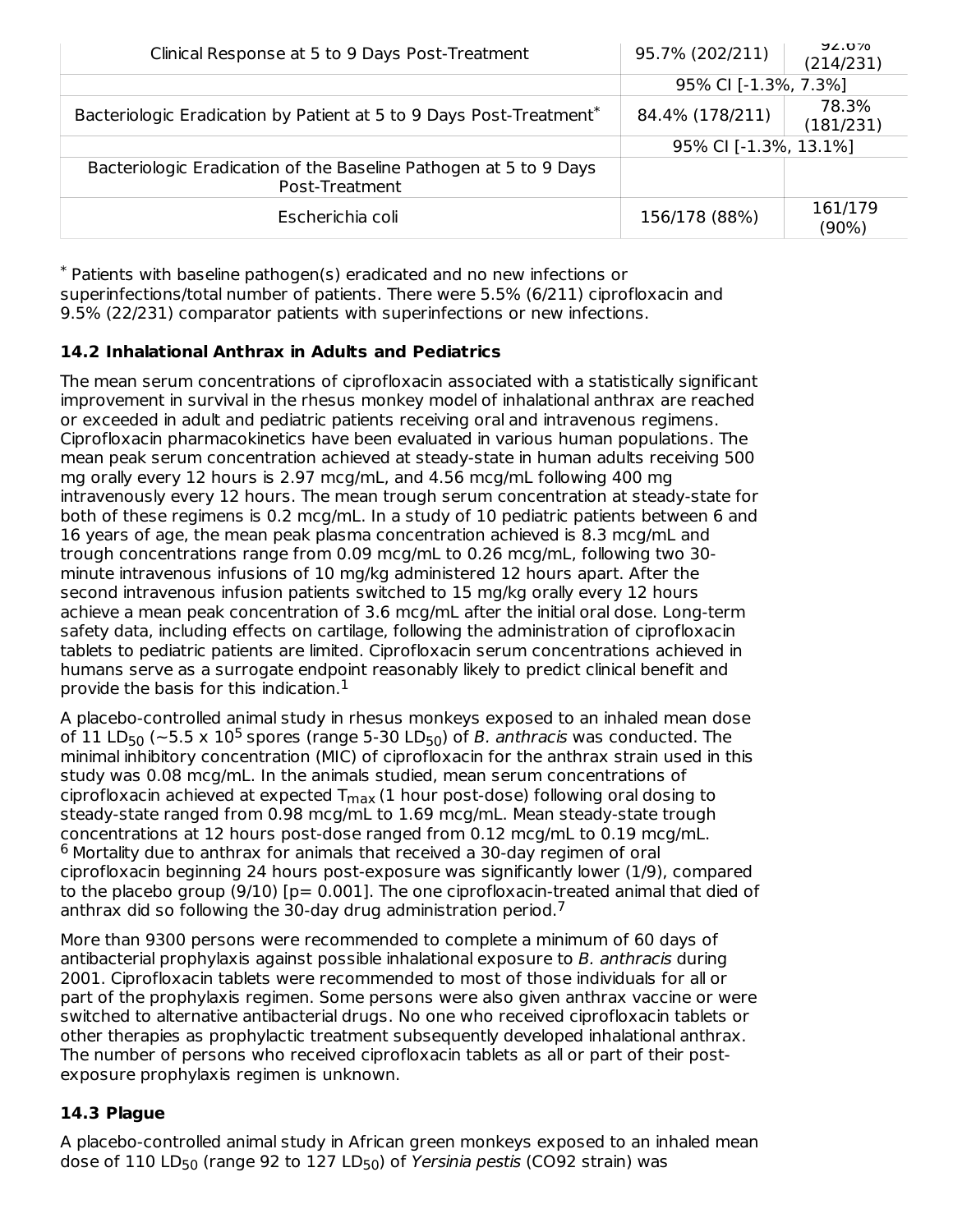| Clinical Response at 5 to 9 Days Post-Treatment                                     | 95.7% (202/211)       | <b>JZ.U70</b><br>(214/231) |
|-------------------------------------------------------------------------------------|-----------------------|----------------------------|
|                                                                                     | 95% CI [-1.3%, 7.3%]  |                            |
| Bacteriologic Eradication by Patient at 5 to 9 Days Post-Treatment*                 | 84.4% (178/211)       | 78.3%<br>(181/231)         |
|                                                                                     | 95% CI [-1.3%, 13.1%] |                            |
| Bacteriologic Eradication of the Baseline Pathogen at 5 to 9 Days<br>Post-Treatment |                       |                            |
| Escherichia coli                                                                    | 156/178 (88%)         | 161/179<br>$(90\%)$        |

Patients with baseline pathogen(s) eradicated and no new infections or \* superinfections/total number of patients. There were 5.5% (6/211) ciprofloxacin and 9.5% (22/231) comparator patients with superinfections or new infections.

## **14.2 Inhalational Anthrax in Adults and Pediatrics**

The mean serum concentrations of ciprofloxacin associated with a statistically significant improvement in survival in the rhesus monkey model of inhalational anthrax are reached or exceeded in adult and pediatric patients receiving oral and intravenous regimens. Ciprofloxacin pharmacokinetics have been evaluated in various human populations. The mean peak serum concentration achieved at steady-state in human adults receiving 500 mg orally every 12 hours is 2.97 mcg/mL, and 4.56 mcg/mL following 400 mg intravenously every 12 hours. The mean trough serum concentration at steady-state for both of these regimens is 0.2 mcg/mL. In a study of 10 pediatric patients between 6 and 16 years of age, the mean peak plasma concentration achieved is 8.3 mcg/mL and trough concentrations range from 0.09 mcg/mL to 0.26 mcg/mL, following two 30 minute intravenous infusions of 10 mg/kg administered 12 hours apart. After the second intravenous infusion patients switched to 15 mg/kg orally every 12 hours achieve a mean peak concentration of 3.6 mcg/mL after the initial oral dose. Long-term safety data, including effects on cartilage, following the administration of ciprofloxacin tablets to pediatric patients are limited. Ciprofloxacin serum concentrations achieved in humans serve as a surrogate endpoint reasonably likely to predict clinical benefit and provide the basis for this indication. $^{\rm 1}$ 

A placebo-controlled animal study in rhesus monkeys exposed to an inhaled mean dose of 11 LD<sub>50</sub> ( $\sim$ 5.5 x 10<sup>5</sup> spores (range 5-30 LD<sub>50</sub>) of *B. anthracis* was conducted. The minimal inhibitory concentration (MIC) of ciprofloxacin for the anthrax strain used in this study was 0.08 mcg/mL. In the animals studied, mean serum concentrations of ciprofloxacin achieved at expected  $\mathsf{T}_{\mathsf{max}}$  (1 hour post-dose) following oral dosing to steady-state ranged from 0.98 mcg/mL to 1.69 mcg/mL. Mean steady-state trough concentrations at 12 hours post-dose ranged from 0.12 mcg/mL to 0.19 mcg/mL.  $6$  Mortality due to anthrax for animals that received a 30-day regimen of oral ciprofloxacin beginning 24 hours post-exposure was significantly lower (1/9), compared to the placebo group  $(9/10)$  [p= 0.001]. The one ciprofloxacin-treated animal that died of anthrax did so following the 30-day drug administration period.<sup>7</sup>

More than 9300 persons were recommended to complete a minimum of 60 days of antibacterial prophylaxis against possible inhalational exposure to B. anthracis during 2001. Ciprofloxacin tablets were recommended to most of those individuals for all or part of the prophylaxis regimen. Some persons were also given anthrax vaccine or were switched to alternative antibacterial drugs. No one who received ciprofloxacin tablets or other therapies as prophylactic treatment subsequently developed inhalational anthrax. The number of persons who received ciprofloxacin tablets as all or part of their postexposure prophylaxis regimen is unknown.

## **14.3 Plague**

A placebo-controlled animal study in African green monkeys exposed to an inhaled mean dose of 110 LD<sub>50</sub> (range 92 to 127 LD<sub>50</sub>) of *Yersinia pestis* (CO92 strain) was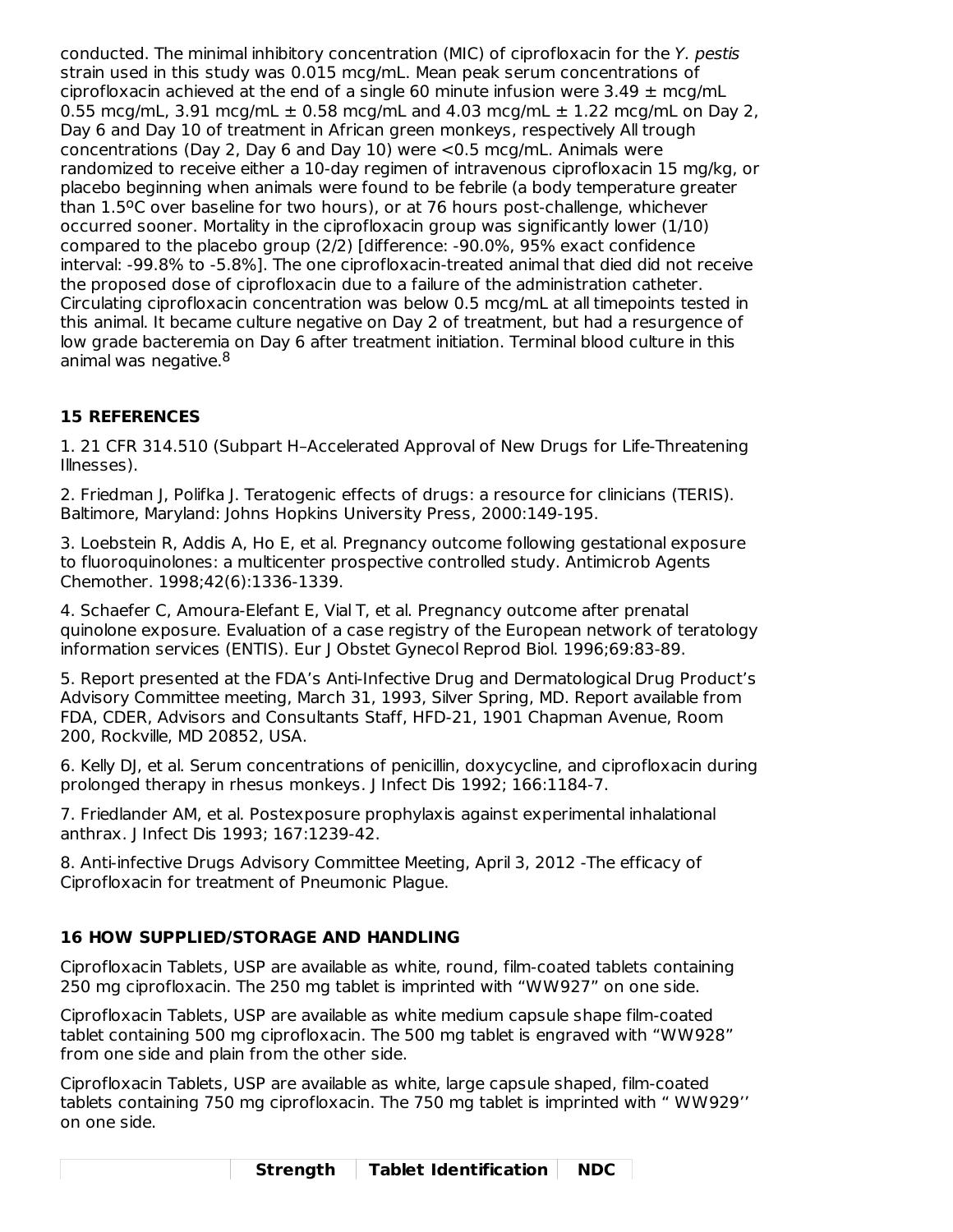conducted. The minimal inhibitory concentration (MIC) of ciprofloxacin for the Y. pestis strain used in this study was 0.015 mcg/mL. Mean peak serum concentrations of ciprofloxacin achieved at the end of a single 60 minute infusion were 3.49  $\pm$  mcg/mL 0.55 mcg/mL, 3.91 mcg/mL  $\pm$  0.58 mcg/mL and 4.03 mcg/mL  $\pm$  1.22 mcg/mL on Day 2, Day 6 and Day 10 of treatment in African green monkeys, respectively All trough concentrations (Day 2, Day 6 and Day 10) were <0.5 mcg/mL. Animals were randomized to receive either a 10-day regimen of intravenous ciprofloxacin 15 mg/kg, or placebo beginning when animals were found to be febrile (a body temperature greater than 1.5°C over baseline for two hours), or at 76 hours post-challenge, whichever occurred sooner. Mortality in the ciprofloxacin group was significantly lower (1/10) compared to the placebo group (2/2) [difference: -90.0%, 95% exact confidence interval: -99.8% to -5.8%]. The one ciprofloxacin-treated animal that died did not receive the proposed dose of ciprofloxacin due to a failure of the administration catheter. Circulating ciprofloxacin concentration was below 0.5 mcg/mL at all timepoints tested in this animal. It became culture negative on Day 2 of treatment, but had a resurgence of low grade bacteremia on Day 6 after treatment initiation. Terminal blood culture in this animal was negative.<sup>8</sup>

# **15 REFERENCES**

1. 21 CFR 314.510 (Subpart H–Accelerated Approval of New Drugs for Life-Threatening Illnesses).

2. Friedman J, Polifka J. Teratogenic effects of drugs: a resource for clinicians (TERIS). Baltimore, Maryland: Johns Hopkins University Press, 2000:149-195.

3. Loebstein R, Addis A, Ho E, et al. Pregnancy outcome following gestational exposure to fluoroquinolones: a multicenter prospective controlled study. Antimicrob Agents Chemother. 1998;42(6):1336-1339.

4. Schaefer C, Amoura-Elefant E, Vial T, et al. Pregnancy outcome after prenatal quinolone exposure. Evaluation of a case registry of the European network of teratology information services (ENTIS). Eur J Obstet Gynecol Reprod Biol. 1996;69:83-89.

5. Report presented at the FDA's Anti-Infective Drug and Dermatological Drug Product's Advisory Committee meeting, March 31, 1993, Silver Spring, MD. Report available from FDA, CDER, Advisors and Consultants Staff, HFD-21, 1901 Chapman Avenue, Room 200, Rockville, MD 20852, USA.

6. Kelly DJ, et al. Serum concentrations of penicillin, doxycycline, and ciprofloxacin during prolonged therapy in rhesus monkeys. J Infect Dis 1992; 166:1184-7.

7. Friedlander AM, et al. Postexposure prophylaxis against experimental inhalational anthrax. J Infect Dis 1993; 167:1239-42.

8. Anti-infective Drugs Advisory Committee Meeting, April 3, 2012 -The efficacy of Ciprofloxacin for treatment of Pneumonic Plague.

## **16 HOW SUPPLIED/STORAGE AND HANDLING**

Ciprofloxacin Tablets, USP are available as white, round, film-coated tablets containing 250 mg ciprofloxacin. The 250 mg tablet is imprinted with "WW927" on one side.

Ciprofloxacin Tablets, USP are available as white medium capsule shape film-coated tablet containing 500 mg ciprofloxacin. The 500 mg tablet is engraved with "WW928" from one side and plain from the other side.

Ciprofloxacin Tablets, USP are available as white, large capsule shaped, film-coated tablets containing 750 mg ciprofloxacin. The 750 mg tablet is imprinted with " WW929'' on one side.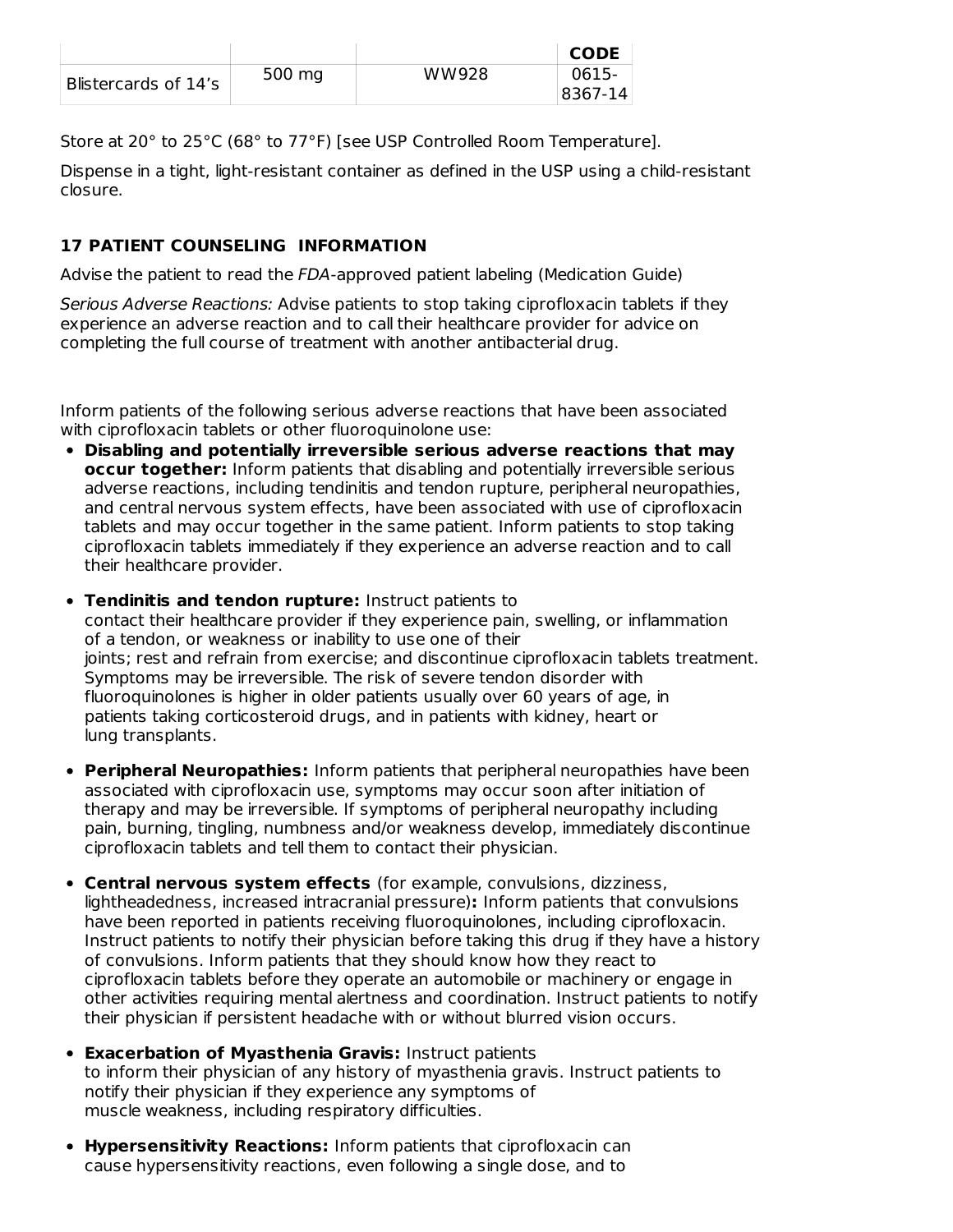|                      |        |       | <b>CODE</b> |
|----------------------|--------|-------|-------------|
| Blistercards of 14's | 500 mg | WW928 | 0615-       |
|                      |        |       | 8367-14     |

Store at 20° to 25°C (68° to 77°F) [see USP Controlled Room Temperature].

Dispense in a tight, light-resistant container as defined in the USP using a child-resistant closure.

## **17 PATIENT COUNSELING INFORMATION**

Advise the patient to read the FDA-approved patient labeling (Medication Guide)

Serious Adverse Reactions: Advise patients to stop taking ciprofloxacin tablets if they experience an adverse reaction and to call their healthcare provider for advice on completing the full course of treatment with another antibacterial drug.

Inform patients of the following serious adverse reactions that have been associated with ciprofloxacin tablets or other fluoroquinolone use:

- **Disabling and potentially irreversible serious adverse reactions that may occur together:** Inform patients that disabling and potentially irreversible serious adverse reactions, including tendinitis and tendon rupture, peripheral neuropathies, and central nervous system effects, have been associated with use of ciprofloxacin tablets and may occur together in the same patient. Inform patients to stop taking ciprofloxacin tablets immediately if they experience an adverse reaction and to call their healthcare provider.
- **Tendinitis and tendon rupture:** Instruct patients to contact their healthcare provider if they experience pain, swelling, or inflammation of a tendon, or weakness or inability to use one of their joints; rest and refrain from exercise; and discontinue ciprofloxacin tablets treatment. Symptoms may be irreversible. The risk of severe tendon disorder with fluoroquinolones is higher in older patients usually over 60 years of age, in patients taking corticosteroid drugs, and in patients with kidney, heart or lung transplants.
- **Peripheral Neuropathies:** Inform patients that peripheral neuropathies have been associated with ciprofloxacin use, symptoms may occur soon after initiation of therapy and may be irreversible. If symptoms of peripheral neuropathy including pain, burning, tingling, numbness and/or weakness develop, immediately discontinue ciprofloxacin tablets and tell them to contact their physician.
- **Central nervous system effects** (for example, convulsions, dizziness, lightheadedness, increased intracranial pressure)**:** Inform patients that convulsions have been reported in patients receiving fluoroquinolones, including ciprofloxacin. Instruct patients to notify their physician before taking this drug if they have a history of convulsions. Inform patients that they should know how they react to ciprofloxacin tablets before they operate an automobile or machinery or engage in other activities requiring mental alertness and coordination. Instruct patients to notify their physician if persistent headache with or without blurred vision occurs.
- **Exacerbation of Myasthenia Gravis:** Instruct patients to inform their physician of any history of myasthenia gravis. Instruct patients to notify their physician if they experience any symptoms of muscle weakness, including respiratory difficulties.
- **Hypersensitivity Reactions:** Inform patients that ciprofloxacin can cause hypersensitivity reactions, even following a single dose, and to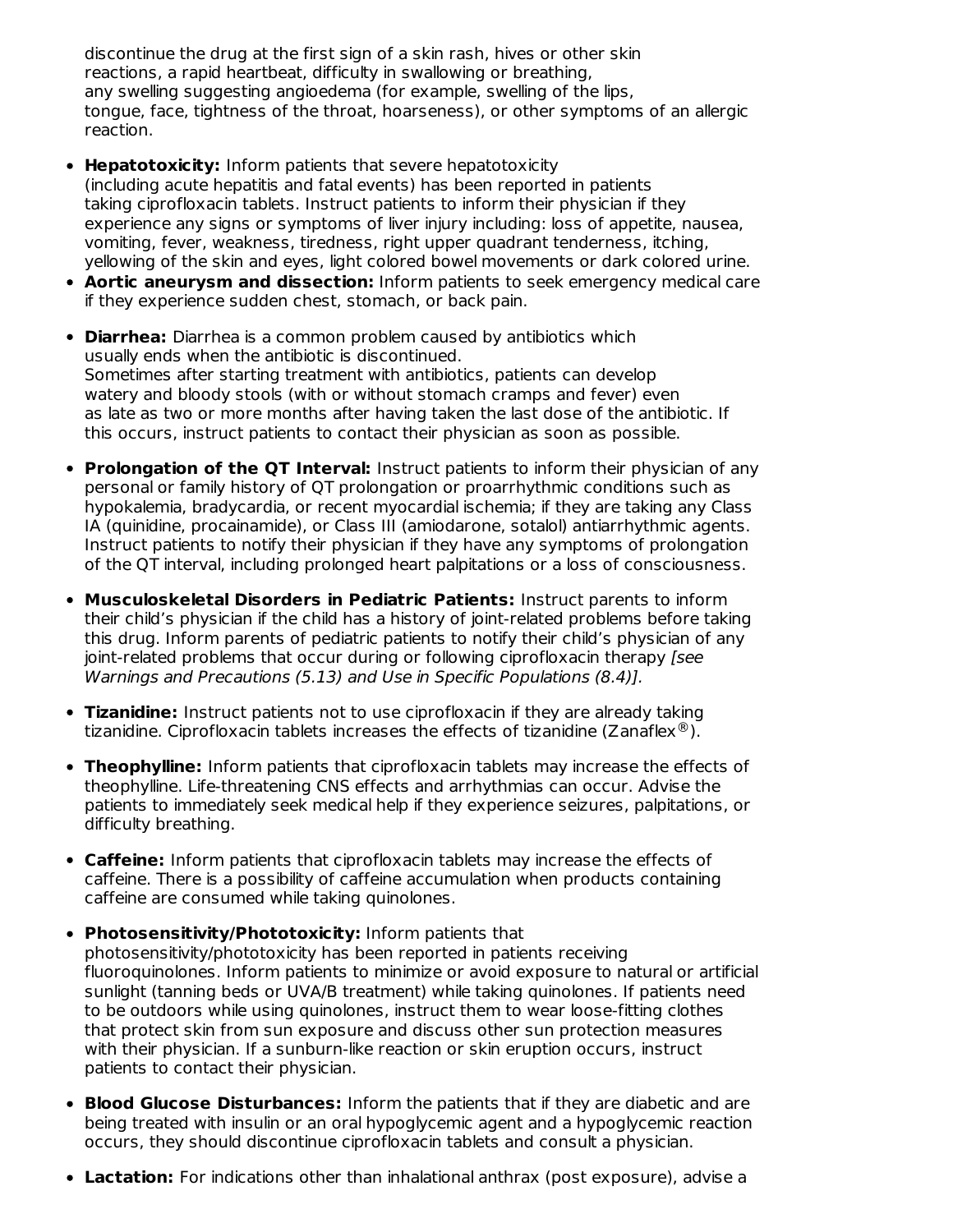discontinue the drug at the first sign of a skin rash, hives or other skin reactions, a rapid heartbeat, difficulty in swallowing or breathing, any swelling suggesting angioedema (for example, swelling of the lips, tongue, face, tightness of the throat, hoarseness), or other symptoms of an allergic reaction.

- **Hepatotoxicity:** Inform patients that severe hepatotoxicity (including acute hepatitis and fatal events) has been reported in patients taking ciprofloxacin tablets. Instruct patients to inform their physician if they experience any signs or symptoms of liver injury including: loss of appetite, nausea, vomiting, fever, weakness, tiredness, right upper quadrant tenderness, itching, yellowing of the skin and eyes, light colored bowel movements or dark colored urine.
- **Aortic aneurysm and dissection:** Inform patients to seek emergency medical care if they experience sudden chest, stomach, or back pain.
- **Diarrhea:** Diarrhea is a common problem caused by antibiotics which usually ends when the antibiotic is discontinued. Sometimes after starting treatment with antibiotics, patients can develop watery and bloody stools (with or without stomach cramps and fever) even as late as two or more months after having taken the last dose of the antibiotic. If this occurs, instruct patients to contact their physician as soon as possible.
- **Prolongation of the QT Interval:** Instruct patients to inform their physician of any personal or family history of QT prolongation or proarrhythmic conditions such as hypokalemia, bradycardia, or recent myocardial ischemia; if they are taking any Class IA (quinidine, procainamide), or Class III (amiodarone, sotalol) antiarrhythmic agents. Instruct patients to notify their physician if they have any symptoms of prolongation of the QT interval, including prolonged heart palpitations or a loss of consciousness.
- **Musculoskeletal Disorders in Pediatric Patients:** Instruct parents to inform their child's physician if the child has a history of joint-related problems before taking this drug. Inform parents of pediatric patients to notify their child's physician of any joint-related problems that occur during or following ciprofloxacin therapy [see Warnings and Precautions (5.13) and Use in Specific Populations (8.4)].
- **Tizanidine:** Instruct patients not to use ciprofloxacin if they are already taking tizanidine. Ciprofloxacin tablets increases the effects of tizanidine (Zanaflex $^{\circledR}$ ).
- **Theophylline:** Inform patients that ciprofloxacin tablets may increase the effects of theophylline. Life-threatening CNS effects and arrhythmias can occur. Advise the patients to immediately seek medical help if they experience seizures, palpitations, or difficulty breathing.
- **Caffeine:** Inform patients that ciprofloxacin tablets may increase the effects of caffeine. There is a possibility of caffeine accumulation when products containing caffeine are consumed while taking quinolones.
- **Photosensitivity/Phototoxicity:** Inform patients that photosensitivity/phototoxicity has been reported in patients receiving fluoroquinolones. Inform patients to minimize or avoid exposure to natural or artificial sunlight (tanning beds or UVA/B treatment) while taking quinolones. If patients need to be outdoors while using quinolones, instruct them to wear loose-fitting clothes that protect skin from sun exposure and discuss other sun protection measures with their physician. If a sunburn-like reaction or skin eruption occurs, instruct patients to contact their physician.
- **Blood Glucose Disturbances:** Inform the patients that if they are diabetic and are being treated with insulin or an oral hypoglycemic agent and a hypoglycemic reaction occurs, they should discontinue ciprofloxacin tablets and consult a physician.
- **Lactation:** For indications other than inhalational anthrax (post exposure), advise a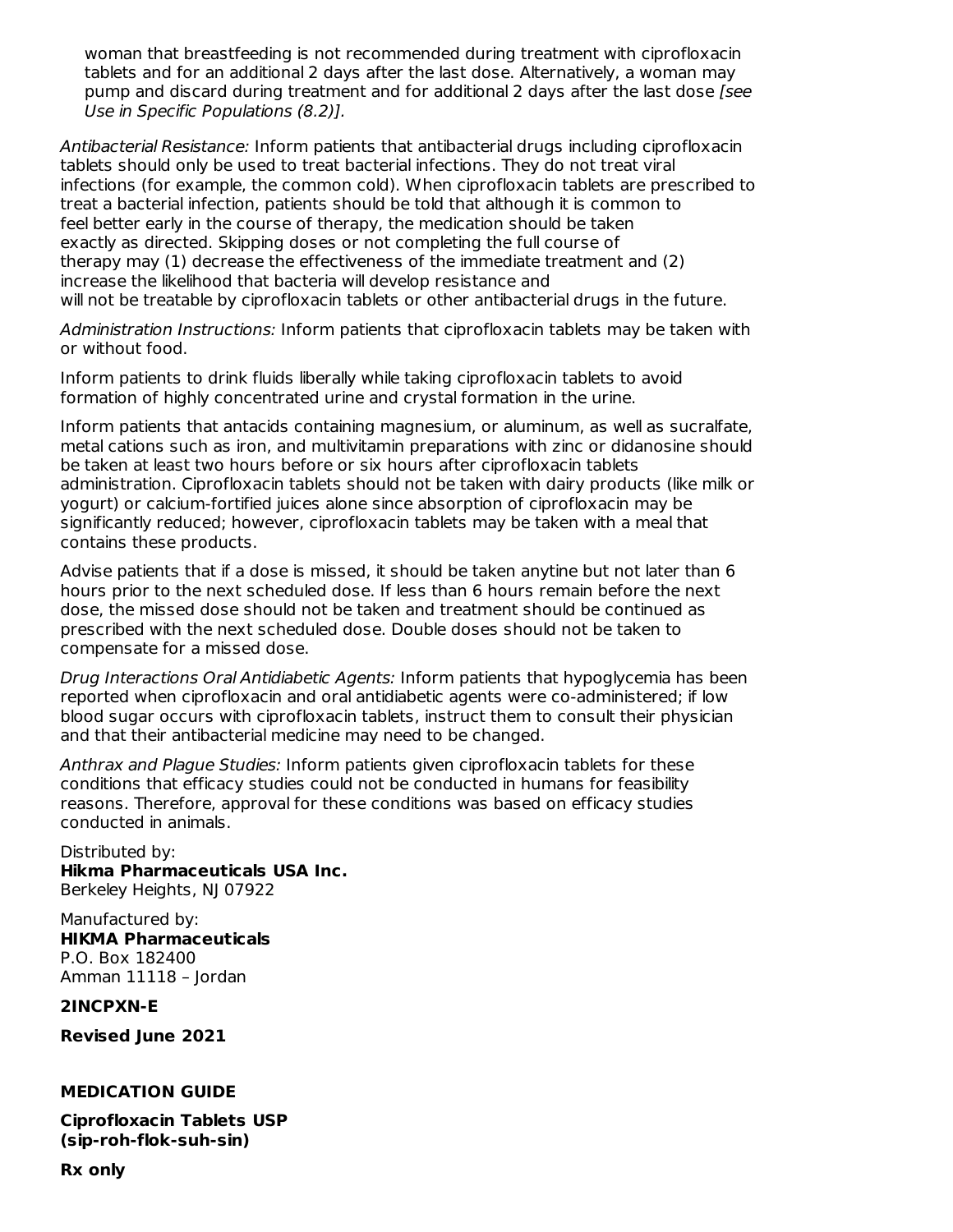woman that breastfeeding is not recommended during treatment with ciprofloxacin tablets and for an additional 2 days after the last dose. Alternatively, a woman may pump and discard during treatment and for additional 2 days after the last dose [see Use in Specific Populations (8.2)].

Antibacterial Resistance: Inform patients that antibacterial drugs including ciprofloxacin tablets should only be used to treat bacterial infections. They do not treat viral infections (for example, the common cold). When ciprofloxacin tablets are prescribed to treat a bacterial infection, patients should be told that although it is common to feel better early in the course of therapy, the medication should be taken exactly as directed. Skipping doses or not completing the full course of therapy may (1) decrease the effectiveness of the immediate treatment and (2) increase the likelihood that bacteria will develop resistance and will not be treatable by ciprofloxacin tablets or other antibacterial drugs in the future.

Administration Instructions: Inform patients that ciprofloxacin tablets may be taken with or without food.

Inform patients to drink fluids liberally while taking ciprofloxacin tablets to avoid formation of highly concentrated urine and crystal formation in the urine.

Inform patients that antacids containing magnesium, or aluminum, as well as sucralfate, metal cations such as iron, and multivitamin preparations with zinc or didanosine should be taken at least two hours before or six hours after ciprofloxacin tablets administration. Ciprofloxacin tablets should not be taken with dairy products (like milk or yogurt) or calcium-fortified juices alone since absorption of ciprofloxacin may be significantly reduced; however, ciprofloxacin tablets may be taken with a meal that contains these products.

Advise patients that if a dose is missed, it should be taken anytine but not later than 6 hours prior to the next scheduled dose. If less than 6 hours remain before the next dose, the missed dose should not be taken and treatment should be continued as prescribed with the next scheduled dose. Double doses should not be taken to compensate for a missed dose.

Drug Interactions Oral Antidiabetic Agents: Inform patients that hypoglycemia has been reported when ciprofloxacin and oral antidiabetic agents were co-administered; if low blood sugar occurs with ciprofloxacin tablets, instruct them to consult their physician and that their antibacterial medicine may need to be changed.

Anthrax and Plague Studies: Inform patients given ciprofloxacin tablets for these conditions that efficacy studies could not be conducted in humans for feasibility reasons. Therefore, approval for these conditions was based on efficacy studies conducted in animals.

Distributed by: **Hikma Pharmaceuticals USA Inc.** Berkeley Heights, NJ 07922 Manufactured by:

**HIKMA Pharmaceuticals** P.O. Box 182400 Amman 11118 – Jordan

**2INCPXN-E**

**Revised June 2021**

#### **MEDICATION GUIDE**

**Ciprofloxacin Tablets USP (sip-roh-flok-suh-sin)**

**Rx only**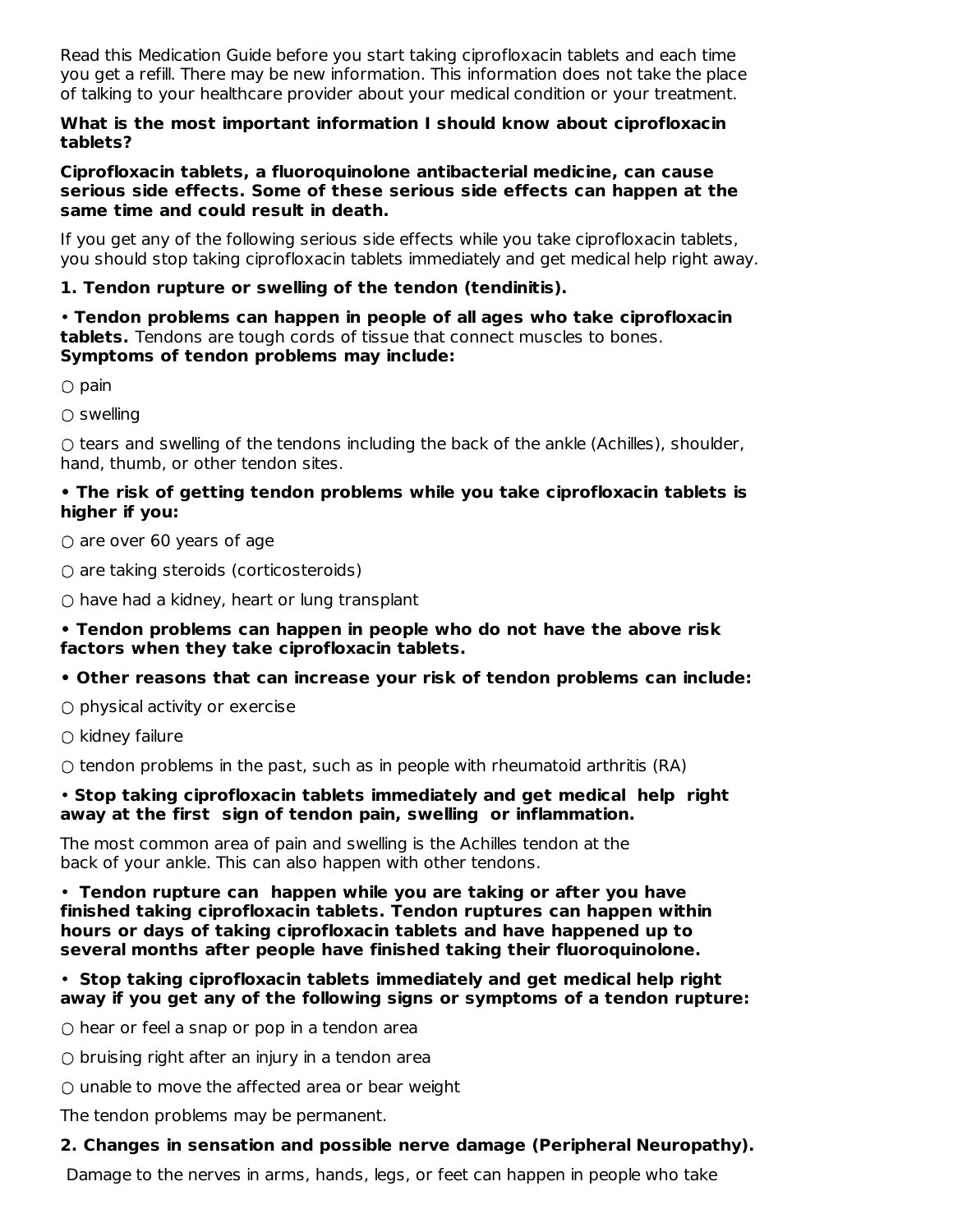Read this Medication Guide before you start taking ciprofloxacin tablets and each time you get a refill. There may be new information. This information does not take the place of talking to your healthcare provider about your medical condition or your treatment.

#### **What is the most important information I should know about ciprofloxacin tablets?**

#### **Ciprofloxacin tablets, a fluoroquinolone antibacterial medicine, can cause serious side effects. Some of these serious side effects can happen at the same time and could result in death.**

If you get any of the following serious side effects while you take ciprofloxacin tablets, you should stop taking ciprofloxacin tablets immediately and get medical help right away.

# **1. Tendon rupture or swelling of the tendon (tendinitis).**

• **Tendon problems can happen in people of all ages who take ciprofloxacin tablets.** Tendons are tough cords of tissue that connect muscles to bones. **Symptoms of tendon problems may include:**

 $\bigcirc$  pain

 $\bigcirc$  swelling

○ tears and swelling of the tendons including the back of the ankle (Achilles), shoulder, hand, thumb, or other tendon sites.

#### **• The risk of getting tendon problems while you take ciprofloxacin tablets is higher if you:**

 $\circ$  are over 60 years of age

 $\bigcirc$  are taking steroids (corticosteroids)

 $\circ$  have had a kidney, heart or lung transplant

#### **• Tendon problems can happen in people who do not have the above risk factors when they take ciprofloxacin tablets.**

**• Other reasons that can increase your risk of tendon problems can include:**

 $\circ$  physical activity or exercise

 $\bigcirc$  kidney failure

 $\bigcirc$  tendon problems in the past, such as in people with rheumatoid arthritis (RA)

#### • **Stop taking ciprofloxacin tablets immediately and get medical help right away at the first sign of tendon pain, swelling or inflammation.**

The most common area of pain and swelling is the Achilles tendon at the back of your ankle. This can also happen with other tendons.

• **Tendon rupture can happen while you are taking or after you have finished taking ciprofloxacin tablets. Tendon ruptures can happen within hours or days of taking ciprofloxacin tablets and have happened up to several months after people have finished taking their fluoroquinolone.**

#### • **Stop taking ciprofloxacin tablets immediately and get medical help right away if you get any of the following signs or symptoms of a tendon rupture:**

 $\circ$  hear or feel a snap or pop in a tendon area

 $\circ$  bruising right after an injury in a tendon area

 $\circ$  unable to move the affected area or bear weight

The tendon problems may be permanent.

## **2. Changes in sensation and possible nerve damage (Peripheral Neuropathy).**

Damage to the nerves in arms, hands, legs, or feet can happen in people who take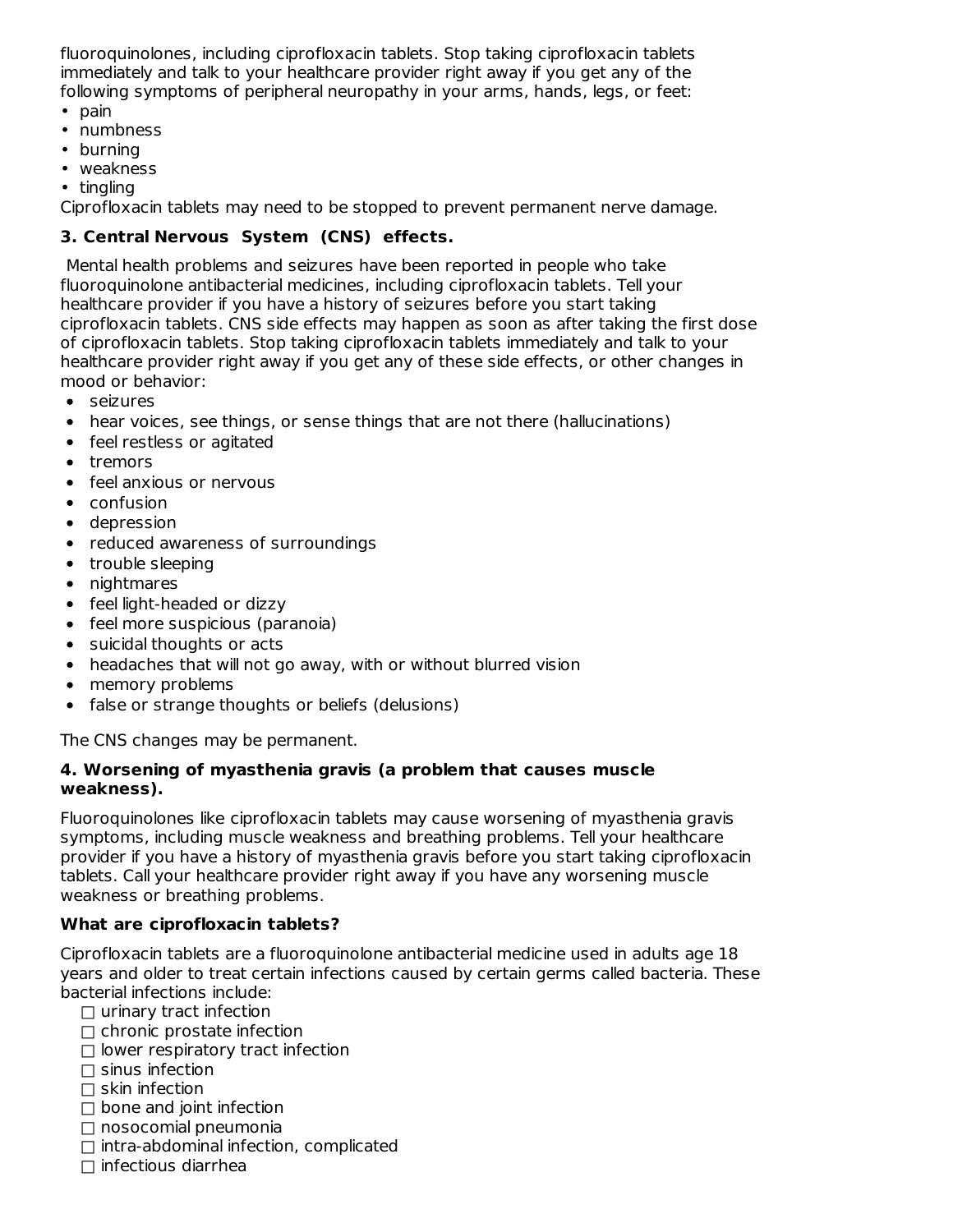fluoroquinolones, including ciprofloxacin tablets. Stop taking ciprofloxacin tablets immediately and talk to your healthcare provider right away if you get any of the following symptoms of peripheral neuropathy in your arms, hands, legs, or feet:

- pain
- numbness
- burning
- weakness
- tingling

Ciprofloxacin tablets may need to be stopped to prevent permanent nerve damage.

## **3. Central Nervous System (CNS) effects.**

Mental health problems and seizures have been reported in people who take fluoroquinolone antibacterial medicines, including ciprofloxacin tablets. Tell your healthcare provider if you have a history of seizures before you start taking ciprofloxacin tablets. CNS side effects may happen as soon as after taking the first dose of ciprofloxacin tablets. Stop taking ciprofloxacin tablets immediately and talk to your healthcare provider right away if you get any of these side effects, or other changes in mood or behavior:

- seizures
- hear voices, see things, or sense things that are not there (hallucinations)
- feel restless or agitated
- tremors
- feel anxious or nervous
- confusion
- depression
- reduced awareness of surroundings
- trouble sleeping
- nightmares
- feel light-headed or dizzy
- feel more suspicious (paranoia)
- suicidal thoughts or acts
- headaches that will not go away, with or without blurred vision
- memory problems
- false or strange thoughts or beliefs (delusions)

The CNS changes may be permanent.

#### **4. Worsening of myasthenia gravis (a problem that causes muscle weakness).**

Fluoroquinolones like ciprofloxacin tablets may cause worsening of myasthenia gravis symptoms, including muscle weakness and breathing problems. Tell your healthcare provider if you have a history of myasthenia gravis before you start taking ciprofloxacin tablets. Call your healthcare provider right away if you have any worsening muscle weakness or breathing problems.

## **What are ciprofloxacin tablets?**

Ciprofloxacin tablets are a fluoroquinolone antibacterial medicine used in adults age 18 years and older to treat certain infections caused by certain germs called bacteria. These bacterial infections include:

- $\Box$  urinary tract infection
- $\Box$  chronic prostate infection
- $\square$  lower respiratory tract infection
- $\square$  sinus infection
- $\Box$  skin infection
- $\Box$  bone and joint infection
- $\Box$  nosocomial pneumonia
- $\Box$  intra-abdominal infection, complicated
- $\Box$  infectious diarrhea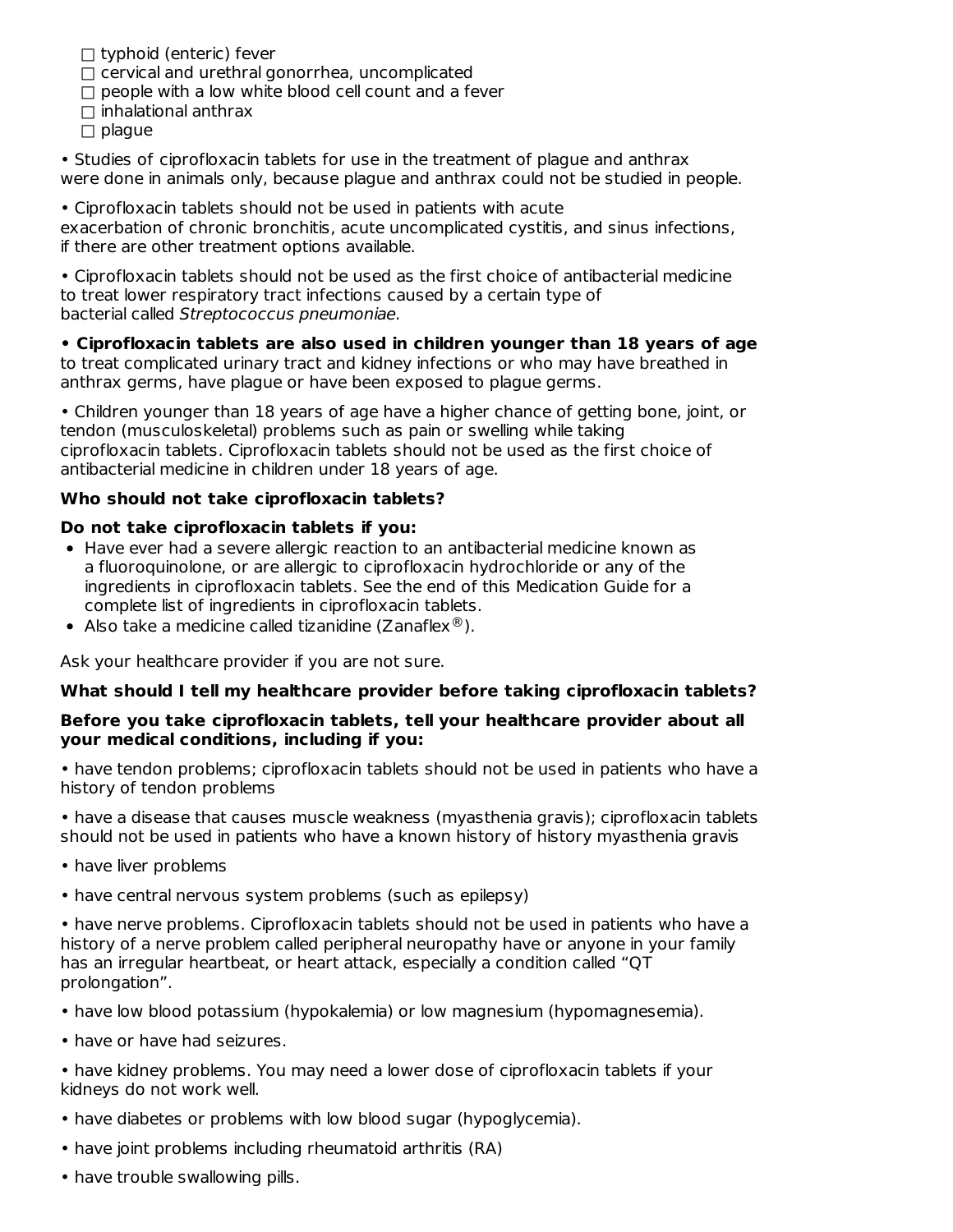$\Box$  typhoid (enteric) fever

- $\Box$  cervical and urethral gonorrhea, uncomplicated
- $\Box$  people with a low white blood cell count and a fever
- $\Box$  inhalational anthrax
- $\Box$  plaque

• Studies of ciprofloxacin tablets for use in the treatment of plague and anthrax were done in animals only, because plague and anthrax could not be studied in people.

• Ciprofloxacin tablets should not be used in patients with acute

exacerbation of chronic bronchitis, acute uncomplicated cystitis, and sinus infections, if there are other treatment options available.

• Ciprofloxacin tablets should not be used as the first choice of antibacterial medicine to treat lower respiratory tract infections caused by a certain type of bacterial called Streptococcus pneumoniae.

**• Ciprofloxacin tablets are also used in children younger than 18 years of age** to treat complicated urinary tract and kidney infections or who may have breathed in anthrax germs, have plague or have been exposed to plague germs.

• Children younger than 18 years of age have a higher chance of getting bone, joint, or tendon (musculoskeletal) problems such as pain or swelling while taking ciprofloxacin tablets. Ciprofloxacin tablets should not be used as the first choice of antibacterial medicine in children under 18 years of age.

#### **Who should not take ciprofloxacin tablets?**

#### **Do not take ciprofloxacin tablets if you:**

- Have ever had a severe allergic reaction to an antibacterial medicine known as a fluoroquinolone, or are allergic to ciprofloxacin hydrochloride or any of the ingredients in ciprofloxacin tablets. See the end of this Medication Guide for a complete list of ingredients in ciprofloxacin tablets.
- Also take a medicine called tizanidine (Zanaflex $^{\circledR}$ ).

Ask your healthcare provider if you are not sure.

#### **What should I tell my healthcare provider before taking ciprofloxacin tablets?**

#### **Before you take ciprofloxacin tablets, tell your healthcare provider about all your medical conditions, including if you:**

• have tendon problems; ciprofloxacin tablets should not be used in patients who have a history of tendon problems

• have a disease that causes muscle weakness (myasthenia gravis); ciprofloxacin tablets should not be used in patients who have a known history of history myasthenia gravis

- have liver problems
- have central nervous system problems (such as epilepsy)

• have nerve problems. Ciprofloxacin tablets should not be used in patients who have a history of a nerve problem called peripheral neuropathy have or anyone in your family has an irregular heartbeat, or heart attack, especially a condition called "QT prolongation".

- have low blood potassium (hypokalemia) or low magnesium (hypomagnesemia).
- have or have had seizures.
- have kidney problems. You may need a lower dose of ciprofloxacin tablets if your kidneys do not work well.
- have diabetes or problems with low blood sugar (hypoglycemia).
- have joint problems including rheumatoid arthritis (RA)
- have trouble swallowing pills.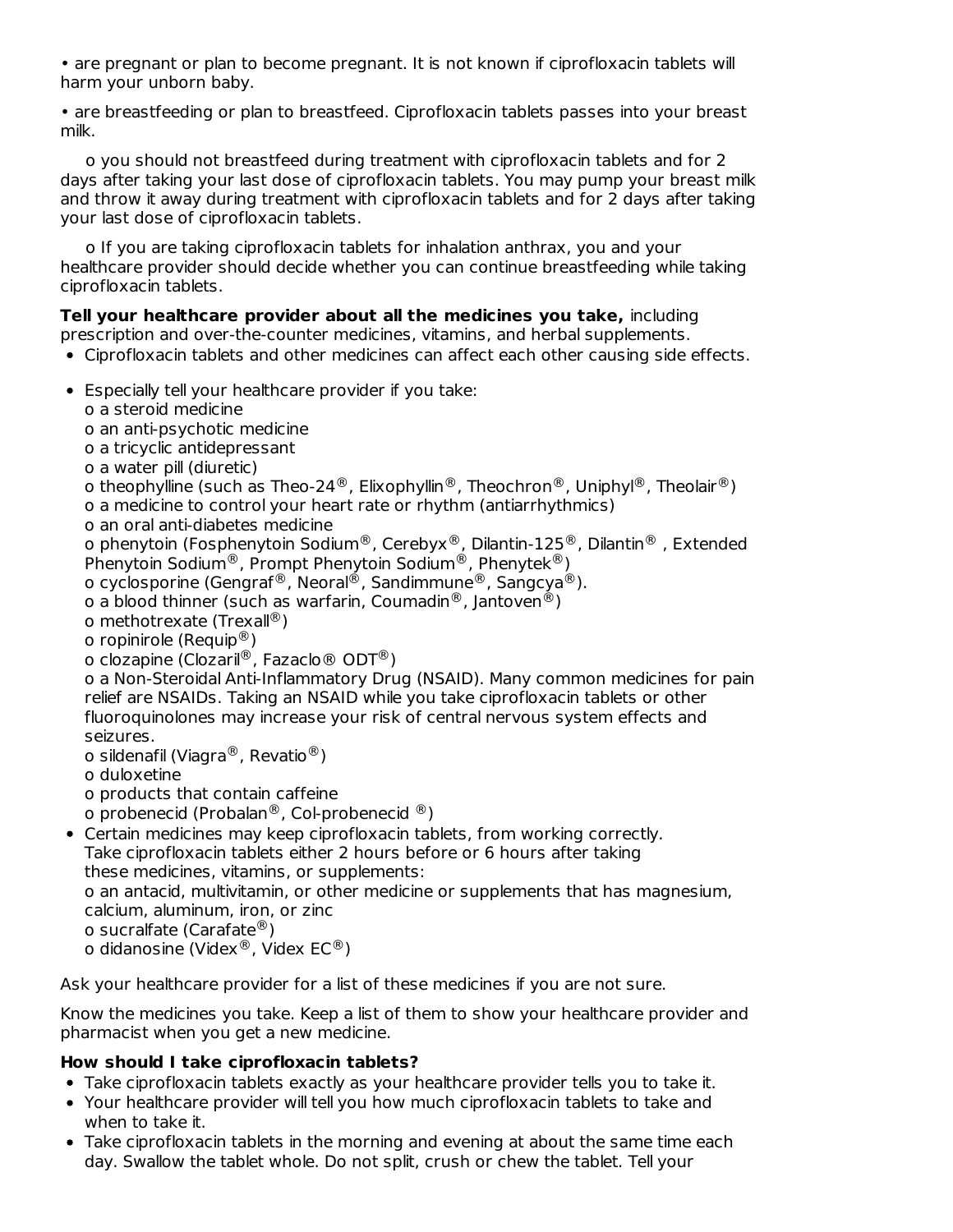• are pregnant or plan to become pregnant. It is not known if ciprofloxacin tablets will harm your unborn baby.

• are breastfeeding or plan to breastfeed. Ciprofloxacin tablets passes into your breast milk.

o you should not breastfeed during treatment with ciprofloxacin tablets and for 2 days after taking your last dose of ciprofloxacin tablets. You may pump your breast milk and throw it away during treatment with ciprofloxacin tablets and for 2 days after taking your last dose of ciprofloxacin tablets.

o If you are taking ciprofloxacin tablets for inhalation anthrax, you and your healthcare provider should decide whether you can continue breastfeeding while taking ciprofloxacin tablets.

## **Tell your healthcare provider about all the medicines you take,** including

prescription and over-the-counter medicines, vitamins, and herbal supplements.

- Ciprofloxacin tablets and other medicines can affect each other causing side effects.
- Especially tell your healthcare provider if you take:
	- o a steroid medicine

o an anti-psychotic medicine

- o a tricyclic antidepressant
- o a water pill (diuretic)
- o theophylline (such as Theo-24®, Elixophyllin®, Theochron®, Uniphyl®, Theolair®)
- o a medicine to control your heart rate or rhythm (antiarrhythmics)
- o an oral anti-diabetes medicine

o phenytoin (Fosphenytoin Sodium®, Cerebyx®, Dilantin-125®, Dilantin® , Extended Phenytoin Sodium®, Prompt Phenytoin Sodium®, Phenytek®)

- o cyclosporine (Gengraf®, Neoral®, Sandimmune®, Sangcya®).
- o a blood thinner (such as warfarin, Coumadin $^@$ , Jantoven $^@$ )
- o methotrexate (Trexall®)
- o ropinirole (Requip $^{\circledR}$ )

o clozapine (Clozaril®, Fazaclo® ODT®)

o a Non-Steroidal Anti-Inflammatory Drug (NSAID). Many common medicines for pain relief are NSAIDs. Taking an NSAID while you take ciprofloxacin tablets or other fluoroquinolones may increase your risk of central nervous system effects and seizures.

- o sildenafil (Viagra®, Revatio®)
- o duloxetine
- o products that contain caffeine
- o probenecid (Probalan®, Col-probenecid ®)
- Certain medicines may keep ciprofloxacin tablets, from working correctly. Take ciprofloxacin tablets either 2 hours before or 6 hours after taking these medicines, vitamins, or supplements: o an antacid, multivitamin, or other medicine or supplements that has magnesium,

calcium, aluminum, iron, or zinc

- o sucralfate (Carafate®)
- o didanosine (Videx $^{\circledR}$ , Videx EC $^{\circledR}$ )

Ask your healthcare provider for a list of these medicines if you are not sure.

Know the medicines you take. Keep a list of them to show your healthcare provider and pharmacist when you get a new medicine.

# **How should I take ciprofloxacin tablets?**

- Take ciprofloxacin tablets exactly as your healthcare provider tells you to take it.
- Your healthcare provider will tell you how much ciprofloxacin tablets to take and when to take it.
- Take ciprofloxacin tablets in the morning and evening at about the same time each day. Swallow the tablet whole. Do not split, crush or chew the tablet. Tell your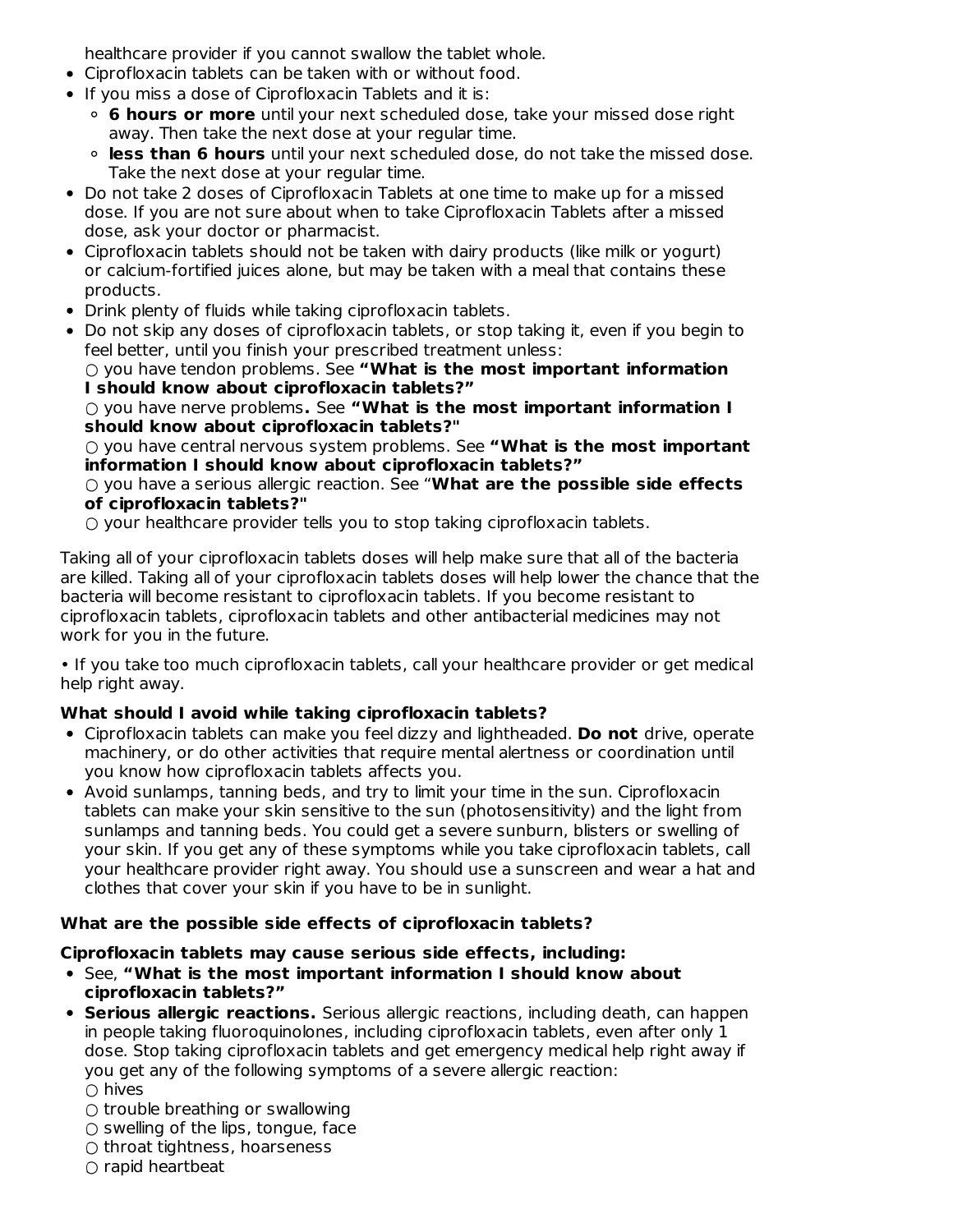healthcare provider if you cannot swallow the tablet whole.

- Ciprofloxacin tablets can be taken with or without food.
- If you miss a dose of Ciprofloxacin Tablets and it is:
	- **6 hours or more** until your next scheduled dose, take your missed dose right away. Then take the next dose at your regular time.
	- **less than 6 hours** until your next scheduled dose, do not take the missed dose. Take the next dose at your regular time.
- Do not take 2 doses of Ciprofloxacin Tablets at one time to make up for a missed dose. If you are not sure about when to take Ciprofloxacin Tablets after a missed dose, ask your doctor or pharmacist.
- Ciprofloxacin tablets should not be taken with dairy products (like milk or yogurt) or calcium-fortified juices alone, but may be taken with a meal that contains these products.
- Drink plenty of fluids while taking ciprofloxacin tablets.
- Do not skip any doses of ciprofloxacin tablets, or stop taking it, even if you begin to feel better, until you finish your prescribed treatment unless:

○ you have tendon problems. See **"What is the most important information I should know about ciprofloxacin tablets?"**

○ you have nerve problems**.** See **"What is the most important information I should know about ciprofloxacin tablets?"**

○ you have central nervous system problems. See **"What is the most important information I should know about ciprofloxacin tablets?"**

○ you have a serious allergic reaction. See "**What are the possible side effects of ciprofloxacin tablets?"**

○ your healthcare provider tells you to stop taking ciprofloxacin tablets.

Taking all of your ciprofloxacin tablets doses will help make sure that all of the bacteria are killed. Taking all of your ciprofloxacin tablets doses will help lower the chance that the bacteria will become resistant to ciprofloxacin tablets. If you become resistant to ciprofloxacin tablets, ciprofloxacin tablets and other antibacterial medicines may not work for you in the future.

• If you take too much ciprofloxacin tablets, call your healthcare provider or get medical help right away.

## **What should I avoid while taking ciprofloxacin tablets?**

- Ciprofloxacin tablets can make you feel dizzy and lightheaded. **Do not** drive, operate machinery, or do other activities that require mental alertness or coordination until you know how ciprofloxacin tablets affects you.
- $\bullet$  Avoid sunlamps, tanning beds, and try to limit your time in the sun. Ciprofloxacin tablets can make your skin sensitive to the sun (photosensitivity) and the light from sunlamps and tanning beds. You could get a severe sunburn, blisters or swelling of your skin. If you get any of these symptoms while you take ciprofloxacin tablets, call your healthcare provider right away. You should use a sunscreen and wear a hat and clothes that cover your skin if you have to be in sunlight.

## **What are the possible side effects of ciprofloxacin tablets?**

## **Ciprofloxacin tablets may cause serious side effects, including:**

- See, **"What is the most important information I should know about ciprofloxacin tablets?"**
- **Serious allergic reactions.** Serious allergic reactions, including death, can happen in people taking fluoroquinolones, including ciprofloxacin tablets, even after only 1 dose. Stop taking ciprofloxacin tablets and get emergency medical help right away if you get any of the following symptoms of a severe allergic reaction: ○ hives
	- $\bigcirc$  trouble breathing or swallowing
	- $\circ$  swelling of the lips, tongue, face
	- throat tightness, hoarseness
	- $\cap$  rapid heartbeat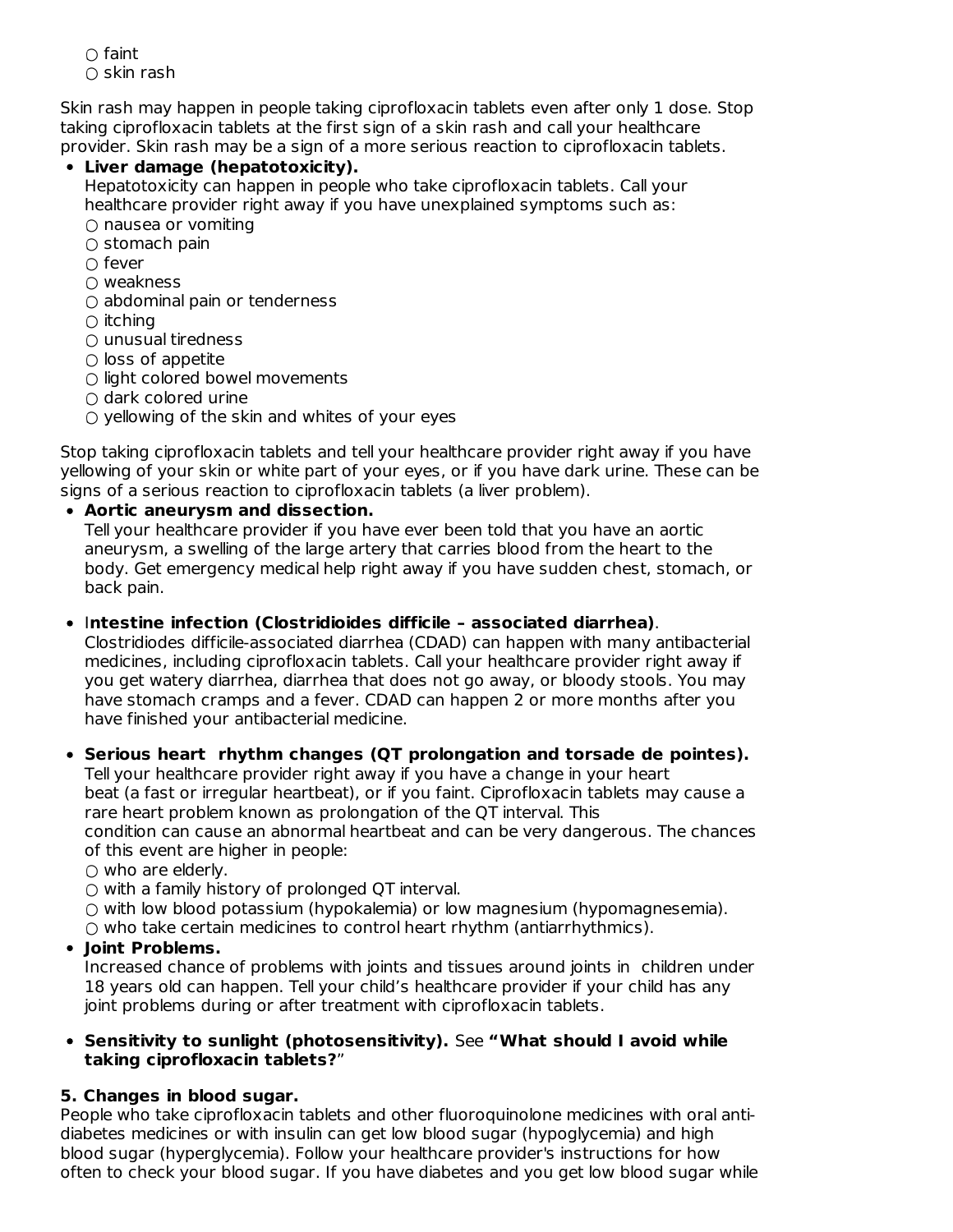$\cap$  faint  $\cap$  skin rash

Skin rash may happen in people taking ciprofloxacin tablets even after only 1 dose. Stop taking ciprofloxacin tablets at the first sign of a skin rash and call your healthcare provider. Skin rash may be a sign of a more serious reaction to ciprofloxacin tablets.

# **Liver damage (hepatotoxicity).**

Hepatotoxicity can happen in people who take ciprofloxacin tablets. Call your healthcare provider right away if you have unexplained symptoms such as:  $\bigcirc$  nausea or vomiting

- $\circ$  stomach pain
- fever
- weakness
- $\bigcirc$  abdominal pain or tenderness
- $\bigcirc$  itching
- unusual tiredness
- $\circ$  loss of appetite
- $\bigcirc$  light colored bowel movements
- $\bigcirc$  dark colored urine
- $\circ$  yellowing of the skin and whites of your eyes

Stop taking ciprofloxacin tablets and tell your healthcare provider right away if you have yellowing of your skin or white part of your eyes, or if you have dark urine. These can be signs of a serious reaction to ciprofloxacin tablets (a liver problem).

#### **Aortic aneurysm and dissection.**

Tell your healthcare provider if you have ever been told that you have an aortic aneurysm, a swelling of the large artery that carries blood from the heart to the body. Get emergency medical help right away if you have sudden chest, stomach, or back pain.

#### I**ntestine infection (Clostridioides difficile – associated diarrhea)**.

Clostridiodes difficile-associated diarrhea (CDAD) can happen with many antibacterial medicines, including ciprofloxacin tablets. Call your healthcare provider right away if you get watery diarrhea, diarrhea that does not go away, or bloody stools. You may have stomach cramps and a fever. CDAD can happen 2 or more months after you have finished your antibacterial medicine.

## **Serious heart rhythm changes (QT prolongation and torsade de pointes).**

Tell your healthcare provider right away if you have a change in your heart beat (a fast or irregular heartbeat), or if you faint. Ciprofloxacin tablets may cause a rare heart problem known as prolongation of the QT interval. This condition can cause an abnormal heartbeat and can be very dangerous. The chances

of this event are higher in people:

 $\bigcirc$  who are elderly.

○ with a family history of prolonged QT interval.

 $\circ$  with low blood potassium (hypokalemia) or low magnesium (hypomagnesemia).

 $\circ$  who take certain medicines to control heart rhythm (antiarrhythmics).

## **Joint Problems.**

Increased chance of problems with joints and tissues around joints in children under 18 years old can happen. Tell your child's healthcare provider if your child has any joint problems during or after treatment with ciprofloxacin tablets.

#### **Sensitivity to sunlight (photosensitivity).** See **"What should I avoid while taking ciprofloxacin tablets?**"

## **5. Changes in blood sugar.**

People who take ciprofloxacin tablets and other fluoroquinolone medicines with oral antidiabetes medicines or with insulin can get low blood sugar (hypoglycemia) and high blood sugar (hyperglycemia). Follow your healthcare provider's instructions for how often to check your blood sugar. If you have diabetes and you get low blood sugar while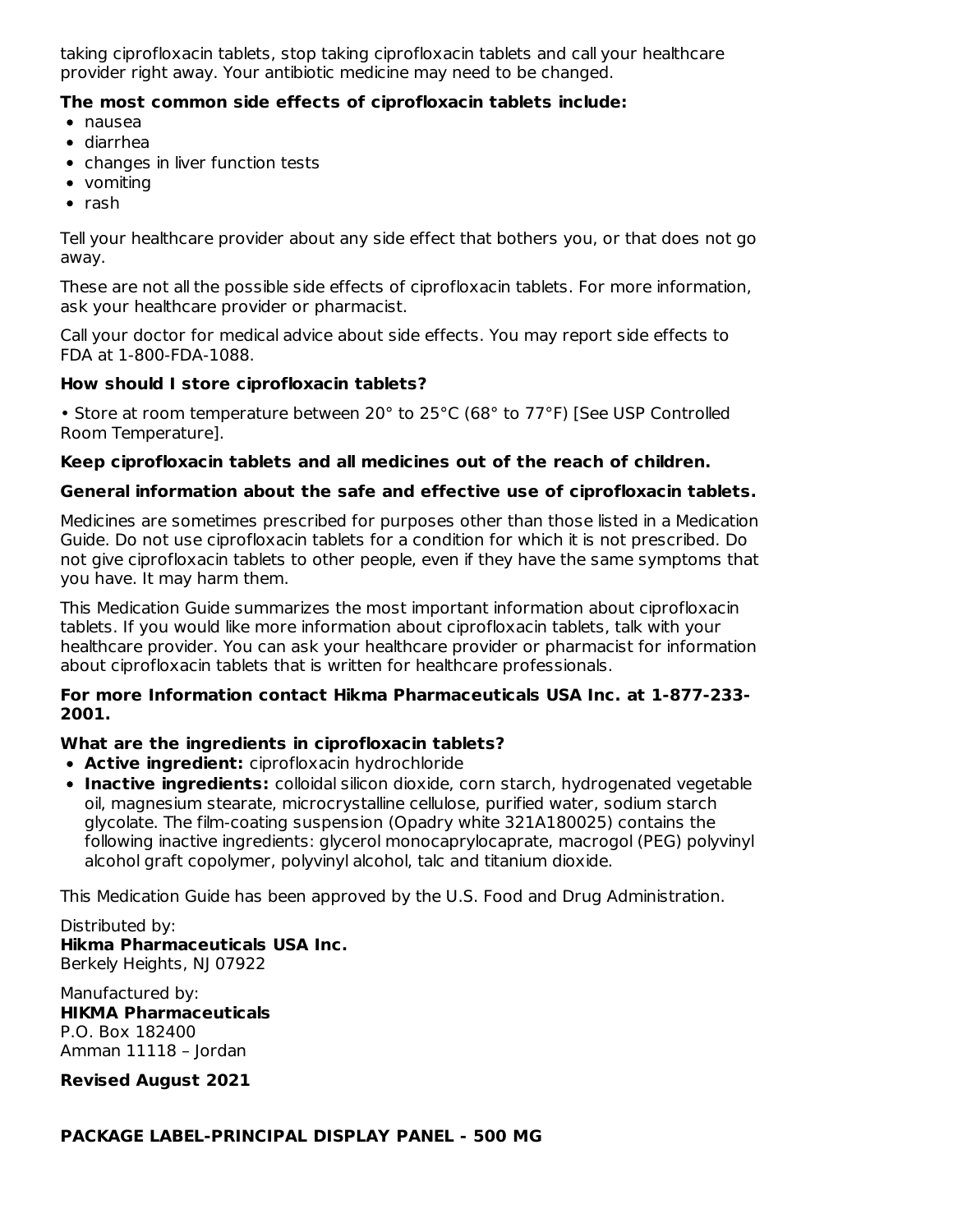taking ciprofloxacin tablets, stop taking ciprofloxacin tablets and call your healthcare provider right away. Your antibiotic medicine may need to be changed.

#### **The most common side effects of ciprofloxacin tablets include:**

- nausea
- diarrhea
- changes in liver function tests
- vomiting
- $\bullet$  rash

Tell your healthcare provider about any side effect that bothers you, or that does not go away.

These are not all the possible side effects of ciprofloxacin tablets. For more information, ask your healthcare provider or pharmacist.

Call your doctor for medical advice about side effects. You may report side effects to FDA at 1-800-FDA-1088.

#### **How should I store ciprofloxacin tablets?**

• Store at room temperature between 20° to 25°C (68° to 77°F) [See USP Controlled Room Temperature].

#### **Keep ciprofloxacin tablets and all medicines out of the reach of children.**

#### **General information about the safe and effective use of ciprofloxacin tablets.**

Medicines are sometimes prescribed for purposes other than those listed in a Medication Guide. Do not use ciprofloxacin tablets for a condition for which it is not prescribed. Do not give ciprofloxacin tablets to other people, even if they have the same symptoms that you have. It may harm them.

This Medication Guide summarizes the most important information about ciprofloxacin tablets. If you would like more information about ciprofloxacin tablets, talk with your healthcare provider. You can ask your healthcare provider or pharmacist for information about ciprofloxacin tablets that is written for healthcare professionals.

#### **For more Information contact Hikma Pharmaceuticals USA Inc. at 1-877-233- 2001.**

#### **What are the ingredients in ciprofloxacin tablets?**

- **Active ingredient:** ciprofloxacin hydrochloride
- **Inactive ingredients:** colloidal silicon dioxide, corn starch, hydrogenated vegetable oil, magnesium stearate, microcrystalline cellulose, purified water, sodium starch glycolate. The film-coating suspension (Opadry white 321A180025) contains the following inactive ingredients: glycerol monocaprylocaprate, macrogol (PEG) polyvinyl alcohol graft copolymer, polyvinyl alcohol, talc and titanium dioxide.

This Medication Guide has been approved by the U.S. Food and Drug Administration.

Distributed by:

**Hikma Pharmaceuticals USA Inc.** Berkely Heights, NJ 07922

Manufactured by: **HIKMA Pharmaceuticals** P.O. Box 182400 Amman 11118 – Jordan

**Revised August 2021**

#### **PACKAGE LABEL-PRINCIPAL DISPLAY PANEL - 500 MG**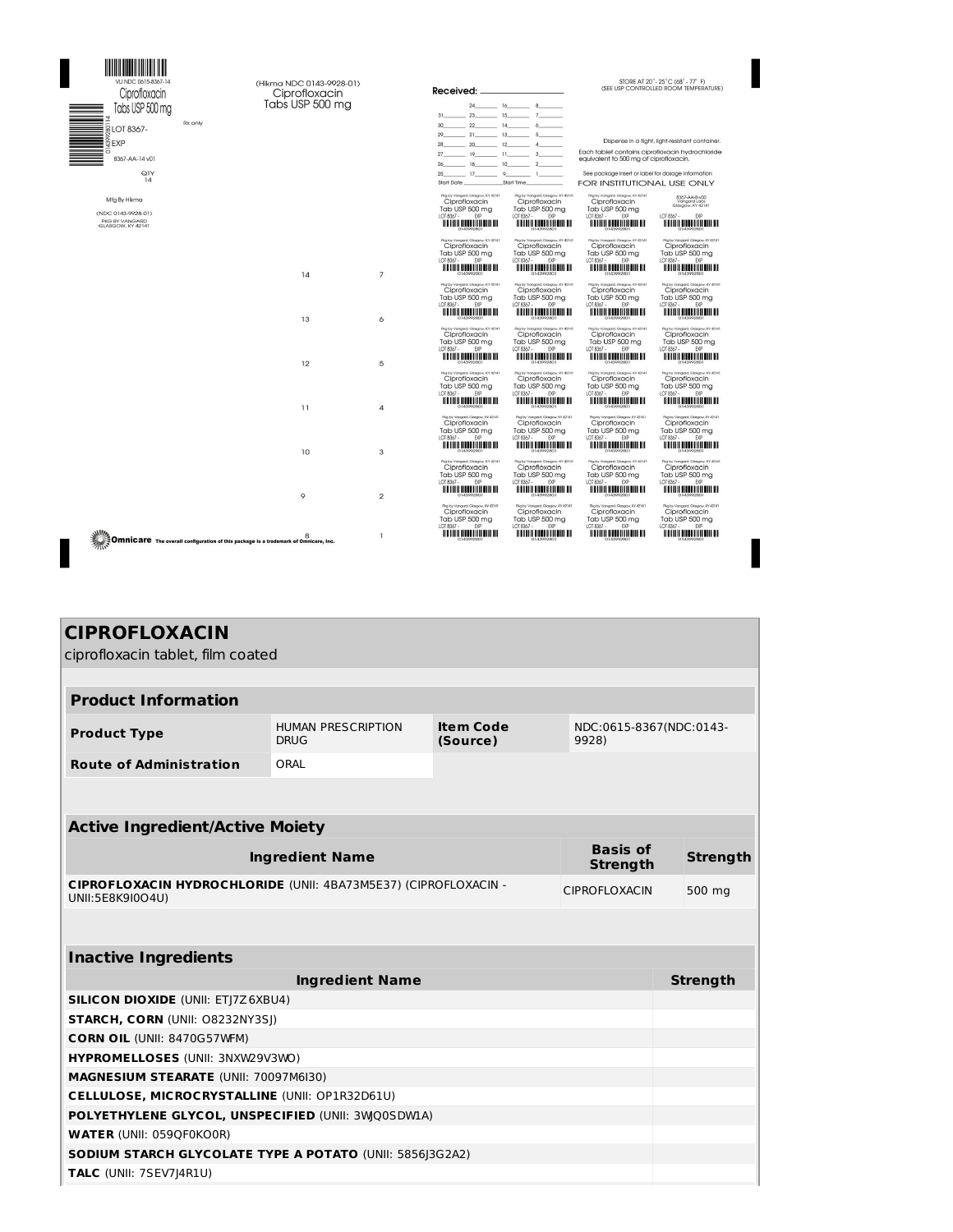| VLI NDC 0615-8367-14<br>Ciprofloxacin<br>Tabs USP 500 mg<br>Rx only                                                                         | (Hikma NDC 0143-9928-01)<br>Ciprofloxacin<br>Tabs USP 500 mg |                | Received:<br>24 16 8<br>$31 \t 23 \t 15 \t 7 \t 7$<br>30 22 14 6                                                                                                                                                                                                                                                                                                                                                                              | STORE AT 20° - 25°C (68° - 77° F)<br>(SEE USP CONTROLLED ROOM TEMPERATURE)                                                                                                                                                                                                                                                                                 |
|---------------------------------------------------------------------------------------------------------------------------------------------|--------------------------------------------------------------|----------------|-----------------------------------------------------------------------------------------------------------------------------------------------------------------------------------------------------------------------------------------------------------------------------------------------------------------------------------------------------------------------------------------------------------------------------------------------|------------------------------------------------------------------------------------------------------------------------------------------------------------------------------------------------------------------------------------------------------------------------------------------------------------------------------------------------------------|
| $\begin{array}{r}\n\hline\n\text{Tools} \cup \text{SP } 5 \\ \hline\n\text{SLOI} \text{ } 8367\n\end{array}$<br>8367-AA-14 v01<br>QTY<br>14 |                                                              |                | $29 \t 21 \t 13 \t 5$<br>$28 \t 20 \t 12 \t 4$<br>$27 \t 19 \t 11 \t 3$<br>$26$ 18 10 2<br>$25 \t 17 \t 9 \t 1$<br>Start Date<br>Start Time<br>Pkg by Vangard, Glasgow, KY 42141<br>Pkg by Vangard, Glasgow, KY 42141                                                                                                                                                                                                                         | Dispense in a tight, light-resistant container.<br>Each tablet contains ciprofloxacin hydrochloride<br>equivalent to 500 mg of ciprofloxacin.<br>See package insert or label for dosage information.<br><b>FOR INSTITUTIONAL USE ONLY</b><br>Pkg by Vangard, Glasgow, KY 42141                                                                             |
| Mfg By Hikma<br>(NDC 0143-9928-01)<br>PKG BY VANGARD<br>GLASGOW, KY 42141                                                                   |                                                              |                | Ciprofloxacin<br>Ciprofloxacin<br>Tab USP 500 mg<br>Tab USP 500 mg<br>LOT 8367 -<br>EXP<br>LOT 8367 -<br>EXP                                                                                                                                                                                                                                                                                                                                  | 8367-AA-B-v00<br>Vangard Labs<br>Glasgow, KY 42141<br>Ciprofloxacin<br>Tab USP 500 mg<br>EXP<br>LOT 8367 -<br>LOT 8367 -<br><b>EXP</b>                                                                                                                                                                                                                     |
|                                                                                                                                             | 14                                                           | $\overline{7}$ | Pkg by Vangard, Glasgow, KY 42141<br>Pkg by Vangard, Glasgow, KY 42141<br>Ciprofloxacin<br>Ciprofloxacin<br>Tab USP 500 mg<br>Tab USP 500 mg<br>LOT 8367 -<br>LOT 8367 -<br><b>FXP</b><br><b>EXP</b>                                                                                                                                                                                                                                          | Rigity Vangard, Glasgow, KY 42141<br>Pkg by Vangard, Glasgow, KY 42141<br>Ciprofloxacin<br>Ciprofloxacin<br>Tab USP 500 mg<br>Tab USP 500 mg<br>LOT 8367 -<br>LOT 8367 - EXP<br><b>FYP</b><br><u> A BENDARI DI BILI DI BILI DI BILI DI BILI DI BILI DI BILI DI BILI DI BILI DI BILI DI BILI DI BILI DI BILI DI </u><br><u> III o in dheer in dheer in </u> |
|                                                                                                                                             | 13                                                           | 6              | Pkg by Vangard, Glasgow, KY 42141<br>Pkg by Vongard, Glasgow, KY 42141<br>Ciprofloxacin<br>Ciprofloxacin<br>Tab USP 500 ma<br>Tab USP 500 mg<br>LOT 8367- EXP<br>LOT 8367-<br>EXP                                                                                                                                                                                                                                                             | Plig by Vangard, Glasgow, KY 42141<br>Pag by Vangard, Glasgow, KY 42141<br>Ciprofloxacin<br>Ciprofloxacin<br>Tab USP 500 ma<br>Tab USP 500 ma<br>LOT 8367- EXP<br>LOT 8367- EXP<br><u> ALLIAN ANTILIAN TAI</u>                                                                                                                                             |
|                                                                                                                                             | 12                                                           | 5              | Pkg by Vangard, Glasgow, KY 42141<br>Pkg by Vangard, Glasgow, KY 42141<br>Ciprofloxacin<br>Ciprofloxacin<br>Tab USP 500 mg<br>Tab USP 500 mg<br>LOT 8367 -<br>LOT 8367 -<br><b>FYP</b><br><b>FYP</b>                                                                                                                                                                                                                                          | Pkg by Vangard, Glasgow, KY 42141<br>Pkg by Vangard, Glasgow, KY 42141<br>Ciprofloxacin<br>Ciprofloxacin<br>Tab USP 500 mg<br>Tab USP 500 mg<br>LOT 8367 -<br>LOT 8367 -<br><b>EYP</b><br><b>EYD</b>                                                                                                                                                       |
|                                                                                                                                             | 11                                                           | 4              | Pkg by Vangard, Glasgow, KY 42141<br>Pkg by Vangard, Glasgow, KY 42141<br>Ciprofloxacin<br>Ciprofloxacin<br>Tab USP 500 mg<br>Tab USP 500 mg<br>LOT 8367 -<br>LOT 8367 -<br><b>FXP</b><br><b>FYP</b><br><u> A BELIA DI BIBLIO DI BIBLIO DI BIBLIO DI BIBLIO DI BIBLIO DI BIBLIO DI BIBLIO DI BIBLIO DI BIBLIO DI BIBLIO D</u><br><u> A BELLA ALBERTA DE ALBERT</u><br>Pleg by Vangard, Glasgow, KY-42141<br>Plg by Vangard, Glasgow, KY 42141 | Pkg by Vangard, Glasgow, KY 42141<br>Pig by Vangard, Glasgow, KY 42141<br>Ciprofloxacin<br>Ciprofloxacin<br>Tab USP 500 mg<br>Tab USP 500 mg<br>LOT 8367 -<br>LOT 8367 -<br>EXP<br>EXP<br><u> MATHIA ANTARIAN ANI AN</u><br><u> A BELIA ANDEREN HAN DIL</u><br>Plig by Vangard, Glasgow, KY 42141<br>Pleg by Vangard, Glasgow, KY 42141                    |
|                                                                                                                                             | 10                                                           | 3              | Ciprofloxacin<br>Ciprofloxacin<br>Tab USP 500 mg<br>Tab USP 500 mg<br>LOT 8367 -<br>LOT 8367 -<br>EXP<br>EXP<br>Rig by Vangard, Glasgow, KY 42141<br>Pkg by Vangard, Glasgow, KY 42141                                                                                                                                                                                                                                                        | Ciprofloxacin<br>Ciprofloxacin<br>Tab USP 500 mg<br>Tab USP 500 mg<br><b>EXP</b><br>LOT 8367 -<br>LOT 8367 -<br><b>EXP</b><br>Pkg by Vangard, Glasgow, KY 42141<br>Peg by Vangard, Glasgow, KY 42141                                                                                                                                                       |
|                                                                                                                                             | 9                                                            | $\overline{2}$ | Ciprofloxacin<br>Ciprofloxacin<br>Tab USP 500 mg<br>Tab USP 500 mg<br>LOT 8367 -<br>LOT 8367 -<br><b>FXP</b><br><b>FXP</b><br><u> A BELLA ALBERTA DE DIE BIB</u>                                                                                                                                                                                                                                                                              | Ciprofloxacin<br>Ciprofloxacin<br>Tab USP 500 mg<br>Tab USP 500 ma<br>LOT 8367 -<br>LOT 8367- EXP<br><b>FYP</b><br><u> A BELIA A BELIA BELIA BILI DI </u>                                                                                                                                                                                                  |
| Omnicare The overall configuration of this package is a trademark of Omnicare, Inc.                                                         | 8                                                            | $\mathbf{1}$   | Rig by Vangard, Glasgow, KY-42141<br>Rig by Vangard, Glasgow, KY 42141<br>Ciprofloxacin<br>Ciprofloxacin<br>Tab USP 500 mg<br>Tab USP 500 mg<br>LOT 8367 - EXP<br>LOT 8367 - EXP                                                                                                                                                                                                                                                              | Plig by Vangard, Glasgow, KY 42141<br>Plig by Vangard, Glasgow, KY 42141<br>Ciprofloxacin<br>Ciprofloxacin<br>Tab USP 500 mg<br>Tab USP 500 ma<br>LOT 8367 - EXP<br>LOT 8367 - EXP<br><u> ALLIAN ANTILIAN MINI DI</u>                                                                                                                                      |

ı

| <b>CIPROFLOXACIN</b>                                                                |                                                                                                              |  |                                    |                 |  |
|-------------------------------------------------------------------------------------|--------------------------------------------------------------------------------------------------------------|--|------------------------------------|-----------------|--|
| ciprofloxacin tablet, film coated                                                   |                                                                                                              |  |                                    |                 |  |
|                                                                                     |                                                                                                              |  |                                    |                 |  |
| <b>Product Information</b>                                                          |                                                                                                              |  |                                    |                 |  |
| <b>Product Type</b>                                                                 | <b>Item Code</b><br><b>HUMAN PRESCRIPTION</b><br>NDC:0615-8367(NDC:0143-<br><b>DRUG</b><br>9928)<br>(Source) |  |                                    |                 |  |
| <b>Route of Administration</b>                                                      | ORAL                                                                                                         |  |                                    |                 |  |
|                                                                                     |                                                                                                              |  |                                    |                 |  |
|                                                                                     |                                                                                                              |  |                                    |                 |  |
| <b>Active Ingredient/Active Moiety</b>                                              |                                                                                                              |  |                                    |                 |  |
|                                                                                     | <b>Ingredient Name</b>                                                                                       |  | <b>Basis of</b><br><b>Strength</b> | <b>Strength</b> |  |
| CIPROFLOXACIN HYDROCHLORIDE (UNII: 4BA73M5E37) (CIPROFLOXACIN -<br>UNII:5E8K9I0O4U) |                                                                                                              |  | <b>CIPROFLOXACIN</b>               | 500 mg          |  |
|                                                                                     |                                                                                                              |  |                                    |                 |  |
| <b>Inactive Ingredients</b>                                                         |                                                                                                              |  |                                    |                 |  |
|                                                                                     | <b>Ingredient Name</b>                                                                                       |  |                                    | <b>Strength</b> |  |
| <b>SILICON DIOXIDE (UNII: ETJ7Z6XBU4)</b>                                           |                                                                                                              |  |                                    |                 |  |
| STARCH, CORN (UNII: 08232NY3SJ)                                                     |                                                                                                              |  |                                    |                 |  |
| <b>CORN OIL (UNII: 8470G57WFM)</b>                                                  |                                                                                                              |  |                                    |                 |  |
| HYPROMELLOSES (UNII: 3NXW29V3WO)                                                    |                                                                                                              |  |                                    |                 |  |
| MAGNESIUM STEARATE (UNII: 70097M6I30)                                               |                                                                                                              |  |                                    |                 |  |
| CELLULOSE, MICROCRYSTALLINE (UNII: OP1R32D61U)                                      |                                                                                                              |  |                                    |                 |  |
| POLYETHYLENE GLYCOL, UNSPECIFIED (UNII: 3WQ0SDWIA)                                  |                                                                                                              |  |                                    |                 |  |
| <b>WATER (UNII: 059QF0KO0R)</b>                                                     |                                                                                                              |  |                                    |                 |  |
| SODIUM STARCH GLYCOLATE TYPE A POTATO (UNII: 5856 3G2A2)                            |                                                                                                              |  |                                    |                 |  |
| <b>TALC (UNII: 7SEV7J4R1U)</b>                                                      |                                                                                                              |  |                                    |                 |  |